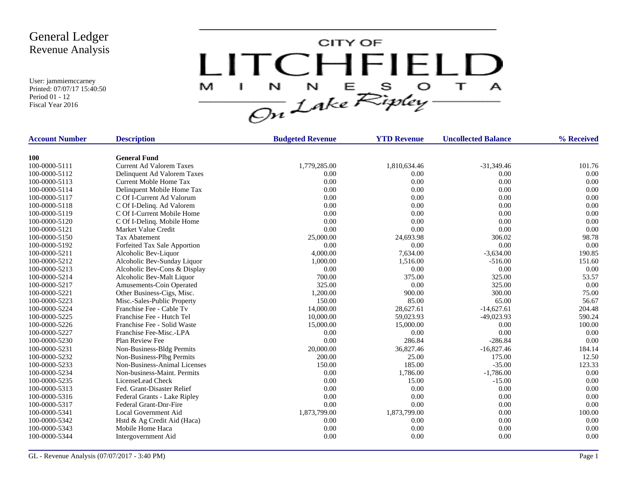

| <b>Account Number</b> | <b>Description</b>              | <b>Budgeted Revenue</b> | <b>YTD Revenue</b> | <b>Uncollected Balance</b> | % Received |
|-----------------------|---------------------------------|-------------------------|--------------------|----------------------------|------------|
| <b>100</b>            | <b>General Fund</b>             |                         |                    |                            |            |
| 100-0000-5111         | <b>Current Ad Valorem Taxes</b> | 1,779,285.00            | 1,810,634.46       | $-31,349.46$               | 101.76     |
| 100-0000-5112         | Delinquent Ad Valorem Taxes     | 0.00                    | 0.00               | 0.00                       | 0.00       |
| 100-0000-5113         | Current Moble Home Tax          | 0.00                    | 0.00               | 0.00                       | 0.00       |
| 100-0000-5114         | Delinquent Mobile Home Tax      | 0.00                    | 0.00               | 0.00                       | 0.00       |
| 100-0000-5117         | C Of I-Current Ad Valorum       | 0.00                    | 0.00               | 0.00                       | 0.00       |
| 100-0000-5118         | C Of I-Delinq. Ad Valorem       | 0.00                    | 0.00               | 0.00                       | 0.00       |
| 100-0000-5119         | C Of I-Current Mobile Home      | 0.00                    | 0.00               | 0.00                       | 0.00       |
| 100-0000-5120         | C Of I-Delinq. Mobile Home      | 0.00                    | 0.00               | 0.00                       | 0.00       |
| 100-0000-5121         | Market Value Credit             | 0.00                    | 0.00               | 0.00                       | 0.00       |
| 100-0000-5150         | <b>Tax Abatement</b>            | 25,000.00               | 24,693.98          | 306.02                     | 98.78      |
| 100-0000-5192         | Forfeited Tax Sale Apportion    | 0.00                    | 0.00               | 0.00                       | 0.00       |
| 100-0000-5211         | Alcoholic Bev-Liquor            | 4,000.00                | 7,634.00           | $-3,634.00$                | 190.85     |
| 100-0000-5212         | Alcoholic Bev-Sunday Liquor     | 1,000.00                | 1,516.00           | $-516.00$                  | 151.60     |
| 100-0000-5213         | Alcoholic Bev-Cons & Display    | 0.00                    | 0.00               | 0.00                       | 0.00       |
| 100-0000-5214         | Alcoholic Bev-Malt Liquor       | 700.00                  | 375.00             | 325.00                     | 53.57      |
| 100-0000-5217         | Amusements-Coin Operated        | 325.00                  | 0.00               | 325.00                     | 0.00       |
| 100-0000-5221         | Other Business-Cigs, Misc.      | 1,200.00                | 900.00             | 300.00                     | 75.00      |
| 100-0000-5223         | Misc.-Sales-Public Property     | 150.00                  | 85.00              | 65.00                      | 56.67      |
| 100-0000-5224         | Franchise Fee - Cable Tv        | 14,000.00               | 28,627.61          | $-14,627.61$               | 204.48     |
| 100-0000-5225         | Franchise Fee - Hutch Tel       | 10,000.00               | 59,023.93          | $-49,023.93$               | 590.24     |
| 100-0000-5226         | Franchise Fee - Solid Waste     | 15,000.00               | 15,000.00          | 0.00                       | 100.00     |
| 100-0000-5227         | Franchise Fee-Misc.-LPA         | 0.00                    | 0.00               | 0.00                       | 0.00       |
| 100-0000-5230         | Plan Review Fee                 | 0.00                    | 286.84             | $-286.84$                  | 0.00       |
| 100-0000-5231         | Non-Business-Bldg Permits       | 20,000.00               | 36,827.46          | $-16,827.46$               | 184.14     |
| 100-0000-5232         | Non-Business-Plbg Permits       | 200.00                  | 25.00              | 175.00                     | 12.50      |
| 100-0000-5233         | Non-Business-Animal Licenses    | 150.00                  | 185.00             | $-35.00$                   | 123.33     |
| 100-0000-5234         | Non-business-Maint. Permits     | 0.00                    | 1,786.00           | $-1,786.00$                | 0.00       |
| 100-0000-5235         | LicenseLead Check               | 0.00                    | 15.00              | $-15.00$                   | 0.00       |
| 100-0000-5313         | Fed. Grant-Disaster Relief      | 0.00                    | 0.00               | 0.00                       | 0.00       |
| 100-0000-5316         | Federal Grants - Lake Ripley    | 0.00                    | 0.00               | 0.00                       | 0.00       |
| 100-0000-5317         | <b>Federal Grant-Dnr-Fire</b>   | 0.00                    | 0.00               | 0.00                       | 0.00       |
| 100-0000-5341         | Local Government Aid            | 1,873,799.00            | 1,873,799.00       | 0.00                       | 100.00     |
| 100-0000-5342         | Hstd & Ag Credit Aid (Haca)     | 0.00                    | 0.00               | 0.00                       | 0.00       |
| 100-0000-5343         | Mobile Home Haca                | 0.00                    | 0.00               | 0.00                       | 0.00       |
| 100-0000-5344         | Intergovernment Aid             | 0.00                    | 0.00               | 0.00                       | 0.00       |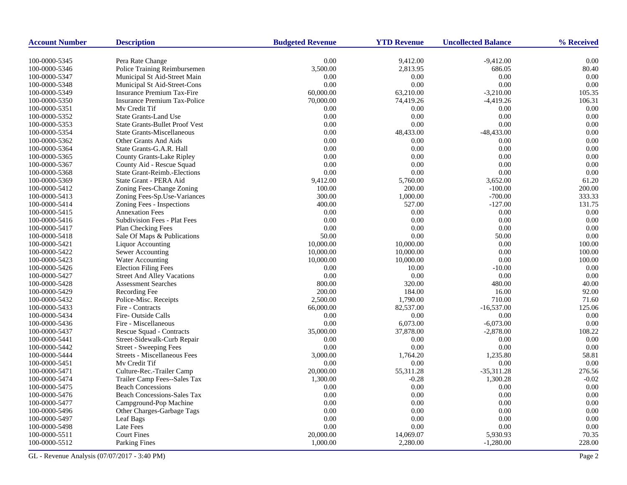| <b>Account Number</b>          | <b>Description</b>                                               | <b>Budgeted Revenue</b> | <b>YTD Revenue</b>    | <b>Uncollected Balance</b> | % Received       |
|--------------------------------|------------------------------------------------------------------|-------------------------|-----------------------|----------------------------|------------------|
| 100-0000-5345                  | Pera Rate Change                                                 | 0.00                    | 9,412.00              | $-9,412.00$                | 0.00             |
| 100-0000-5346                  | Police Training Reimbursemen                                     | 3,500.00                | 2,813.95              | 686.05                     | 80.40            |
| 100-0000-5347                  | Municipal St Aid-Street Main                                     | 0.00                    | 0.00                  | 0.00                       | 0.00             |
| 100-0000-5348                  | Municipal St Aid-Street-Cons                                     | 0.00                    | 0.00                  | 0.00                       | 0.00             |
| 100-0000-5349                  | <b>Insurance Premium Tax-Fire</b>                                | 60,000.00               | 63,210.00             | $-3,210.00$                | 105.35           |
| 100-0000-5350                  | <b>Insurance Premium Tax-Police</b>                              | 70,000.00               | 74,419.26             | $-4,419.26$                | 106.31           |
| 100-0000-5351                  | Mv Credit Tif                                                    | 0.00                    | 0.00                  | 0.00                       | 0.00             |
| 100-0000-5352                  | <b>State Grants-Land Use</b>                                     | 0.00                    | 0.00                  | 0.00                       | 0.00             |
| 100-0000-5353                  | <b>State Grants-Bullet Proof Vest</b>                            | 0.00                    | 0.00                  | 0.00                       | 0.00             |
| 100-0000-5354                  | <b>State Grants-Miscellaneous</b>                                | 0.00                    | 48,433.00             | $-48,433.00$               | 0.00             |
| 100-0000-5362                  | Other Grants And Aids                                            | 0.00                    | 0.00                  | 0.00                       | 0.00             |
| 100-0000-5364                  | State Grants-G.A.R. Hall                                         | 0.00                    | 0.00                  | 0.00                       | 0.00             |
| 100-0000-5365                  |                                                                  | 0.00                    | 0.00                  | 0.00                       | 0.00             |
|                                | County Grants-Lake Ripley                                        | 0.00                    | 0.00                  | 0.00                       | 0.00             |
| 100-0000-5367<br>100-0000-5368 | County Aid - Rescue Squad<br><b>State Grant-Reimb.-Elections</b> | 0.00                    | 0.00                  | 0.00                       | 0.00             |
| 100-0000-5369                  | State Grant - PERA Aid                                           | 9,412.00                | 5,760.00              | 3,652.00                   | 61.20            |
| 100-0000-5412                  |                                                                  | 100.00                  | 200.00                | $-100.00$                  | 200.00           |
|                                | Zoning Fees-Change Zoning                                        |                         |                       |                            | 333.33           |
| 100-0000-5413                  | Zoning Fees-Sp.Use-Variances<br>Zoning Fees - Inspections        | 300.00<br>400.00        | 1,000.00<br>527.00    | $-700.00$<br>$-127.00$     | 131.75           |
| 100-0000-5414                  | <b>Annexation Fees</b>                                           | 0.00                    | 0.00                  | 0.00                       |                  |
| 100-0000-5415                  |                                                                  | 0.00                    | 0.00                  | 0.00                       | 0.00<br>0.00     |
| 100-0000-5416                  | Subdivision Fees - Plat Fees                                     |                         |                       |                            |                  |
| 100-0000-5417                  | <b>Plan Checking Fees</b>                                        | 0.00<br>50.00           | 0.00<br>0.00          | 0.00                       | 0.00<br>0.00     |
| 100-0000-5418                  | Sale Of Maps & Publications                                      |                         |                       | 50.00                      |                  |
| 100-0000-5421                  | <b>Liquor Accounting</b>                                         | 10,000.00               | 10,000.00             | 0.00                       | 100.00           |
| 100-0000-5422                  | Sewer Accounting                                                 | 10,000.00               | 10,000.00             | 0.00<br>0.00               | 100.00<br>100.00 |
| 100-0000-5423                  | Water Accounting                                                 | 10,000.00<br>0.00       | 10,000.00<br>10.00    | $-10.00$                   | 0.00             |
| 100-0000-5426                  | <b>Election Filing Fees</b>                                      |                         | 0.00                  | 0.00                       | 0.00             |
| 100-0000-5427                  | <b>Street And Alley Vacations</b>                                | 0.00                    |                       |                            |                  |
| 100-0000-5428                  | <b>Assessment Searches</b>                                       | 800.00<br>200.00        | 320.00<br>184.00      | 480.00<br>16.00            | 40.00<br>92.00   |
| 100-0000-5429                  | Recording Fee                                                    |                         |                       |                            |                  |
| 100-0000-5432                  | Police-Misc. Receipts                                            | 2,500.00                | 1,790.00              | 710.00                     | 71.60            |
| 100-0000-5433                  | Fire - Contracts                                                 | 66,000.00               | 82,537.00             | $-16,537.00$               | 125.06           |
| 100-0000-5434                  | Fire-Outside Calls                                               | 0.00<br>0.00            | 0.00                  | 0.00                       | 0.00<br>0.00     |
| 100-0000-5436                  | Fire - Miscellaneous                                             |                         | 6,073.00<br>37,878.00 | $-6,073.00$                | 108.22           |
| 100-0000-5437                  | Rescue Squad - Contracts                                         | 35,000.00               |                       | $-2,878.00$                |                  |
| 100-0000-5441                  | Street-Sidewalk-Curb Repair                                      | 0.00<br>0.00            | 0.00                  | 0.00                       | 0.00             |
| 100-0000-5442                  | Street - Sweeping Fees                                           |                         | 0.00                  | 0.00                       | 0.00             |
| 100-0000-5444                  | <b>Streets - Miscellaneous Fees</b><br>My Credit Tif             | 3,000.00                | 1,764.20              | 1,235.80<br>0.00           | 58.81            |
| 100-0000-5451                  |                                                                  | 0.00                    | 0.00                  |                            | 0.00             |
| 100-0000-5471                  | Culture-Rec.-Trailer Camp                                        | 20,000.00               | 55,311.28             | $-35,311.28$               | 276.56           |
| 100-0000-5474                  | Trailer Camp Fees--Sales Tax                                     | 1,300.00                | $-0.28$               | 1,300.28                   | $-0.02$<br>0.00  |
| 100-0000-5475                  | <b>Beach Concessions</b>                                         | 0.00<br>0.00            | 0.00<br>0.00          | 0.00                       | 0.00             |
| 100-0000-5476                  | <b>Beach Concessions-Sales Tax</b>                               |                         |                       | 0.00                       |                  |
| 100-0000-5477                  | Campground-Pop Machine                                           | 0.00                    | 0.00                  | 0.00                       | 0.00             |
| 100-0000-5496                  | Other Charges-Garbage Tags                                       | 0.00                    | 0.00                  | 0.00                       | 0.00             |
| 100-0000-5497                  | Leaf Bags                                                        | 0.00                    | 0.00                  | 0.00                       | 0.00             |
| 100-0000-5498                  | Late Fees                                                        | 0.00                    | 0.00                  | 0.00                       | 0.00             |
| 100-0000-5511                  | <b>Court Fines</b>                                               | 20,000.00               | 14,069.07             | 5,930.93                   | 70.35            |
| 100-0000-5512                  | Parking Fines                                                    | 1,000.00                | 2,280.00              | $-1,280.00$                | 228.00           |

GL - Revenue Analysis (07/07/2017 - 3:40 PM) Page 2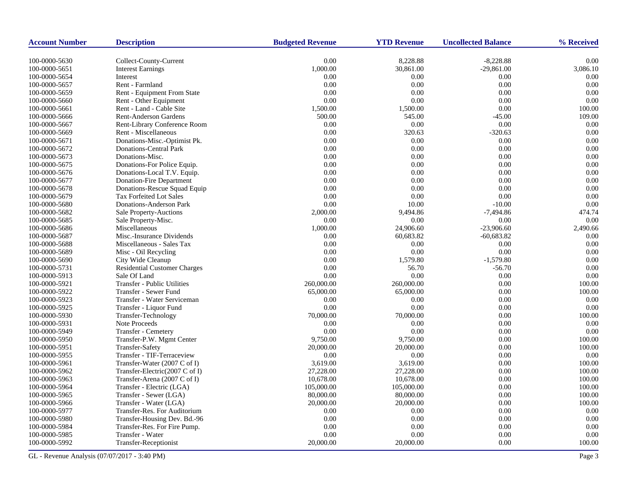| <b>Account Number</b> | <b>Description</b>                  | <b>Budgeted Revenue</b> | <b>YTD Revenue</b> | <b>Uncollected Balance</b> | % Received |
|-----------------------|-------------------------------------|-------------------------|--------------------|----------------------------|------------|
| 100-0000-5630         | Collect-County-Current              | $0.00\,$                | 8,228.88           | $-8,228.88$                | 0.00       |
| 100-0000-5651         | <b>Interest Earnings</b>            | 1,000.00                | 30,861.00          | $-29,861.00$               | 3,086.10   |
| 100-0000-5654         | Interest                            | 0.00                    | 0.00               | 0.00                       | 0.00       |
| 100-0000-5657         | Rent - Farmland                     | 0.00                    | 0.00               | 0.00                       | 0.00       |
| 100-0000-5659         | Rent - Equipment From State         | 0.00                    | 0.00               | 0.00                       | 0.00       |
| 100-0000-5660         | Rent - Other Equipment              | 0.00                    | 0.00               | 0.00                       | 0.00       |
| 100-0000-5661         | Rent - Land - Cable Site            | 1,500.00                | 1,500.00           | 0.00                       | 100.00     |
| 100-0000-5666         | <b>Rent-Anderson Gardens</b>        | 500.00                  | 545.00             | $-45.00$                   | 109.00     |
| 100-0000-5667         | Rent-Library Conference Room        | $0.00\,$                | 0.00               | 0.00                       | 0.00       |
| 100-0000-5669         | Rent - Miscellaneous                | 0.00                    | 320.63             | $-320.63$                  | 0.00       |
| 100-0000-5671         | Donations-Misc.-Optimist Pk.        | 0.00                    | 0.00               | 0.00                       | 0.00       |
| 100-0000-5672         | <b>Donations-Central Park</b>       | 0.00                    | 0.00               | 0.00                       | 0.00       |
| 100-0000-5673         | Donations-Misc.                     | 0.00                    | 0.00               | 0.00                       | 0.00       |
| 100-0000-5675         | Donations-For Police Equip.         | 0.00                    | 0.00               | 0.00                       | 0.00       |
| 100-0000-5676         | Donations-Local T.V. Equip.         | 0.00                    | 0.00               | 0.00                       | 0.00       |
| 100-0000-5677         | Donation-Fire Department            | 0.00                    | 0.00               | 0.00                       | 0.00       |
| 100-0000-5678         | Donations-Rescue Squad Equip        | 0.00                    | 0.00               | 0.00                       | 0.00       |
| 100-0000-5679         | <b>Tax Forfeited Lot Sales</b>      | 0.00                    | 0.00               | 0.00                       | 0.00       |
| 100-0000-5680         | Donations-Anderson Park             | 0.00                    | 10.00              | $-10.00$                   | 0.00       |
| 100-0000-5682         | Sale Property-Auctions              | 2,000.00                | 9,494.86           | $-7,494.86$                | 474.74     |
| 100-0000-5685         | Sale Property-Misc.                 | 0.00                    | 0.00               | 0.00                       | 0.00       |
| 100-0000-5686         | Miscellaneous                       | 1,000.00                | 24,906.60          | $-23,906.60$               | 2,490.66   |
| 100-0000-5687         | Misc.-Insurance Dividends           | 0.00                    | 60,683.82          | $-60,683.82$               | 0.00       |
| 100-0000-5688         | Miscellaneous - Sales Tax           | 0.00                    | 0.00               | 0.00                       | 0.00       |
| 100-0000-5689         | Misc - Oil Recycling                | 0.00                    | 0.00               | 0.00                       | 0.00       |
| 100-0000-5690         | City Wide Cleanup                   | 0.00                    | 1,579.80           | $-1,579.80$                | 0.00       |
| 100-0000-5731         | <b>Residential Customer Charges</b> | 0.00                    | 56.70              | $-56.70$                   | 0.00       |
| 100-0000-5913         | Sale Of Land                        | 0.00                    | 0.00               | 0.00                       | 0.00       |
| 100-0000-5921         | <b>Transfer - Public Utilities</b>  | 260,000.00              | 260,000.00         | 0.00                       | 100.00     |
| 100-0000-5922         | Transfer - Sewer Fund               | 65,000.00               | 65,000.00          | 0.00                       | 100.00     |
| 100-0000-5923         | Transfer - Water Serviceman         | 0.00                    | 0.00               | 0.00                       | 0.00       |
| 100-0000-5925         | Transfer - Liquor Fund              | 0.00                    | 0.00               | 0.00                       | 0.00       |
| 100-0000-5930         | Transfer-Technology                 | 70,000.00               | 70,000.00          | 0.00                       | 100.00     |
| 100-0000-5931         | Note Proceeds                       | 0.00                    | 0.00               | 0.00                       | 0.00       |
| 100-0000-5949         | Transfer - Cemetery                 | 0.00                    | 0.00               | 0.00                       | 0.00       |
| 100-0000-5950         | Transfer-P.W. Mgmt Center           | 9,750.00                | 9,750.00           | 0.00                       | 100.00     |
| 100-0000-5951         | <b>Transfer-Safety</b>              | 20,000.00               | 20,000.00          | 0.00                       | 100.00     |
| 100-0000-5955         | Transfer - TIF-Terraceview          | 0.00                    | 0.00               | 0.00                       | 0.00       |
| 100-0000-5961         | Transfer-Water (2007 C of I)        | 3,619.00                | 3,619.00           | 0.00                       | 100.00     |
| 100-0000-5962         | Transfer-Electric(2007 C of I)      | 27,228.00               | 27,228.00          | 0.00                       | 100.00     |
| 100-0000-5963         | Transfer-Arena (2007 C of I)        | 10,678.00               | 10,678.00          | 0.00                       | 100.00     |
| 100-0000-5964         | Transfer - Electric (LGA)           | 105,000.00              | 105,000.00         | 0.00                       | 100.00     |
| 100-0000-5965         | Transfer - Sewer (LGA)              | 80,000.00               | 80,000.00          | 0.00                       | 100.00     |
| 100-0000-5966         | Transfer - Water (LGA)              | 20,000.00               | 20,000.00          | 0.00                       | 100.00     |
| 100-0000-5977         | Transfer-Res. For Auditorium        | 0.00                    | 0.00               | 0.00                       | 0.00       |
| 100-0000-5980         | Transfer-Housing Dev. Bd.-96        | 0.00                    | 0.00               | 0.00                       | 0.00       |
| 100-0000-5984         | Transfer-Res. For Fire Pump.        | 0.00                    | 0.00               | 0.00                       | 0.00       |
| 100-0000-5985         | Transfer - Water                    | 0.00                    | 0.00               | 0.00                       | 0.00       |
| 100-0000-5992         | Transfer-Receptionist               | 20,000.00               | 20,000.00          | 0.00                       | 100.00     |

GL - Revenue Analysis (07/07/2017 - 3:40 PM) Page 3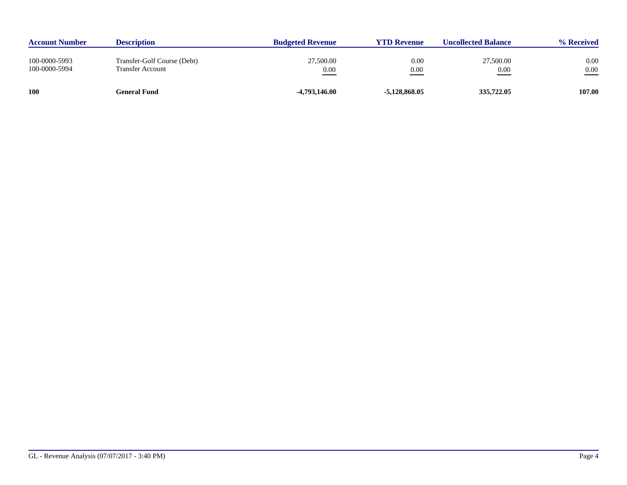| <b>Account Number</b>          | <b>Description</b>                              | <b>Budgeted Revenue</b> | <b>YTD Revenue</b> | <b>Uncollected Balance</b> | % Received       |
|--------------------------------|-------------------------------------------------|-------------------------|--------------------|----------------------------|------------------|
| 100-0000-5993<br>100-0000-5994 | Transfer-Golf Course (Debt)<br>Transfer Account | 27,500.00<br>0.00       | 0.00<br>0.00       | 27,500.00<br>0.00          | 0.00<br>$0.00\,$ |
| <b>100</b>                     | General Fund                                    | -4,793,146.00           | $-5,128,868.05$    | 335,722.05                 | 107.00           |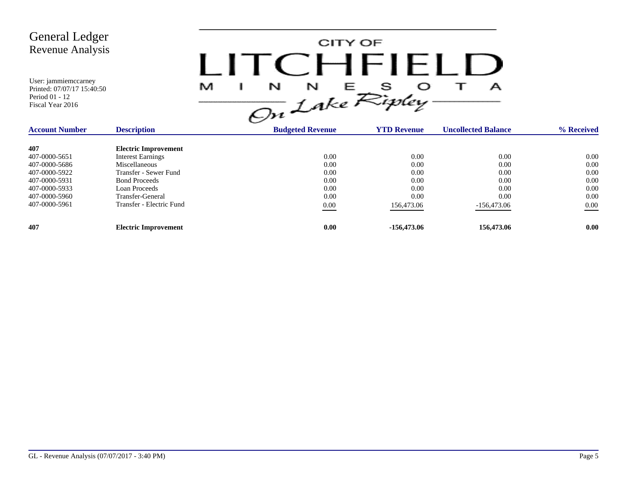

| <b>Account Number</b> | <b>Description</b>          | <b>Budgeted Revenue</b> | <b>YTD Revenue</b> | <b>Uncollected Balance</b> | % Received |
|-----------------------|-----------------------------|-------------------------|--------------------|----------------------------|------------|
| 407                   | <b>Electric Improvement</b> |                         |                    |                            |            |
| 407-0000-5651         | <b>Interest Earnings</b>    | 0.00                    | 0.00               | 0.00                       | 0.00       |
| 407-0000-5686         | Miscellaneous               | 0.00                    | 0.00               | 0.00                       | 0.00       |
| 407-0000-5922         | Transfer - Sewer Fund       | 0.00                    | 0.00               | 0.00                       | 0.00       |
| 407-0000-5931         | <b>Bond Proceeds</b>        | 0.00                    | 0.00               | 0.00                       | 0.00       |
| 407-0000-5933         | Loan Proceeds               | 0.00                    | 0.00               | 0.00                       | 0.00       |
| 407-0000-5960         | Transfer-General            | 0.00                    | 0.00               | 0.00                       | 0.00       |
| 407-0000-5961         | Transfer - Electric Fund    | 0.00                    | 156,473.06         | $-156,473.06$              | 0.00       |
| 407                   | <b>Electric Improvement</b> | 0.00                    | -156,473.06        | 156,473.06                 | 0.00       |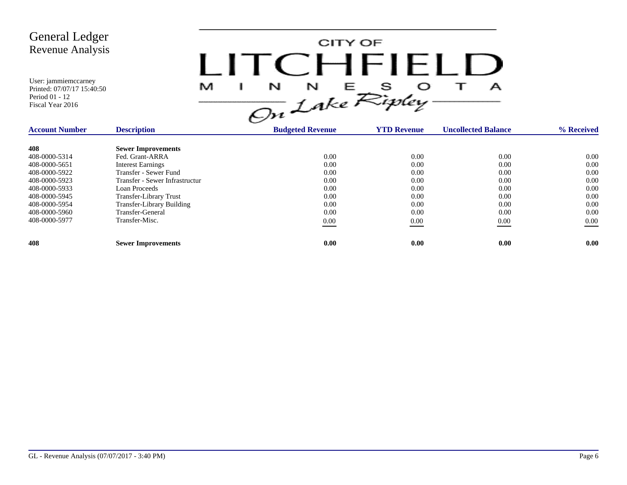CITY OF LITCHFIELD  $M$  I N N E S O T A<br>On Lake Ripley

| <b>Account Number</b> | <b>Description</b>               | <b>Budgeted Revenue</b> | <b>YTD Revenue</b> | <b>Uncollected Balance</b> | % Received |
|-----------------------|----------------------------------|-------------------------|--------------------|----------------------------|------------|
| 408                   | <b>Sewer Improvements</b>        |                         |                    |                            |            |
| 408-0000-5314         | Fed. Grant-ARRA                  | 0.00                    | 0.00               | 0.00                       | $0.00\,$   |
| 408-0000-5651         | <b>Interest Earnings</b>         | 0.00                    | 0.00               | 0.00                       | 0.00       |
| 408-0000-5922         | Transfer - Sewer Fund            | 0.00                    | 0.00               | 0.00                       | 0.00       |
| 408-0000-5923         | Transfer - Sewer Infrastructur   | 0.00                    | 0.00               | 0.00                       | 0.00       |
| 408-0000-5933         | Loan Proceeds                    | 0.00                    | 0.00               | 0.00                       | 0.00       |
| 408-0000-5945         | <b>Transfer-Library Trust</b>    | 0.00                    | 0.00               | 0.00                       | 0.00       |
| 408-0000-5954         | <b>Transfer-Library Building</b> | 0.00                    | 0.00               | 0.00                       | 0.00       |
| 408-0000-5960         | Transfer-General                 | 0.00                    | 0.00               | 0.00                       | 0.00       |
| 408-0000-5977         | Transfer-Misc.                   | 0.00                    | 0.00               | 0.00                       | $0.00\,$   |
| 408                   | <b>Sewer Improvements</b>        | 0.00                    | 0.00               | 0.00                       | 0.00       |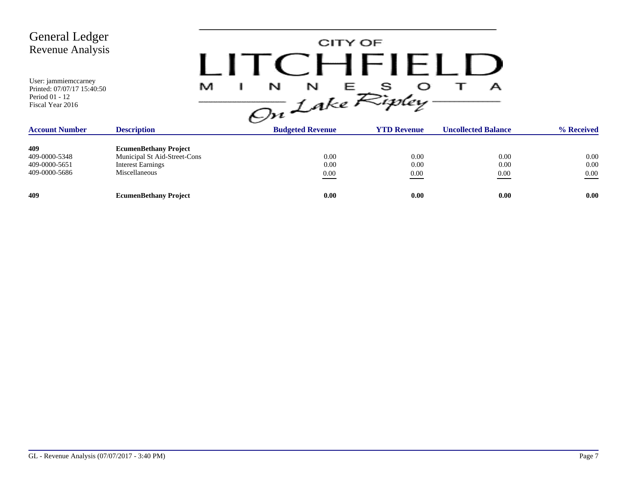| <b>General Ledger</b><br>Revenue Analysis<br>User: jammiemccarney<br>Printed: 07/07/17 15:40:50<br>Period 01 - 12<br>Fiscal Year 2016 | M                                                                                                         | LITCEHELLE<br>N<br>N<br>On Lake Ripley. | CITY OF<br>s<br>Е    | А                          |                          |
|---------------------------------------------------------------------------------------------------------------------------------------|-----------------------------------------------------------------------------------------------------------|-----------------------------------------|----------------------|----------------------------|--------------------------|
| <b>Account Number</b>                                                                                                                 | <b>Description</b>                                                                                        | <b>Budgeted Revenue</b>                 | <b>YTD Revenue</b>   | <b>Uncollected Balance</b> | % Received               |
| 409<br>409-0000-5348<br>409-0000-5651<br>409-0000-5686                                                                                | <b>EcumenBethany Project</b><br>Municipal St Aid-Street-Cons<br><b>Interest Earnings</b><br>Miscellaneous | 0.00<br>0.00<br>0.00                    | 0.00<br>0.00<br>0.00 | 0.00<br>0.00<br>0.00       | 0.00<br>0.00<br>$0.00\,$ |
| 409                                                                                                                                   | <b>EcumenBethany Project</b>                                                                              | 0.00                                    | 0.00                 | 0.00                       | 0.00                     |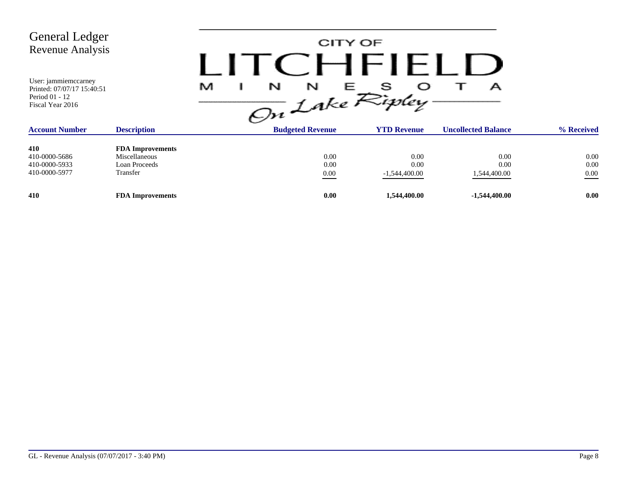| <b>General Ledger</b><br>Revenue Analysis<br>User: jammiemccarney<br>Printed: 07/07/17 15:40:51<br>Period 01 - 12 |                                                                       | M<br>$\frac{1}{\sqrt{2n}}\int_{akc}^{\infty}fR^{2}f$ | CITY OF                  | $H$ $H$ $H$                     | А                            |                          |
|-------------------------------------------------------------------------------------------------------------------|-----------------------------------------------------------------------|------------------------------------------------------|--------------------------|---------------------------------|------------------------------|--------------------------|
| Fiscal Year 2016<br><b>Account Number</b>                                                                         | <b>Description</b>                                                    | <b>Budgeted Revenue</b>                              |                          | <b>YTD Revenue</b>              | <b>Uncollected Balance</b>   | % Received               |
| 410<br>410-0000-5686<br>410-0000-5933<br>410-0000-5977                                                            | <b>FDA Improvements</b><br>Miscellaneous<br>Loan Proceeds<br>Transfer |                                                      | 0.00<br>0.00<br>$0.00\,$ | 0.00<br>0.00<br>$-1,544,400.00$ | 0.00<br>0.00<br>1,544,400.00 | 0.00<br>0.00<br>$0.00\,$ |
| 410                                                                                                               | <b>FDA Improvements</b>                                               |                                                      | 0.00                     | 1,544,400.00                    | $-1,544,400.00$              | 0.00                     |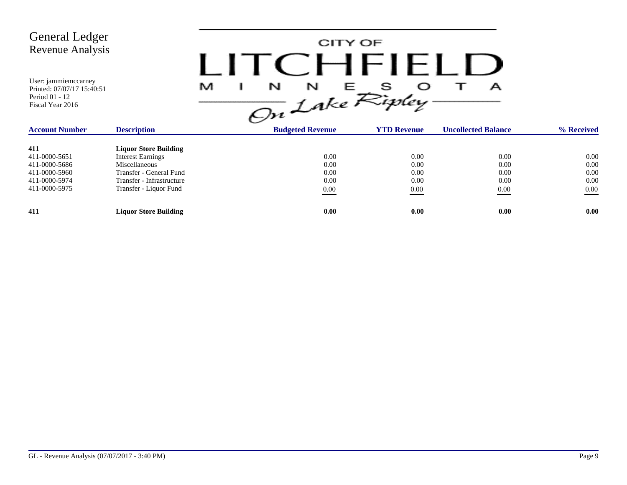

| <b>Account Number</b> | <b>Description</b>           | <b>Budgeted Revenue</b> | <b>YTD Revenue</b> | <b>Uncollected Balance</b> | % Received |
|-----------------------|------------------------------|-------------------------|--------------------|----------------------------|------------|
| 411                   | <b>Liquor Store Building</b> |                         |                    |                            |            |
| 411-0000-5651         | <b>Interest Earnings</b>     | 0.00                    | 0.00               | 0.00                       | 0.00       |
| 411-0000-5686         | Miscellaneous                | 0.00                    | 0.00               | 0.00                       | 0.00       |
| 411-0000-5960         | Transfer - General Fund      | 0.00                    | 0.00               | 0.00                       | 0.00       |
| 411-0000-5974         | Transfer - Infrastructure    | 0.00                    | 0.00               | 0.00                       | 0.00       |
| 411-0000-5975         | Transfer - Liquor Fund       | 0.00                    | 0.00               | 0.00<br>$\sim$             | 0.00       |
| 411                   | <b>Liquor Store Building</b> | 0.00                    | 0.00               | 0.00                       | 0.00       |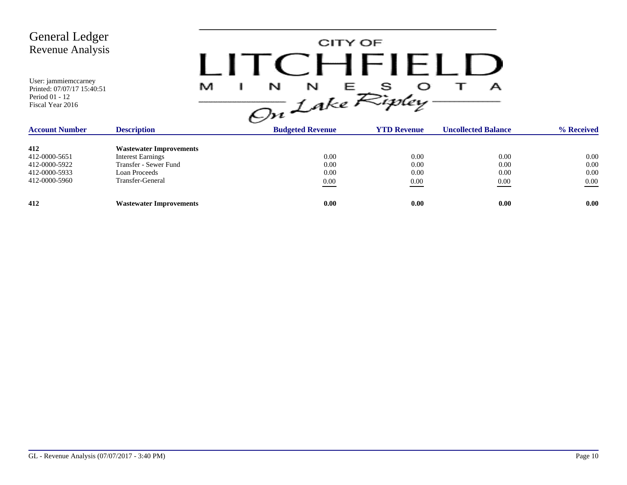CITY OF LITCHFIELD  $M$  I N N E S O T A<br>On Lake Ripley

| <b>Account Number</b> | <b>Description</b>             | <b>Budgeted Revenue</b> | <b>YTD Revenue</b> | <b>Uncollected Balance</b> | % Received |
|-----------------------|--------------------------------|-------------------------|--------------------|----------------------------|------------|
| 412                   | <b>Wastewater Improvements</b> |                         |                    |                            |            |
| 412-0000-5651         | Interest Earnings              | 0.00                    | 0.00               | 0.00                       | $0.00\,$   |
| 412-0000-5922         | Transfer - Sewer Fund          | 0.00                    | 0.00               | 0.00                       | 0.00       |
| 412-0000-5933         | Loan Proceeds                  | 0.00                    | 0.00               | 0.00                       | 0.00       |
| 412-0000-5960         | Transfer-General               | $\underline{0.00}$      | 0.00               | 0.00                       | 0.00       |
| 412                   | <b>Wastewater Improvements</b> | 0.00                    | 0.00               | 0.00                       | 0.00       |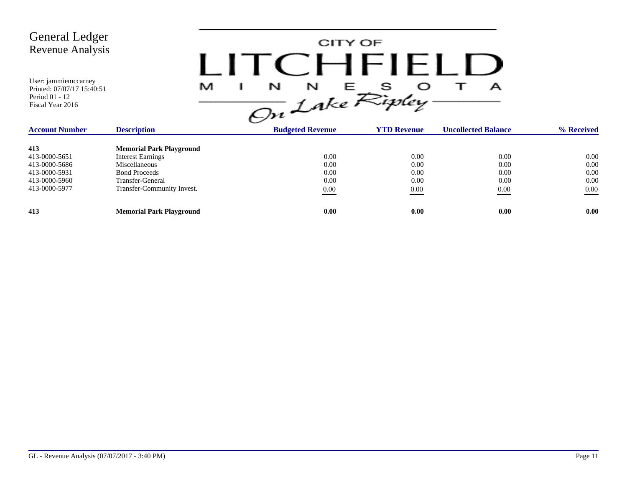CITY OF LITCHFIELD  $M$  I N N E S O T A<br>On Lake Ripley

| <b>Account Number</b> | <b>Description</b>              | <b>Budgeted Revenue</b> | <b>YTD Revenue</b> | <b>Uncollected Balance</b> | % Received |
|-----------------------|---------------------------------|-------------------------|--------------------|----------------------------|------------|
| 413                   | <b>Memorial Park Playground</b> |                         |                    |                            |            |
| 413-0000-5651         | <b>Interest Earnings</b>        | 0.00                    | 0.00               | 0.00                       | 0.00       |
| 413-0000-5686         | Miscellaneous                   | 0.00                    | 0.00               | 0.00                       | 0.00       |
| 413-0000-5931         | <b>Bond Proceeds</b>            | 0.00                    | 0.00               | 0.00                       | 0.00       |
| 413-0000-5960         | Transfer-General                | 0.00                    | 0.00               | 0.00                       | 0.00       |
| 413-0000-5977         | Transfer-Community Invest.      | 0.00                    | 0.00               | 0.00                       | 0.00       |
| 413                   | <b>Memorial Park Playground</b> | 0.00                    | 0.00               | 0.00                       | 0.00       |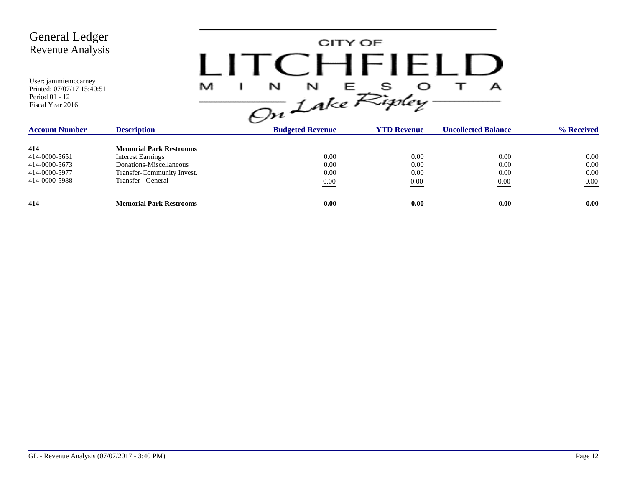CITY OF LITCHFIELD  $M$  I N N E S O T A<br>On Lake Ripley

| <b>Account Number</b> | <b>Description</b>             | <b>Budgeted Revenue</b> | <b>YTD Revenue</b> | <b>Uncollected Balance</b> | % Received |
|-----------------------|--------------------------------|-------------------------|--------------------|----------------------------|------------|
| 414                   | <b>Memorial Park Restrooms</b> |                         |                    |                            |            |
| 414-0000-5651         | <b>Interest Earnings</b>       | 0.00                    | 0.00               | 0.00                       | 0.00       |
| 414-0000-5673         | Donations-Miscellaneous        | 0.00                    | 0.00               | 0.00                       | 0.00       |
| 414-0000-5977         | Transfer-Community Invest.     | 0.00                    | 0.00               | 0.00                       | 0.00       |
| 414-0000-5988         | Transfer - General             | 0.00                    | 0.00               | 0.00                       | 0.00       |
| 414                   | <b>Memorial Park Restrooms</b> | 0.00                    | 0.00               | 0.00                       | 0.00       |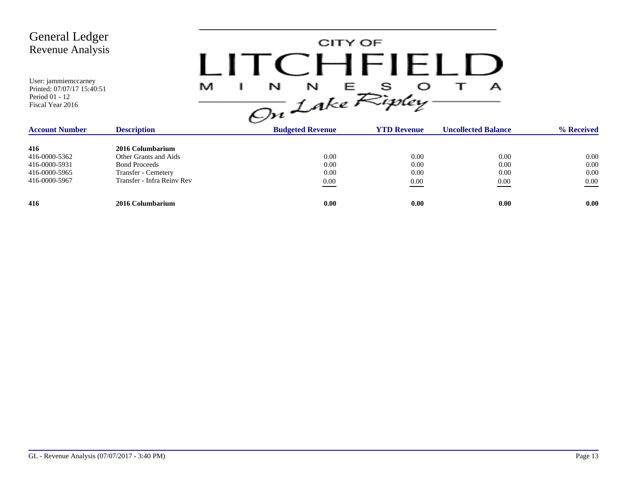| <b>General Ledger</b><br>Revenue Analysis<br>User: jammiemccarney<br>Printed: 07/07/17 15:40:51<br>Period 01 - 12<br>Fiscal Year 2016 |                                                                                                                        | M |                                  | CITY OF<br>$C$ $H$ $H$ $H$ $L$ $L$<br>$\frac{1}{\sqrt{2n}}\int_{0}^{N} f dx e^{\int_{0}^{N} f dy} dy$ | А                            |                                  |
|---------------------------------------------------------------------------------------------------------------------------------------|------------------------------------------------------------------------------------------------------------------------|---|----------------------------------|-------------------------------------------------------------------------------------------------------|------------------------------|----------------------------------|
| <b>Account Number</b>                                                                                                                 | <b>Description</b>                                                                                                     |   | <b>Budgeted Revenue</b>          | <b>YTD Revenue</b>                                                                                    | <b>Uncollected Balance</b>   | % Received                       |
| 416<br>416-0000-5362<br>416-0000-5931<br>416-0000-5965<br>416-0000-5967                                                               | 2016 Columbarium<br>Other Grants and Aids<br><b>Bond Proceeds</b><br>Transfer - Cemetery<br>Transfer - Infra Reiny Rev |   | 0.00<br>0.00<br>0.00<br>$0.00\,$ | 0.00<br>0.00<br>0.00<br>0.00                                                                          | 0.00<br>0.00<br>0.00<br>0.00 | 0.00<br>0.00<br>0.00<br>$0.00\,$ |
| 416                                                                                                                                   | 2016 Columbarium                                                                                                       |   | 0.00                             | 0.00                                                                                                  | 0.00                         | 0.00                             |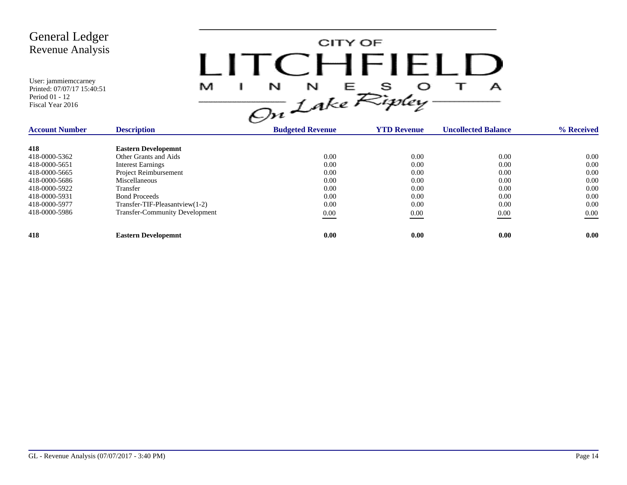

| <b>Account Number</b> | <b>Description</b>                    | <b>Budgeted Revenue</b> | <b>YTD Revenue</b> | <b>Uncollected Balance</b> | % Received |
|-----------------------|---------------------------------------|-------------------------|--------------------|----------------------------|------------|
| 418                   | <b>Eastern Developemnt</b>            |                         |                    |                            |            |
| 418-0000-5362         | Other Grants and Aids                 | 0.00                    | 0.00               | 0.00                       | 0.00       |
| 418-0000-5651         | <b>Interest Earnings</b>              | 0.00                    | 0.00               | 0.00                       | 0.00       |
| 418-0000-5665         | Project Reimbursement                 | 0.00                    | 0.00               | 0.00                       | 0.00       |
| 418-0000-5686         | Miscellaneous                         | 0.00                    | 0.00               | 0.00                       | 0.00       |
| 418-0000-5922         | Transfer                              | 0.00                    | 0.00               | 0.00                       | 0.00       |
| 418-0000-5931         | <b>Bond Proceeds</b>                  | 0.00                    | 0.00               | 0.00                       | 0.00       |
| 418-0000-5977         | $Transfer-TIF-Please$ artview $(1-2)$ | 0.00                    | 0.00               | 0.00                       | 0.00       |
| 418-0000-5986         | <b>Transfer-Community Development</b> | 0.00                    | 0.00               | 0.00                       | 0.00       |
|                       |                                       |                         |                    |                            |            |
| 418                   | <b>Eastern Developemnt</b>            | 0.00                    | 0.00               | 0.00                       | 0.00       |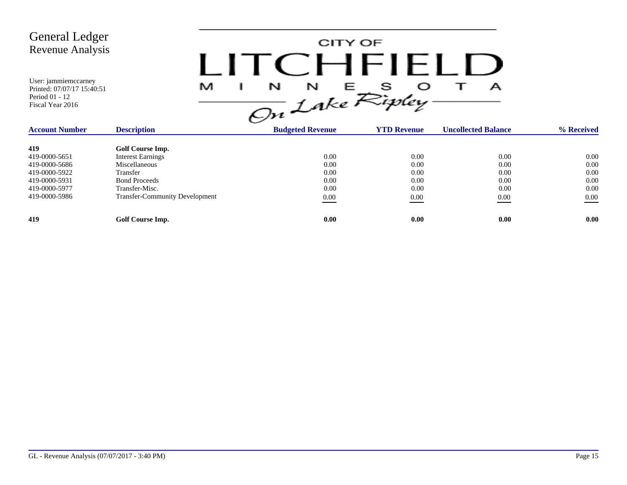

| <b>Account Number</b> | <b>Description</b>                    | <b>Budgeted Revenue</b> | <b>YTD Revenue</b> | <b>Uncollected Balance</b> | % Received |
|-----------------------|---------------------------------------|-------------------------|--------------------|----------------------------|------------|
|                       |                                       |                         |                    |                            |            |
| 419                   | Golf Course Imp.                      |                         |                    |                            |            |
| 419-0000-5651         | <b>Interest Earnings</b>              | 0.00                    | 0.00               | 0.00                       | 0.00       |
| 419-0000-5686         | Miscellaneous                         | 0.00                    | 0.00               | 0.00                       | 0.00       |
| 419-0000-5922         | Transfer                              | 0.00                    | 0.00               | 0.00                       | 0.00       |
| 419-0000-5931         | <b>Bond Proceeds</b>                  | 0.00                    | 0.00               | 0.00                       | 0.00       |
| 419-0000-5977         | Transfer-Misc.                        | 0.00                    | 0.00               | 0.00                       | 0.00       |
| 419-0000-5986         | <b>Transfer-Community Development</b> | 0.00                    | 0.00               | 0.00                       | 0.00       |
| 419                   | Golf Course Imp.                      | 0.00                    | 0.00               | 0.00                       | 0.00       |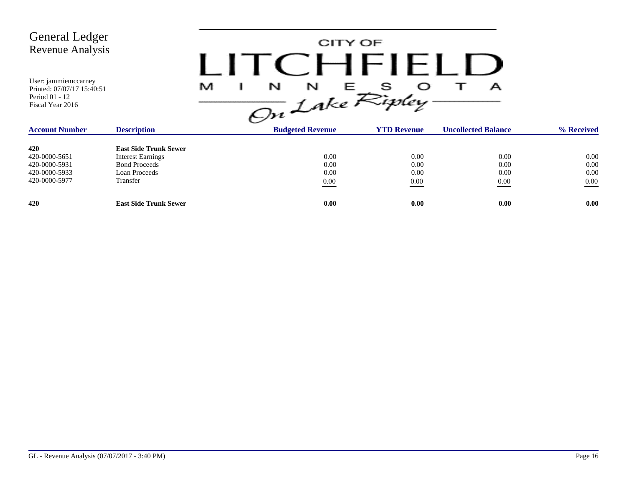| <b>General Ledger</b><br><b>Revenue Analysis</b><br>User: jammiemccarney<br>Printed: 07/07/17 15:40:51<br>Period 01 - 12<br>Fiscal Year 2016 |                                                                                                               | CITY OF<br>$\frac{1}{\sin L}$ $\int_{0}^{N} E E_{i}^{S}$ | CHFHEI                       | А                                |                                  |
|----------------------------------------------------------------------------------------------------------------------------------------------|---------------------------------------------------------------------------------------------------------------|----------------------------------------------------------|------------------------------|----------------------------------|----------------------------------|
| <b>Account Number</b>                                                                                                                        | <b>Description</b>                                                                                            | <b>Budgeted Revenue</b>                                  | <b>YTD Revenue</b>           | <b>Uncollected Balance</b>       | % Received                       |
| 420<br>420-0000-5651<br>420-0000-5931<br>420-0000-5933<br>420-0000-5977                                                                      | <b>East Side Trunk Sewer</b><br><b>Interest Earnings</b><br><b>Bond Proceeds</b><br>Loan Proceeds<br>Transfer | 0.00<br>0.00<br>0.00<br>$0.00\,$                         | 0.00<br>0.00<br>0.00<br>0.00 | 0.00<br>0.00<br>0.00<br>$0.00\,$ | 0.00<br>0.00<br>0.00<br>$0.00\,$ |
| 420                                                                                                                                          | <b>East Side Trunk Sewer</b>                                                                                  | 0.00                                                     | 0.00                         | 0.00                             | 0.00                             |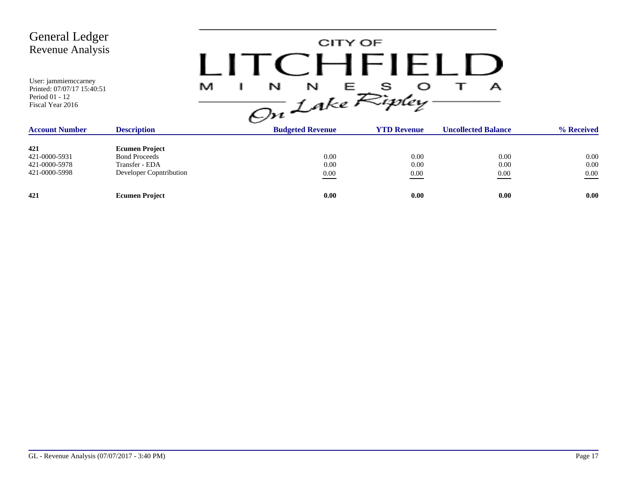| <b>General Ledger</b><br>Revenue Analysis                                                |                                                                                            | LITCHFIFI   | CITY OF                 |                          |                            |                          |
|------------------------------------------------------------------------------------------|--------------------------------------------------------------------------------------------|-------------|-------------------------|--------------------------|----------------------------|--------------------------|
| User: jammiemccarney<br>Printed: 07/07/17 15:40:51<br>Period 01 - 12<br>Fiscal Year 2016 |                                                                                            | M<br>N<br>I | N<br>Е                  | s<br>On Lake Ripley.     | А                          |                          |
| <b>Account Number</b>                                                                    | <b>Description</b>                                                                         |             | <b>Budgeted Revenue</b> | <b>YTD Revenue</b>       | <b>Uncollected Balance</b> | % Received               |
| 421<br>421-0000-5931<br>421-0000-5978<br>421-0000-5998                                   | <b>Ecumen Project</b><br><b>Bond Proceeds</b><br>Transfer - EDA<br>Developer Copntribution |             | 0.00<br>0.00<br>0.00    | 0.00<br>0.00<br>$0.00\,$ | 0.00<br>0.00<br>0.00       | 0.00<br>0.00<br>$0.00\,$ |
| 421                                                                                      | <b>Ecumen Project</b>                                                                      |             | 0.00                    | 0.00                     | 0.00                       | 0.00                     |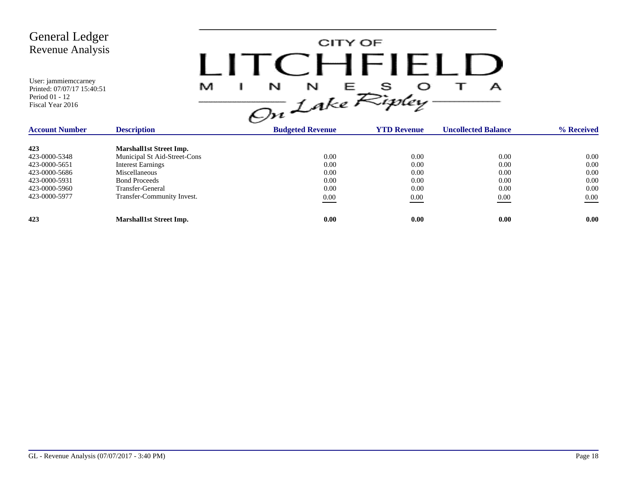| <b>General Ledger</b><br><b>Revenue Analysis</b><br>User: jammiemccarney<br>Printed: 07/07/17 15:40:51<br>Period 01 - 12<br>Fiscal Year 2016 | M                                                                                                                                                                                     | CITY OF<br>LITCEHEIELL<br>$\frac{1}{\sqrt{2n}}\int_{0}^{N}e^{E}E_{ij}^{s}$ |                                              | А                                                |                                                  |
|----------------------------------------------------------------------------------------------------------------------------------------------|---------------------------------------------------------------------------------------------------------------------------------------------------------------------------------------|----------------------------------------------------------------------------|----------------------------------------------|--------------------------------------------------|--------------------------------------------------|
| <b>Account Number</b>                                                                                                                        | <b>Description</b>                                                                                                                                                                    | <b>Budgeted Revenue</b>                                                    | <b>YTD Revenue</b>                           | <b>Uncollected Balance</b>                       | % Received                                       |
| 423<br>423-0000-5348<br>423-0000-5651<br>423-0000-5686<br>423-0000-5931<br>423-0000-5960<br>423-0000-5977                                    | <b>Marshall1st Street Imp.</b><br>Municipal St Aid-Street-Cons<br><b>Interest Earnings</b><br>Miscellaneous<br><b>Bond Proceeds</b><br>Transfer-General<br>Transfer-Community Invest. | 0.00<br>0.00<br>0.00<br>0.00<br>0.00<br>$0.00\,$                           | 0.00<br>0.00<br>0.00<br>0.00<br>0.00<br>0.00 | 0.00<br>0.00<br>0.00<br>0.00<br>0.00<br>$0.00\,$ | 0.00<br>0.00<br>0.00<br>0.00<br>0.00<br>$0.00\,$ |
| 423                                                                                                                                          | <b>Marshall1st Street Imp.</b>                                                                                                                                                        | 0.00                                                                       | 0.00                                         | 0.00                                             | 0.00                                             |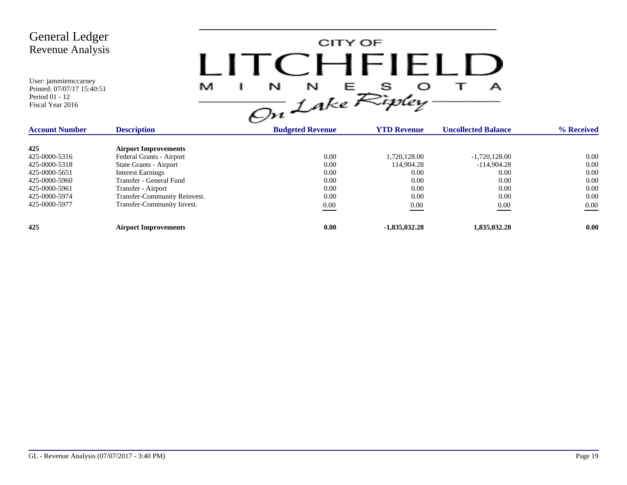| <b>General Ledger</b><br><b>Revenue Analysis</b><br>User: jammiemccarney<br>Printed: 07/07/17 15:40:51<br>Period 01 - 12<br>Fiscal Year 2016 | M                            | CITY OF<br>$I$ ITC HEIEL<br>$\overline{On}$ Lake Ripley- |                    | А                          |            |
|----------------------------------------------------------------------------------------------------------------------------------------------|------------------------------|----------------------------------------------------------|--------------------|----------------------------|------------|
| <b>Account Number</b>                                                                                                                        | <b>Description</b>           | <b>Budgeted Revenue</b>                                  | <b>YTD Revenue</b> | <b>Uncollected Balance</b> | % Received |
| 425                                                                                                                                          | <b>Airport Improvements</b>  |                                                          |                    |                            |            |
| 425-0000-5316                                                                                                                                | Federal Grants - Airport     | 0.00                                                     | 1,720,128.00       | $-1,720,128.00$            | 0.00       |
| 425-0000-5318                                                                                                                                | State Grants - Airport       | 0.00                                                     | 114,904.28         | $-114,904.28$              | 0.00       |
| 425-0000-5651                                                                                                                                | <b>Interest Earnings</b>     | 0.00                                                     | 0.00               | 0.00                       | 0.00       |
| 425-0000-5960                                                                                                                                | Transfer - General Fund      | 0.00                                                     | 0.00               | 0.00                       | 0.00       |
| 425-0000-5961                                                                                                                                | Transfer - Airport           | 0.00                                                     | 0.00               | 0.00                       | 0.00       |
| 425-0000-5974                                                                                                                                | Transfer-Community Reinvest. | 0.00                                                     | 0.00               | 0.00                       | 0.00       |
| 425-0000-5977                                                                                                                                | Transfer-Community Invest.   | $0.00\,$                                                 | 0.00               | $0.00\,$                   | 0.00       |
| 425                                                                                                                                          | <b>Airport Improvements</b>  | 0.00                                                     | $-1,835,032.28$    | 1,835,032.28               | 0.00       |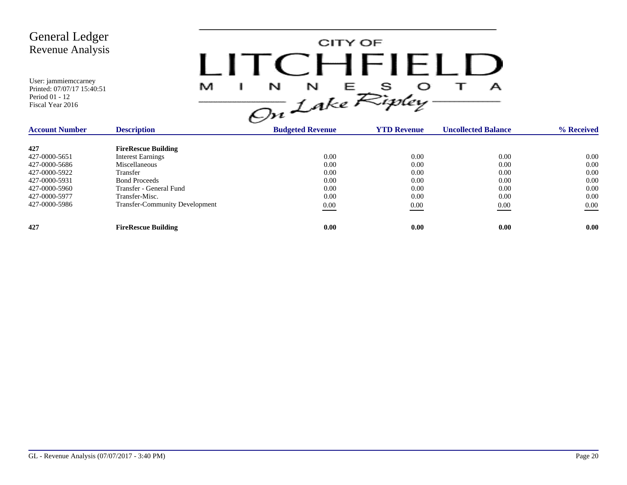

| <b>Account Number</b> | <b>Description</b>                    | <b>Budgeted Revenue</b> | <b>YTD Revenue</b> | <b>Uncollected Balance</b> | % Received |
|-----------------------|---------------------------------------|-------------------------|--------------------|----------------------------|------------|
| 427                   | <b>FireRescue Building</b>            |                         |                    |                            |            |
| 427-0000-5651         | <b>Interest Earnings</b>              | 0.00                    | 0.00               | 0.00                       | 0.00       |
| 427-0000-5686         | Miscellaneous                         | 0.00                    | 0.00               | 0.00                       | 0.00       |
| 427-0000-5922         | Transfer                              | 0.00                    | 0.00               | 0.00                       | 0.00       |
| 427-0000-5931         | <b>Bond Proceeds</b>                  | 0.00                    | 0.00               | 0.00                       | 0.00       |
| 427-0000-5960         | Transfer - General Fund               | 0.00                    | 0.00               | 0.00                       | 0.00       |
| 427-0000-5977         | Transfer-Misc.                        | 0.00                    | 0.00               | 0.00                       | 0.00       |
| 427-0000-5986         | <b>Transfer-Community Development</b> | 0.00                    | 0.00               | 0.00                       | 0.00       |
| 427                   | <b>FireRescue Building</b>            | 0.00                    | 0.00               | 0.00                       | 0.00       |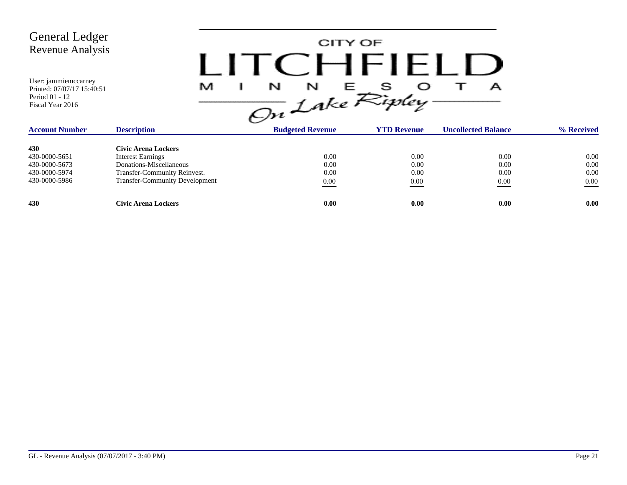

| <b>Account Number</b> | <b>Description</b>                    | <b>Budgeted Revenue</b> | <b>YTD Revenue</b> | <b>Uncollected Balance</b> | % Received |
|-----------------------|---------------------------------------|-------------------------|--------------------|----------------------------|------------|
| 430                   | Civic Arena Lockers                   |                         |                    |                            |            |
| 430-0000-5651         | <b>Interest Earnings</b>              | 0.00                    | 0.00               | 0.00                       | 0.00       |
| 430-0000-5673         | Donations-Miscellaneous               | 0.00                    | 0.00               | 0.00                       | 0.00       |
| 430-0000-5974         | Transfer-Community Reinvest.          | 0.00                    | 0.00               | 0.00                       | 0.00       |
| 430-0000-5986         | <b>Transfer-Community Development</b> | $\underline{0.00}$      | 0.00               | 0.00                       | 0.00       |
| 430                   | Civic Arena Lockers                   | 0.00                    | 0.00               | 0.00                       | 0.00       |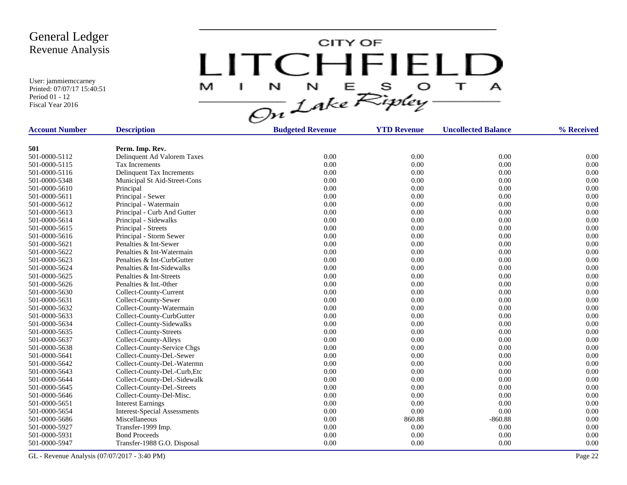User: jammiemccarney Printed: 07/07/17 15:40:51 Period 01 - 12 Fiscal Year 2016

CITY OF LITCHFIELD  $N$   $N$   $E$   $S$   $O$ <br> $On$  Lake Ripley  $\mathbf{T}$ M J.  $\mathbf{A}$ 

| <b>Account Number</b> | <b>Description</b>                  | <b>Budgeted Revenue</b> | <b>YTD Revenue</b> | <b>Uncollected Balance</b> | % Received |
|-----------------------|-------------------------------------|-------------------------|--------------------|----------------------------|------------|
|                       |                                     |                         |                    |                            |            |
| 501                   | Perm. Imp. Rev.                     |                         |                    |                            |            |
| 501-0000-5112         | Delinquent Ad Valorem Taxes         | 0.00                    | 0.00               | 0.00                       | 0.00       |
| 501-0000-5115         | Tax Increments                      | 0.00                    | 0.00               | 0.00                       | 0.00       |
| 501-0000-5116         | Delinquent Tax Increments           | 0.00                    | 0.00               | 0.00                       | 0.00       |
| 501-0000-5348         | Municipal St Aid-Street-Cons        | 0.00                    | 0.00               | 0.00                       | 0.00       |
| 501-0000-5610         | Principal                           | 0.00                    | 0.00               | 0.00                       | 0.00       |
| 501-0000-5611         | Principal - Sewer                   | 0.00                    | 0.00               | 0.00                       | 0.00       |
| 501-0000-5612         | Principal - Watermain               | 0.00                    | 0.00               | 0.00                       | 0.00       |
| 501-0000-5613         | Principal - Curb And Gutter         | 0.00                    | 0.00               | 0.00                       | 0.00       |
| 501-0000-5614         | Principal - Sidewalks               | 0.00                    | 0.00               | 0.00                       | 0.00       |
| 501-0000-5615         | Principal - Streets                 | 0.00                    | 0.00               | 0.00                       | 0.00       |
| 501-0000-5616         | Principal - Storm Sewer             | 0.00                    | 0.00               | 0.00                       | 0.00       |
| 501-0000-5621         | Penalties & Int-Sewer               | 0.00                    | 0.00               | 0.00                       | 0.00       |
| 501-0000-5622         | Penalties & Int-Watermain           | 0.00                    | 0.00               | 0.00                       | 0.00       |
| 501-0000-5623         | Penalties & Int-CurbGutter          | 0.00                    | 0.00               | 0.00                       | 0.00       |
| 501-0000-5624         | Penalties & Int-Sidewalks           | 0.00                    | 0.00               | 0.00                       | 0.00       |
| 501-0000-5625         | Penalties & Int-Streets             | 0.00                    | 0.00               | 0.00                       | 0.00       |
| 501-0000-5626         | Penalties & Int.-0ther              | 0.00                    | 0.00               | 0.00                       | 0.00       |
| 501-0000-5630         | Collect-County-Current              | 0.00                    | 0.00               | 0.00                       | 0.00       |
| 501-0000-5631         | Collect-County-Sewer                | 0.00                    | 0.00               | 0.00                       | 0.00       |
| 501-0000-5632         | Collect-County-Watermain            | 0.00                    | 0.00               | 0.00                       | 0.00       |
| 501-0000-5633         | Collect-County-CurbGutter           | 0.00                    | 0.00               | 0.00                       | 0.00       |
| 501-0000-5634         | Collect-County-Sidewalks            | 0.00                    | 0.00               | 0.00                       | 0.00       |
| 501-0000-5635         | Collect-County-Streets              | 0.00                    | 0.00               | 0.00                       | 0.00       |
| 501-0000-5637         | Collect-County-Alleys               | 0.00                    | 0.00               | 0.00                       | 0.00       |
| 501-0000-5638         | Collect-County-Service Chgs         | 0.00                    | 0.00               | 0.00                       | 0.00       |
| 501-0000-5641         | Collect-County-Del.-Sewer           | 0.00                    | 0.00               | 0.00                       | 0.00       |
| 501-0000-5642         | Collect-County-Del.-Watermn         | 0.00                    | 0.00               | 0.00                       | 0.00       |
| 501-0000-5643         | Collect-County-Del.-Curb, Etc       | 0.00                    | 0.00               | 0.00                       | 0.00       |
| 501-0000-5644         | Collect-County-Del.-Sidewalk        | 0.00                    | 0.00               | 0.00                       | 0.00       |
| 501-0000-5645         | Collect-County-Del.-Streets         | 0.00                    | 0.00               | 0.00                       | 0.00       |
| 501-0000-5646         | Collect-County-Del-Misc.            | 0.00                    | 0.00               | 0.00                       | 0.00       |
| 501-0000-5651         | <b>Interest Earnings</b>            | 0.00                    | 0.00               | 0.00                       | 0.00       |
| 501-0000-5654         | <b>Interest-Special Assessments</b> | 0.00                    | 0.00               | 0.00                       | 0.00       |
| 501-0000-5686         | Miscellaneous                       | 0.00                    | 860.88             | $-860.88$                  | 0.00       |
| 501-0000-5927         | Transfer-1999 Imp.                  | 0.00                    | 0.00               | 0.00                       | 0.00       |
| 501-0000-5931         | <b>Bond Proceeds</b>                | 0.00                    | 0.00               | 0.00                       | 0.00       |
| 501-0000-5947         | Transfer-1988 G.O. Disposal         | 0.00                    | 0.00               | 0.00                       | 0.00       |

GL - Revenue Analysis (07/07/2017 - 3:40 PM) Page 22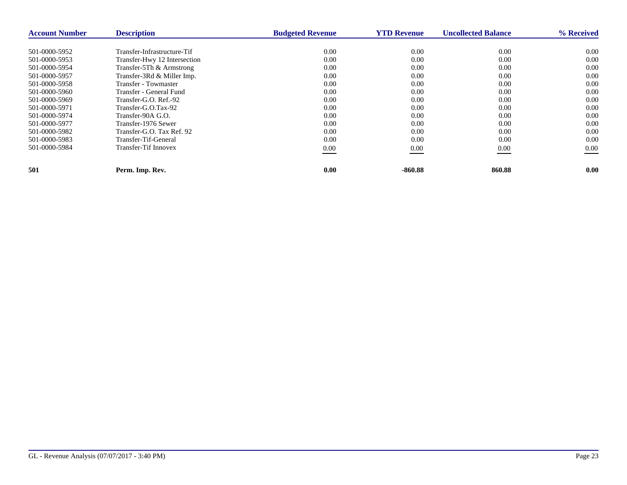| <b>Account Number</b> | <b>Description</b>           | <b>Budgeted Revenue</b> | <b>YTD Revenue</b> | <b>Uncollected Balance</b> | % Received |
|-----------------------|------------------------------|-------------------------|--------------------|----------------------------|------------|
| 501-0000-5952         | Transfer-Infrastructure-Tif  | 0.00                    | 0.00               | 0.00                       | 0.00       |
| 501-0000-5953         | Transfer-Hwy 12 Intersection | 0.00                    | 0.00               | 0.00                       | 0.00       |
| 501-0000-5954         | Transfer-5Th & Armstrong     | 0.00                    | 0.00               | 0.00                       | 0.00       |
| 501-0000-5957         | Transfer-3Rd & Miller Imp.   | 0.00                    | 0.00               | 0.00                       | 0.00       |
| 501-0000-5958         | Transfer - Towmaster         | 0.00                    | 0.00               | 0.00                       | 0.00       |
| 501-0000-5960         | Transfer - General Fund      | 0.00                    | 0.00               | 0.00                       | 0.00       |
| 501-0000-5969         | Transfer-G.O. Ref.-92        | 0.00                    | 0.00               | 0.00                       | 0.00       |
| 501-0000-5971         | Transfer-G.O.Tax-92          | 0.00                    | 0.00               | 0.00                       | 0.00       |
| 501-0000-5974         | Transfer-90A G.O.            | 0.00                    | 0.00               | 0.00                       | 0.00       |
| 501-0000-5977         | Transfer-1976 Sewer          | 0.00                    | 0.00               | 0.00                       | 0.00       |
| 501-0000-5982         | Transfer-G.O. Tax Ref. 92    | 0.00                    | 0.00               | 0.00                       | 0.00       |
| 501-0000-5983         | Transfer-Tif-General         | 0.00                    | 0.00               | 0.00                       | 0.00       |
| 501-0000-5984         | Transfer-Tif Innovex         | $0.00\,$                | 0.00               | 0.00                       | $0.00\,$   |
|                       |                              |                         |                    |                            |            |
| 501                   | Perm. Imp. Rev.              | 0.00                    | $-860.88$          | 860.88                     | 0.00       |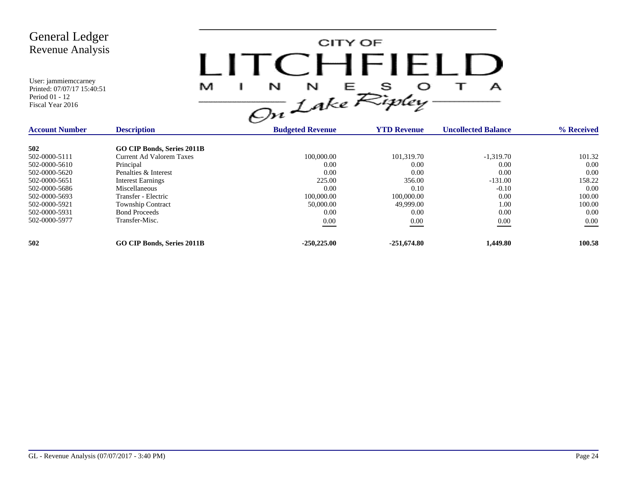| <b>General Ledger</b><br><b>Revenue Analysis</b><br>User: jammiemccarney<br>Printed: 07/07/17 15:40:51<br>Period 01 - 12<br>Fiscal Year 2016 | M                                 | $1$ ITC HEIFI<br>$\frac{1}{\sqrt{2n}}\frac{N}{L}e^{-\frac{1}{2}\int_{0}^{T}\frac{1}{\sqrt{2}}\int_{0}^{T}\frac{1}{\sqrt{2}}\int_{0}^{T}\frac{1}{\sqrt{2}}\int_{0}^{T}\frac{1}{\sqrt{2}}\int_{0}^{T}\frac{1}{\sqrt{2}}\int_{0}^{T}\frac{1}{\sqrt{2}}\int_{0}^{T}\frac{1}{\sqrt{2}}\int_{0}^{T}\frac{1}{\sqrt{2}}\int_{0}^{T}\frac{1}{\sqrt{2}}\int_{0}^{T}\frac{1}{\sqrt{2}}\int_{0}^{T}\frac{1}{\sqrt{2}}\int_{0}^{T$ | CITY OF            | А                          |            |
|----------------------------------------------------------------------------------------------------------------------------------------------|-----------------------------------|-----------------------------------------------------------------------------------------------------------------------------------------------------------------------------------------------------------------------------------------------------------------------------------------------------------------------------------------------------------------------------------------------------------------------|--------------------|----------------------------|------------|
| <b>Account Number</b>                                                                                                                        | <b>Description</b>                | <b>Budgeted Revenue</b>                                                                                                                                                                                                                                                                                                                                                                                               | <b>YTD Revenue</b> | <b>Uncollected Balance</b> | % Received |
| 502                                                                                                                                          | GO CIP Bonds, Series 2011B        |                                                                                                                                                                                                                                                                                                                                                                                                                       |                    |                            |            |
| 502-0000-5111                                                                                                                                | <b>Current Ad Valorem Taxes</b>   | 100,000.00                                                                                                                                                                                                                                                                                                                                                                                                            | 101,319.70         | $-1,319.70$                | 101.32     |
| 502-0000-5610                                                                                                                                | Principal                         | 0.00                                                                                                                                                                                                                                                                                                                                                                                                                  | 0.00               | 0.00                       | 0.00       |
| 502-0000-5620                                                                                                                                | Penalties & Interest              | 0.00                                                                                                                                                                                                                                                                                                                                                                                                                  | 0.00               | 0.00                       | 0.00       |
| 502-0000-5651                                                                                                                                | <b>Interest Earnings</b>          | 225.00                                                                                                                                                                                                                                                                                                                                                                                                                | 356.00             | $-131.00$                  | 158.22     |
| 502-0000-5686                                                                                                                                | Miscellaneous                     | 0.00                                                                                                                                                                                                                                                                                                                                                                                                                  | 0.10               | $-0.10$                    | 0.00       |
| 502-0000-5693                                                                                                                                | Transfer - Electric               | 100,000.00                                                                                                                                                                                                                                                                                                                                                                                                            | 100,000.00         | 0.00                       | 100.00     |
| 502-0000-5921                                                                                                                                | Township Contract                 | 50,000.00                                                                                                                                                                                                                                                                                                                                                                                                             | 49,999.00          | 1.00                       | 100.00     |
| 502-0000-5931                                                                                                                                | <b>Bond Proceeds</b>              | 0.00                                                                                                                                                                                                                                                                                                                                                                                                                  | 0.00               | 0.00                       | 0.00       |
| 502-0000-5977                                                                                                                                | Transfer-Misc.                    | $0.00\,$                                                                                                                                                                                                                                                                                                                                                                                                              | $0.00\,$           | 0.00                       | $0.00\,$   |
| 502                                                                                                                                          | <b>GO CIP Bonds, Series 2011B</b> | $-250,225.00$                                                                                                                                                                                                                                                                                                                                                                                                         | $-251,674.80$      | 1,449.80                   | 100.58     |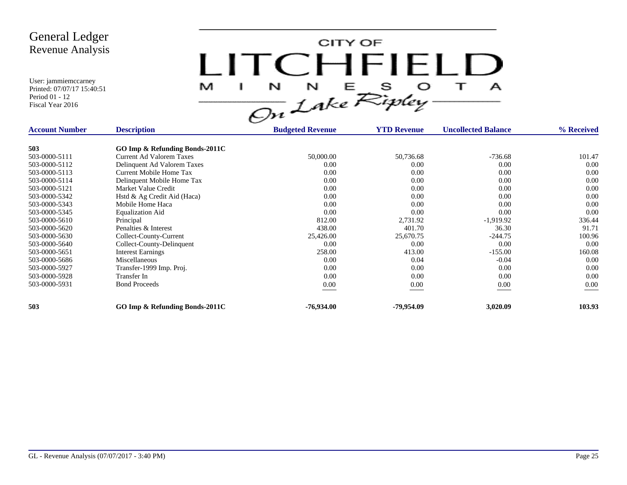User: jammiemccarney Printed: 07/07/17 15:40:51

Period 01 - 12 Fiscal Year 2016

CITY OF LITCHFIELD  $M$  I N N E S O T A<br>On Lake Ripley

| <b>Account Number</b> | <b>Description</b>              | <b>The Company's Company's</b><br><b>Budgeted Revenue</b> | <b>YTD Revenue</b> | <b>Uncollected Balance</b> | % Received |
|-----------------------|---------------------------------|-----------------------------------------------------------|--------------------|----------------------------|------------|
| 503                   | GO Imp & Refunding Bonds-2011C  |                                                           |                    |                            |            |
| 503-0000-5111         | <b>Current Ad Valorem Taxes</b> | 50,000.00                                                 | 50,736.68          | $-736.68$                  | 101.47     |
| 503-0000-5112         | Delinquent Ad Valorem Taxes     | 0.00                                                      | 0.00               | 0.00                       | 0.00       |
| 503-0000-5113         | Current Mobile Home Tax         | 0.00                                                      | 0.00               | 0.00                       | 0.00       |
| 503-0000-5114         | Delinquent Mobile Home Tax      | 0.00                                                      | 0.00               | 0.00                       | 0.00       |
| 503-0000-5121         | Market Value Credit             | 0.00                                                      | 0.00               | 0.00                       | 0.00       |
| 503-0000-5342         | Hstd & Ag Credit Aid (Haca)     | 0.00                                                      | 0.00               | 0.00                       | 0.00       |
| 503-0000-5343         | Mobile Home Haca                | 0.00                                                      | 0.00               | 0.00                       | 0.00       |
| 503-0000-5345         | <b>Equalization Aid</b>         | 0.00                                                      | 0.00               | 0.00                       | 0.00       |
| 503-0000-5610         | Principal                       | 812.00                                                    | 2,731.92           | $-1,919.92$                | 336.44     |
| 503-0000-5620         | Penalties & Interest            | 438.00                                                    | 401.70             | 36.30                      | 91.71      |
| 503-0000-5630         | Collect-County-Current          | 25,426.00                                                 | 25,670.75          | $-244.75$                  | 100.96     |
| 503-0000-5640         | Collect-County-Delinquent       | 0.00                                                      | 0.00               | 0.00                       | 0.00       |
| 503-0000-5651         | <b>Interest Earnings</b>        | 258.00                                                    | 413.00             | $-155.00$                  | 160.08     |
| 503-0000-5686         | Miscellaneous                   | 0.00                                                      | 0.04               | $-0.04$                    | 0.00       |
| 503-0000-5927         | Transfer-1999 Imp. Proj.        | 0.00                                                      | 0.00               | 0.00                       | 0.00       |
| 503-0000-5928         | Transfer In                     | 0.00                                                      | 0.00               | 0.00                       | 0.00       |
| 503-0000-5931         | <b>Bond Proceeds</b>            | 0.00                                                      | 0.00               | 0.00                       | 0.00       |
| 503                   | GO Imp & Refunding Bonds-2011C  | $-76,934.00$                                              | -79,954.09         | 3,020.09                   | 103.93     |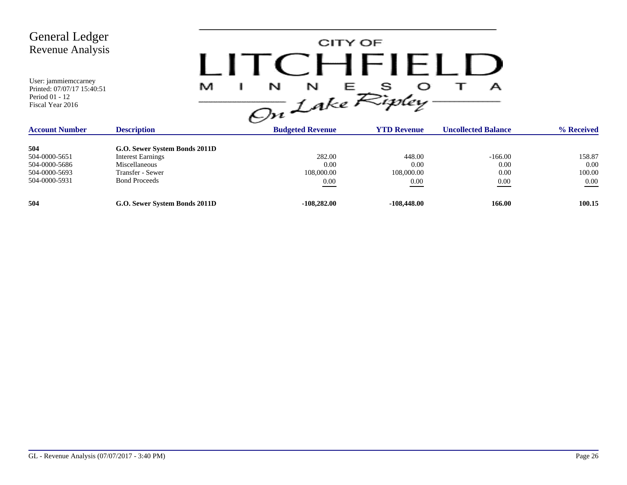| <b>General Ledger</b><br><b>Revenue Analysis</b><br>User: jammiemccarney<br>Printed: 07/07/17 15:40:51<br>Period 01 - 12<br>Fiscal Year 2016 | M                             | CITY OF<br>N<br>N<br>On Lake Ripley- | CHFIELD            | А                          |            |
|----------------------------------------------------------------------------------------------------------------------------------------------|-------------------------------|--------------------------------------|--------------------|----------------------------|------------|
| <b>Account Number</b>                                                                                                                        | <b>Description</b>            | <b>Budgeted Revenue</b>              | <b>YTD Revenue</b> | <b>Uncollected Balance</b> | % Received |
| 504                                                                                                                                          | G.O. Sewer System Bonds 2011D |                                      |                    |                            |            |
| 504-0000-5651                                                                                                                                | <b>Interest Earnings</b>      | 282.00                               | 448.00             | $-166.00$                  | 158.87     |
| 504-0000-5686                                                                                                                                | Miscellaneous                 | 0.00                                 | 0.00               | 0.00                       | 0.00       |
| 504-0000-5693                                                                                                                                | Transfer - Sewer              | 108,000.00                           | 108,000.00         | 0.00                       | 100.00     |
| 504-0000-5931                                                                                                                                | <b>Bond Proceeds</b>          | $0.00\,$                             | 0.00               | $0.00\,$                   | $0.00\,$   |
| 504                                                                                                                                          | G.O. Sewer System Bonds 2011D | $-108,282.00$                        | $-108,448.00$      | 166.00                     | 100.15     |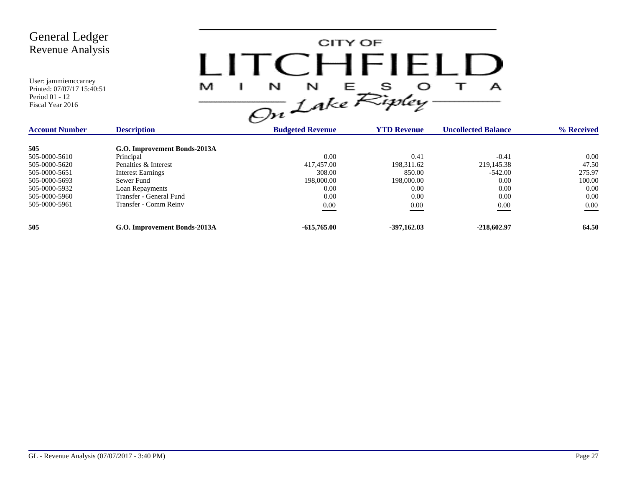

| <b>Account Number</b> | <b>Description</b>           | <b>Budgeted Revenue</b> | <b>YTD Revenue</b> | <b>Uncollected Balance</b> | % Received |
|-----------------------|------------------------------|-------------------------|--------------------|----------------------------|------------|
| 505                   | G.O. Improvement Bonds-2013A |                         |                    |                            |            |
| 505-0000-5610         | Principal                    | 0.00                    | 0.41               | $-0.41$                    | 0.00       |
| 505-0000-5620         | Penalties & Interest         | 417,457.00              | 198,311.62         | 219,145.38                 | 47.50      |
| 505-0000-5651         | <b>Interest Earnings</b>     | 308.00                  | 850.00             | $-542.00$                  | 275.97     |
| 505-0000-5693         | Sewer Fund                   | 198,000.00              | 198,000.00         | 0.00                       | 100.00     |
| 505-0000-5932         | Loan Repayments              | 0.00                    | 0.00               | 0.00                       | 0.00       |
| 505-0000-5960         | Transfer - General Fund      | 0.00                    | 0.00               | 0.00                       | 0.00       |
| 505-0000-5961         | Transfer - Comm Reinv        | 0.00                    | 0.00               | 0.00                       | $0.00\,$   |
| 505                   | G.O. Improvement Bonds-2013A | $-615,765,00$           | $-397,162.03$      | $-218,602.97$              | 64.50      |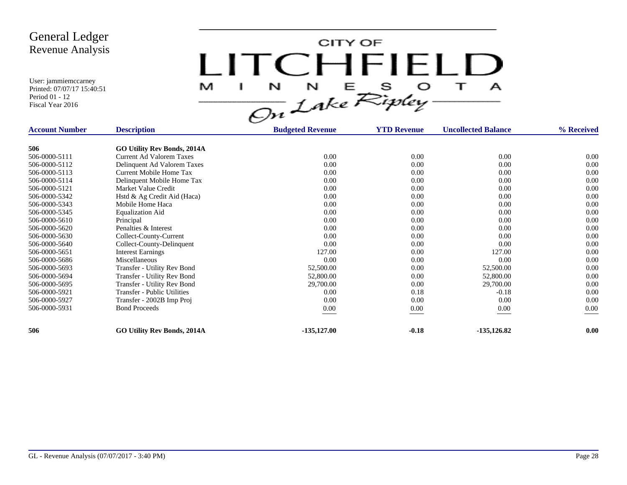CITY OF LITCHFIELD  $\overline{1}$ M  $\mathbf{I}$  $\mathbf{A}$ 

| <b>Account Number</b> | <b>Description</b>                 | <b>Budgeted Revenue</b> | <b>YTD Revenue</b> | <b>Uncollected Balance</b> | % Received |
|-----------------------|------------------------------------|-------------------------|--------------------|----------------------------|------------|
| 506                   | <b>GO Utility Rev Bonds, 2014A</b> |                         |                    |                            |            |
| 506-0000-5111         | Current Ad Valorem Taxes           | 0.00                    | 0.00               | 0.00                       | 0.00       |
| 506-0000-5112         | Delinquent Ad Valorem Taxes        | 0.00                    | 0.00               | 0.00                       | 0.00       |
| 506-0000-5113         | Current Mobile Home Tax            | 0.00                    | 0.00               | 0.00                       | 0.00       |
|                       |                                    | 0.00                    | 0.00               | 0.00                       | 0.00       |
| 506-0000-5114         | Delinquent Mobile Home Tax         | 0.00                    |                    |                            |            |
| 506-0000-5121         | Market Value Credit                |                         | 0.00               | 0.00                       | 0.00       |
| 506-0000-5342         | Hstd & Ag Credit Aid (Haca)        | 0.00                    | 0.00               | 0.00                       | 0.00       |
| 506-0000-5343         | Mobile Home Haca                   | 0.00                    | 0.00               | 0.00                       | 0.00       |
| 506-0000-5345         | <b>Equalization Aid</b>            | 0.00                    | 0.00               | 0.00                       | 0.00       |
| 506-0000-5610         | Principal                          | 0.00                    | 0.00               | 0.00                       | 0.00       |
| 506-0000-5620         | Penalties & Interest               | 0.00                    | 0.00               | 0.00                       | 0.00       |
| 506-0000-5630         | Collect-County-Current             | 0.00                    | 0.00               | 0.00                       | 0.00       |
| 506-0000-5640         | Collect-County-Delinquent          | 0.00                    | 0.00               | 0.00                       | 0.00       |
| 506-0000-5651         | <b>Interest Earnings</b>           | 127.00                  | 0.00               | 127.00                     | 0.00       |
| 506-0000-5686         | Miscellaneous                      | 0.00                    | 0.00               | 0.00                       | 0.00       |
| 506-0000-5693         | Transfer - Utility Rev Bond        | 52,500.00               | 0.00               | 52,500.00                  | 0.00       |
| 506-0000-5694         | Transfer - Utility Rev Bond        | 52,800.00               | 0.00               | 52,800.00                  | 0.00       |
| 506-0000-5695         | Transfer - Utility Rev Bond        | 29,700.00               | 0.00               | 29,700.00                  | 0.00       |
| 506-0000-5921         | Transfer - Public Utilities        | 0.00                    | 0.18               | $-0.18$                    | 0.00       |
| 506-0000-5927         | Transfer - 2002B Imp Proj          | 0.00                    | 0.00               | 0.00                       | 0.00       |
| 506-0000-5931         | <b>Bond Proceeds</b>               | $0.00\,$                | 0.00               | $0.00\,$                   | $0.00\,$   |
|                       |                                    |                         |                    |                            |            |
| 506                   | <b>GO Utility Rev Bonds, 2014A</b> | $-135,127.00$           | $-0.18$            | $-135, 126.82$             | 0.00       |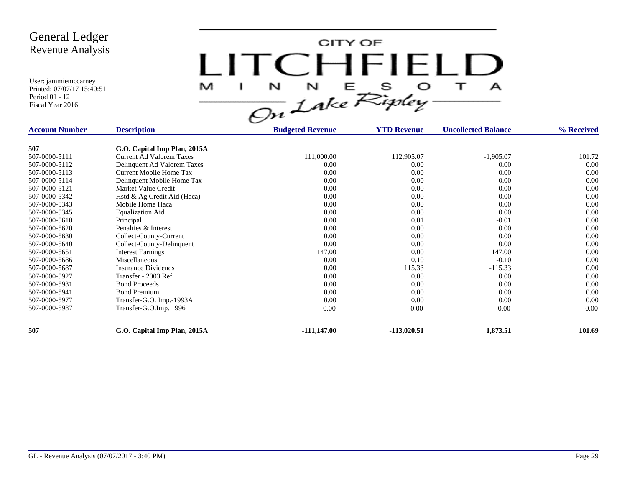CITY OF LITCHFIELD  $M$  I N N E S O T A<br>On Lake Ripley

| <b>Account Number</b> | <b>Description</b>           | <b>Budgeted Revenue</b> | <b>YTD Revenue</b> | <b>Uncollected Balance</b> | % Received |
|-----------------------|------------------------------|-------------------------|--------------------|----------------------------|------------|
|                       |                              |                         |                    |                            |            |
| 507                   | G.O. Capital Imp Plan, 2015A |                         |                    |                            |            |
| 507-0000-5111         | Current Ad Valorem Taxes     | 111,000.00              | 112,905.07         | $-1,905.07$                | 101.72     |
| 507-0000-5112         | Delinquent Ad Valorem Taxes  | 0.00                    | 0.00               | 0.00                       | 0.00       |
| 507-0000-5113         | Current Mobile Home Tax      | 0.00                    | 0.00               | 0.00                       | 0.00       |
| 507-0000-5114         | Delinquent Mobile Home Tax   | 0.00                    | 0.00               | 0.00                       | 0.00       |
| 507-0000-5121         | Market Value Credit          | 0.00                    | 0.00               | 0.00                       | 0.00       |
| 507-0000-5342         | Hstd & Ag Credit Aid (Haca)  | 0.00                    | 0.00               | 0.00                       | 0.00       |
| 507-0000-5343         | Mobile Home Haca             | 0.00                    | 0.00               | 0.00                       | 0.00       |
| 507-0000-5345         | <b>Equalization Aid</b>      | 0.00                    | 0.00               | 0.00                       | 0.00       |
| 507-0000-5610         | Principal                    | 0.00                    | 0.01               | $-0.01$                    | 0.00       |
| 507-0000-5620         | Penalties & Interest         | 0.00                    | 0.00               | 0.00                       | 0.00       |
| 507-0000-5630         | Collect-County-Current       | 0.00                    | 0.00               | 0.00                       | 0.00       |
| 507-0000-5640         | Collect-County-Delinquent    | 0.00                    | 0.00               | 0.00                       | 0.00       |
| 507-0000-5651         | <b>Interest Earnings</b>     | 147.00                  | 0.00               | 147.00                     | 0.00       |
| 507-0000-5686         | Miscellaneous                | 0.00                    | 0.10               | $-0.10$                    | 0.00       |
| 507-0000-5687         | <b>Insurance Dividends</b>   | 0.00                    | 115.33             | $-115.33$                  | 0.00       |
| 507-0000-5927         | Transfer - 2003 Ref          | 0.00                    | 0.00               | 0.00                       | 0.00       |
| 507-0000-5931         | <b>Bond Proceeds</b>         | 0.00                    | 0.00               | 0.00                       | 0.00       |
| 507-0000-5941         | <b>Bond Premium</b>          | 0.00                    | 0.00               | 0.00                       | 0.00       |
| 507-0000-5977         | Transfer-G.O. Imp.-1993A     | 0.00                    | 0.00               | 0.00                       | 0.00       |
| 507-0000-5987         | Transfer-G.O.Imp. 1996       | $0.00\,$                | 0.00               | 0.00                       | 0.00       |
|                       |                              |                         |                    |                            |            |
| 507                   | G.O. Capital Imp Plan, 2015A | $-111,147.00$           | -113,020.51        | 1,873.51                   | 101.69     |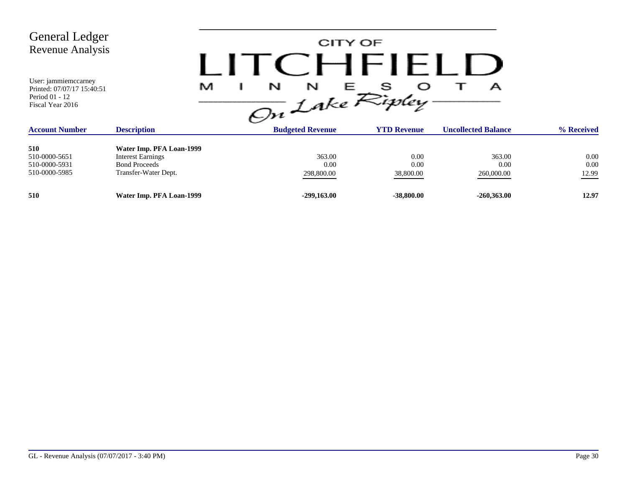| <b>General Ledger</b><br>Revenue Analysis<br>User: jammiemccarney<br>Printed: 07/07/17 15:40:51<br>Period 01 - 12<br>Fiscal Year 2016 | M                                                                                                    | N<br>N<br>On Lake Ripley     | CITY OF<br>CHFIELD<br>Е   | А                            |                           |
|---------------------------------------------------------------------------------------------------------------------------------------|------------------------------------------------------------------------------------------------------|------------------------------|---------------------------|------------------------------|---------------------------|
| <b>Account Number</b>                                                                                                                 | <b>Description</b>                                                                                   | <b>Budgeted Revenue</b>      | <b>YTD Revenue</b>        | <b>Uncollected Balance</b>   | % Received                |
| 510<br>510-0000-5651<br>510-0000-5931<br>510-0000-5985                                                                                | Water Imp. PFA Loan-1999<br><b>Interest Earnings</b><br><b>Bond Proceeds</b><br>Transfer-Water Dept. | 363.00<br>0.00<br>298,800.00 | 0.00<br>0.00<br>38,800.00 | 363.00<br>0.00<br>260,000.00 | 0.00<br>$0.00\,$<br>12.99 |
| 510                                                                                                                                   | Water Imp. PFA Loan-1999                                                                             | $-299,163.00$                | $-38,800.00$              | $-260,363.00$                | 12.97                     |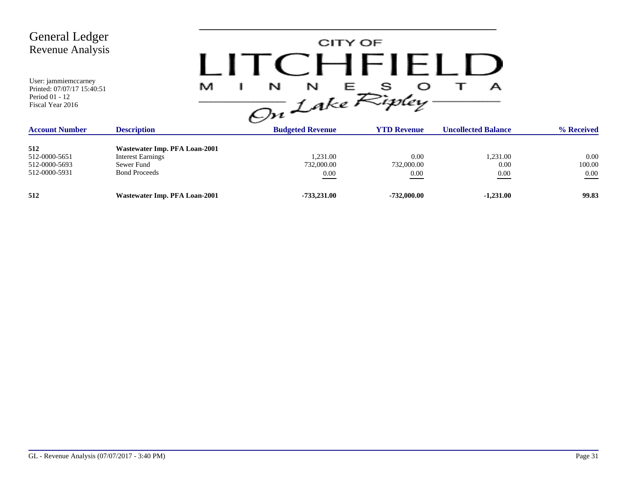| <b>General Ledger</b><br>Revenue Analysis<br>User: jammiemccarney<br>Printed: 07/07/17 15:40:51<br>Period 01 - 12<br>Fiscal Year 2016 | M                                                                                               | N<br>N<br>On Lake Ripley       | CITY OF<br>$C$ . Here $C$<br>巨 | А                          |                            |
|---------------------------------------------------------------------------------------------------------------------------------------|-------------------------------------------------------------------------------------------------|--------------------------------|--------------------------------|----------------------------|----------------------------|
| <b>Account Number</b>                                                                                                                 | <b>Description</b>                                                                              | <b>Budgeted Revenue</b>        | <b>YTD Revenue</b>             | <b>Uncollected Balance</b> | % Received                 |
| 512<br>512-0000-5651<br>512-0000-5693<br>512-0000-5931                                                                                | Wastewater Imp. PFA Loan-2001<br><b>Interest Earnings</b><br>Sewer Fund<br><b>Bond Proceeds</b> | 1.231.00<br>732,000.00<br>0.00 | 0.00<br>732,000.00<br>0.00     | 1,231.00<br>0.00<br>0.00   | 0.00<br>100.00<br>$0.00\,$ |
| 512                                                                                                                                   | Wastewater Imp. PFA Loan-2001                                                                   | $-733,231.00$                  | $-732,000.00$                  | $-1,231.00$                | 99.83                      |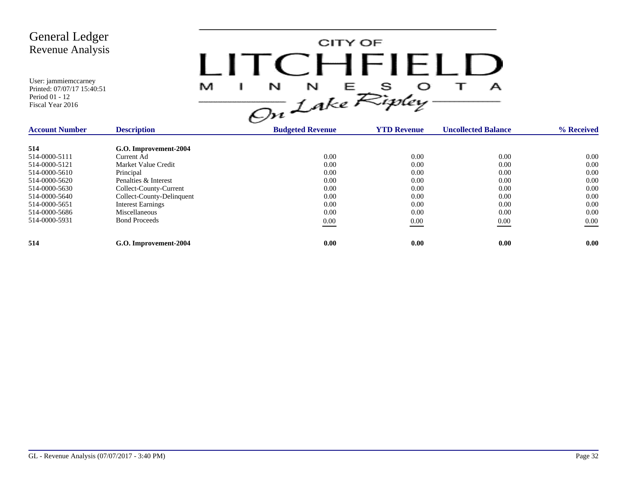CITY OF LITCHFIELD  $M$  I N N E S O T A<br>On Lake Ripley

| <b>Account Number</b> | <b>Description</b>        | <b>Budgeted Revenue</b> | <b>YTD Revenue</b> | <b>Uncollected Balance</b> | % Received |
|-----------------------|---------------------------|-------------------------|--------------------|----------------------------|------------|
| 514                   | G.O. Improvement-2004     |                         |                    |                            |            |
| 514-0000-5111         | Current Ad                | 0.00                    | 0.00               | 0.00                       | 0.00       |
| 514-0000-5121         | Market Value Credit       | 0.00                    | 0.00               | 0.00                       | 0.00       |
| 514-0000-5610         | Principal                 | 0.00                    | 0.00               | 0.00                       | 0.00       |
| 514-0000-5620         | Penalties & Interest      | 0.00                    | 0.00               | 0.00                       | 0.00       |
| 514-0000-5630         | Collect-County-Current    | 0.00                    | 0.00               | 0.00                       | 0.00       |
| 514-0000-5640         | Collect-County-Delinquent | 0.00                    | 0.00               | 0.00                       | 0.00       |
| 514-0000-5651         | <b>Interest Earnings</b>  | 0.00                    | 0.00               | 0.00                       | 0.00       |
| 514-0000-5686         | Miscellaneous             | 0.00                    | 0.00               | 0.00                       | 0.00       |
| 514-0000-5931         | <b>Bond Proceeds</b>      | 0.00                    | 0.00               | 0.00                       | $0.00\,$   |
| 514                   | G.O. Improvement-2004     | 0.00                    | 0.00               | 0.00                       | 0.00       |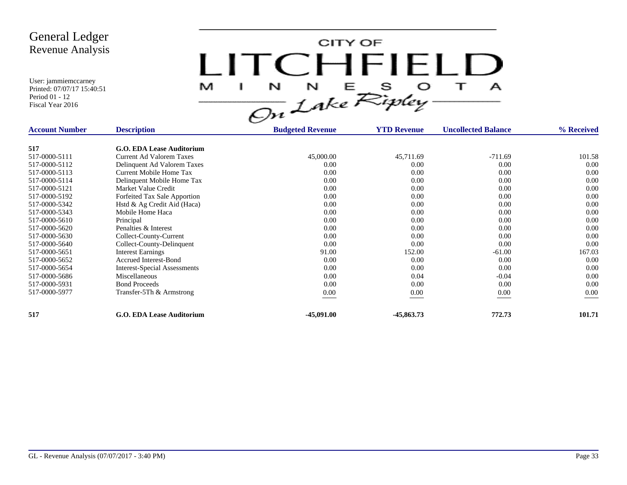CITY OF LITCHFIELD  $M$  I N N E S O T A<br>On Lake Ripley

| <b>Account Number</b> | <b>Description</b>                  | <b>Budgeted Revenue</b> | <b>YTD Revenue</b> | <b>Uncollected Balance</b> | % Received |
|-----------------------|-------------------------------------|-------------------------|--------------------|----------------------------|------------|
| 517                   | G.O. EDA Lease Auditorium           |                         |                    |                            |            |
| 517-0000-5111         | Current Ad Valorem Taxes            | 45,000.00               | 45,711.69          | $-711.69$                  | 101.58     |
| 517-0000-5112         | Delinquent Ad Valorem Taxes         | 0.00                    | 0.00               | 0.00                       | 0.00       |
| 517-0000-5113         | Current Mobile Home Tax             | 0.00                    | 0.00               | 0.00                       | 0.00       |
| 517-0000-5114         | Delinquent Mobile Home Tax          | 0.00                    | 0.00               | 0.00                       | 0.00       |
| 517-0000-5121         | Market Value Credit                 | 0.00                    | 0.00               | 0.00                       | 0.00       |
| 517-0000-5192         | Forfeited Tax Sale Apportion        | 0.00                    | 0.00               | 0.00                       | 0.00       |
| 517-0000-5342         | Hstd & Ag Credit Aid (Haca)         | 0.00                    | 0.00               | 0.00                       | 0.00       |
| 517-0000-5343         | Mobile Home Haca                    | 0.00                    | 0.00               | 0.00                       | 0.00       |
| 517-0000-5610         | Principal                           | 0.00                    | 0.00               | 0.00                       | 0.00       |
| 517-0000-5620         | Penalties & Interest                | 0.00                    | 0.00               | 0.00                       | 0.00       |
| 517-0000-5630         | Collect-County-Current              | 0.00                    | 0.00               | 0.00                       | 0.00       |
| 517-0000-5640         | Collect-County-Delinquent           | 0.00                    | 0.00               | 0.00                       | 0.00       |
| 517-0000-5651         | <b>Interest Earnings</b>            | 91.00                   | 152.00             | $-61.00$                   | 167.03     |
| 517-0000-5652         | <b>Accrued Interest-Bond</b>        | 0.00                    | 0.00               | 0.00                       | 0.00       |
| 517-0000-5654         | <b>Interest-Special Assessments</b> | 0.00                    | 0.00               | 0.00                       | 0.00       |
| 517-0000-5686         | Miscellaneous                       | 0.00                    | 0.04               | $-0.04$                    | 0.00       |
| 517-0000-5931         | <b>Bond Proceeds</b>                | 0.00                    | 0.00               | 0.00                       | 0.00       |
| 517-0000-5977         | Transfer-5Th & Armstrong            | $0.00\,$                | 0.00               | $0.00\,$                   | 0.00       |
|                       |                                     |                         |                    |                            |            |
| 517                   | <b>G.O. EDA Lease Auditorium</b>    | $-45,091.00$            | $-45,863.73$       | 772.73                     | 101.71     |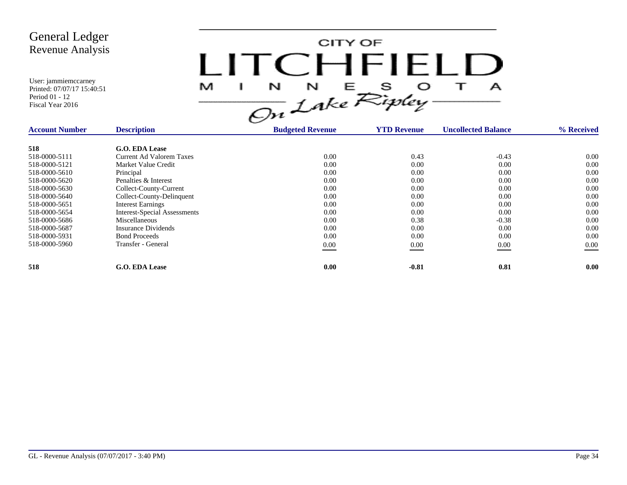

| <b>Account Number</b> | <b>Description</b>                  | <b>Budgeted Revenue</b> | <b>YTD Revenue</b> | <b>Uncollected Balance</b> | % Received |
|-----------------------|-------------------------------------|-------------------------|--------------------|----------------------------|------------|
| 518                   | <b>G.O. EDA Lease</b>               |                         |                    |                            |            |
| 518-0000-5111         | <b>Current Ad Valorem Taxes</b>     | 0.00                    | 0.43               | $-0.43$                    | 0.00       |
| 518-0000-5121         | Market Value Credit                 | 0.00                    | 0.00               | 0.00                       | 0.00       |
| 518-0000-5610         | Principal                           | 0.00                    | 0.00               | 0.00                       | 0.00       |
| 518-0000-5620         | Penalties & Interest                | 0.00                    | 0.00               | 0.00                       | 0.00       |
| 518-0000-5630         | Collect-County-Current              | 0.00                    | 0.00               | 0.00                       | 0.00       |
| 518-0000-5640         | Collect-County-Delinquent           | 0.00                    | 0.00               | 0.00                       | 0.00       |
| 518-0000-5651         | <b>Interest Earnings</b>            | 0.00                    | 0.00               | 0.00                       | 0.00       |
| 518-0000-5654         | <b>Interest-Special Assessments</b> | 0.00                    | 0.00               | 0.00                       | 0.00       |
| 518-0000-5686         | Miscellaneous                       | 0.00                    | 0.38               | $-0.38$                    | 0.00       |
| 518-0000-5687         | Insurance Dividends                 | 0.00                    | 0.00               | 0.00                       | 0.00       |
| 518-0000-5931         | <b>Bond Proceeds</b>                | 0.00                    | 0.00               | 0.00                       | 0.00       |
| 518-0000-5960         | Transfer - General                  | $0.00\,$                | 0.00               | 0.00<br>__                 | $0.00\,$   |
|                       |                                     |                         |                    |                            |            |
| 518                   | <b>G.O. EDA Lease</b>               | 0.00                    | $-0.81$            | 0.81                       | 0.00       |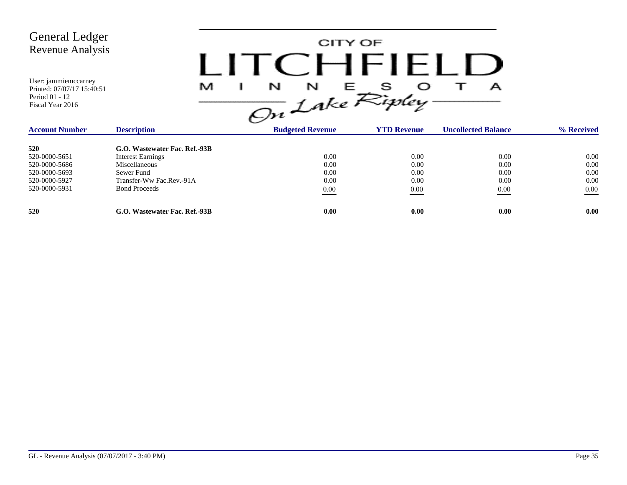

| <b>Account Number</b> | <b>Description</b>            | <b>Budgeted Revenue</b> | <b>YTD Revenue</b> | <b>Uncollected Balance</b> | % Received |
|-----------------------|-------------------------------|-------------------------|--------------------|----------------------------|------------|
| 520                   | G.O. Wastewater Fac. Ref.-93B |                         |                    |                            |            |
| 520-0000-5651         | <b>Interest Earnings</b>      | 0.00                    | 0.00               | 0.00                       | 0.00       |
| 520-0000-5686         | Miscellaneous                 | 0.00                    | 0.00               | 0.00                       | 0.00       |
| 520-0000-5693         | Sewer Fund                    | 0.00                    | 0.00               | 0.00                       | 0.00       |
| 520-0000-5927         | Transfer-Ww Fac.Rev.-91A      | 0.00                    | 0.00               | 0.00                       | 0.00       |
| 520-0000-5931         | <b>Bond Proceeds</b>          | 0.00                    | 0.00               | 0.00                       | 0.00       |
| 520                   | G.O. Wastewater Fac. Ref.-93B | 0.00                    | 0.00               | 0.00                       | 0.00       |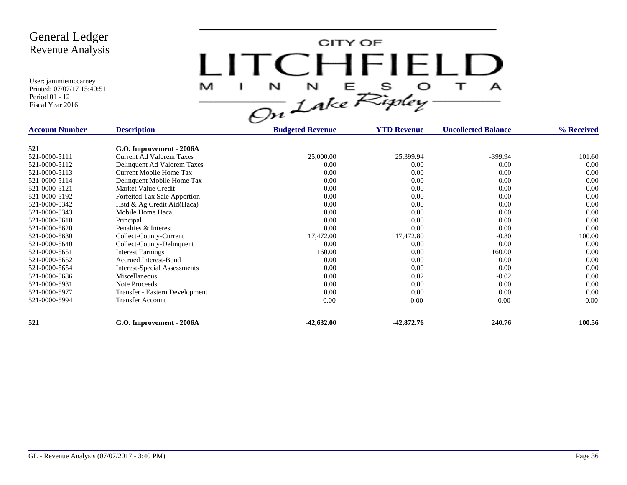CITY OF LITCHFIELD  $\top$ M  $\mathbf{I}$  $\mathbf{A}$ 

| <b>Account Number</b> | <b>Description</b>              | <b>Budgeted Revenue</b> | <b>YTD Revenue</b> | <b>Uncollected Balance</b> | % Received |
|-----------------------|---------------------------------|-------------------------|--------------------|----------------------------|------------|
| 521                   | G.O. Improvement - 2006A        |                         |                    |                            |            |
| 521-0000-5111         | <b>Current Ad Valorem Taxes</b> | 25,000.00               | 25,399.94          | $-399.94$                  | 101.60     |
| 521-0000-5112         | Delinquent Ad Valorem Taxes     | 0.00                    | 0.00               | 0.00                       | 0.00       |
| 521-0000-5113         | Current Mobile Home Tax         | 0.00                    | 0.00               | 0.00                       | 0.00       |
| 521-0000-5114         | Delinquent Mobile Home Tax      | 0.00                    | 0.00               | 0.00                       | 0.00       |
| 521-0000-5121         | Market Value Credit             | 0.00                    | 0.00               | 0.00                       | 0.00       |
| 521-0000-5192         | Forfeited Tax Sale Apportion    | 0.00                    | 0.00               | 0.00                       | 0.00       |
| 521-0000-5342         | Hstd & Ag Credit Aid(Haca)      | 0.00                    | 0.00               | 0.00                       | 0.00       |
| 521-0000-5343         | Mobile Home Haca                | 0.00                    | 0.00               | 0.00                       | 0.00       |
| 521-0000-5610         | Principal                       | 0.00                    | 0.00               | 0.00                       | 0.00       |
| 521-0000-5620         | Penalties & Interest            | 0.00                    | 0.00               | 0.00                       | 0.00       |
| 521-0000-5630         | Collect-County-Current          | 17,472.00               | 17,472.80          | $-0.80$                    | 100.00     |
| 521-0000-5640         | Collect-County-Delinquent       | 0.00                    | 0.00               | 0.00                       | 0.00       |
| 521-0000-5651         | <b>Interest Earnings</b>        | 160.00                  | 0.00               | 160.00                     | 0.00       |
| 521-0000-5652         | <b>Accrued Interest-Bond</b>    | 0.00                    | 0.00               | 0.00                       | 0.00       |
| 521-0000-5654         | Interest-Special Assessments    | 0.00                    | 0.00               | 0.00                       | 0.00       |
| 521-0000-5686         | Miscellaneous                   | 0.00                    | 0.02               | $-0.02$                    | 0.00       |
| 521-0000-5931         | Note Proceeds                   | 0.00                    | 0.00               | 0.00                       | 0.00       |
| 521-0000-5977         | Transfer - Eastern Development  | 0.00                    | 0.00               | 0.00                       | 0.00       |
| 521-0000-5994         | <b>Transfer Account</b>         | $0.00\,$                | 0.00               | 0.00                       | 0.00       |
| 521                   | G.O. Improvement - 2006A        | $-42,632.00$            | $-42,872.76$       | 240.76                     | 100.56     |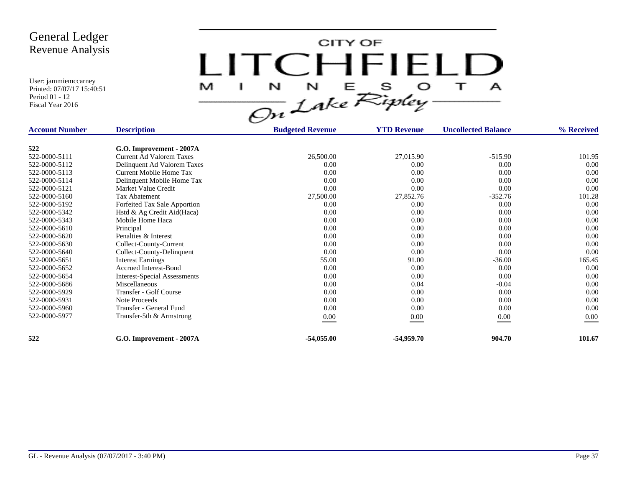CITY OF LITCHFIELD M  $\mathbf{I}$  $\mathbf{A}$ 

| <b>Account Number</b> | <b>Description</b>                  | <b>Budgeted Revenue</b> | <b>YTD Revenue</b> | <b>Uncollected Balance</b> | % Received |
|-----------------------|-------------------------------------|-------------------------|--------------------|----------------------------|------------|
| 522                   | G.O. Improvement - 2007A            |                         |                    |                            |            |
| 522-0000-5111         | Current Ad Valorem Taxes            | 26,500.00               | 27,015.90          | $-515.90$                  | 101.95     |
| 522-0000-5112         | Delinquent Ad Valorem Taxes         | 0.00                    | 0.00               | 0.00                       | 0.00       |
|                       |                                     |                         |                    |                            |            |
| 522-0000-5113         | <b>Current Mobile Home Tax</b>      | 0.00                    | 0.00               | 0.00                       | 0.00       |
| 522-0000-5114         | Delinquent Mobile Home Tax          | 0.00                    | 0.00               | 0.00                       | 0.00       |
| 522-0000-5121         | Market Value Credit                 | 0.00                    | 0.00               | 0.00                       | 0.00       |
| 522-0000-5160         | Tax Abatement                       | 27,500.00               | 27,852.76          | $-352.76$                  | 101.28     |
| 522-0000-5192         | Forfeited Tax Sale Apportion        | 0.00                    | 0.00               | 0.00                       | 0.00       |
| 522-0000-5342         | Hstd & Ag Credit Aid(Haca)          | 0.00                    | 0.00               | 0.00                       | 0.00       |
| 522-0000-5343         | Mobile Home Haca                    | 0.00                    | 0.00               | 0.00                       | 0.00       |
| 522-0000-5610         | Principal                           | 0.00                    | 0.00               | 0.00                       | 0.00       |
| 522-0000-5620         | Penalties & Interest                | 0.00                    | 0.00               | 0.00                       | 0.00       |
| 522-0000-5630         | Collect-County-Current              | 0.00                    | 0.00               | 0.00                       | 0.00       |
| 522-0000-5640         | Collect-County-Delinquent           | 0.00                    | 0.00               | 0.00                       | 0.00       |
| 522-0000-5651         | <b>Interest Earnings</b>            | 55.00                   | 91.00              | $-36.00$                   | 165.45     |
| 522-0000-5652         | <b>Accrued Interest-Bond</b>        | 0.00                    | 0.00               | 0.00                       | 0.00       |
| 522-0000-5654         | <b>Interest-Special Assessments</b> | 0.00                    | 0.00               | 0.00                       | 0.00       |
| 522-0000-5686         | Miscellaneous                       | 0.00                    | 0.04               | $-0.04$                    | 0.00       |
| 522-0000-5929         | Transfer - Golf Course              | 0.00                    | 0.00               | 0.00                       | 0.00       |
| 522-0000-5931         | Note Proceeds                       | 0.00                    | 0.00               | 0.00                       | 0.00       |
| 522-0000-5960         | Transfer - General Fund             | 0.00                    | 0.00               | 0.00                       | 0.00       |
| 522-0000-5977         | Transfer-5th & Armstrong            | $0.00\,$                | 0.00               | 0.00                       | 0.00       |
| 522                   | G.O. Improvement - 2007A            | $-54,055.00$            | $-54,959,70$       | 904.70                     | 101.67     |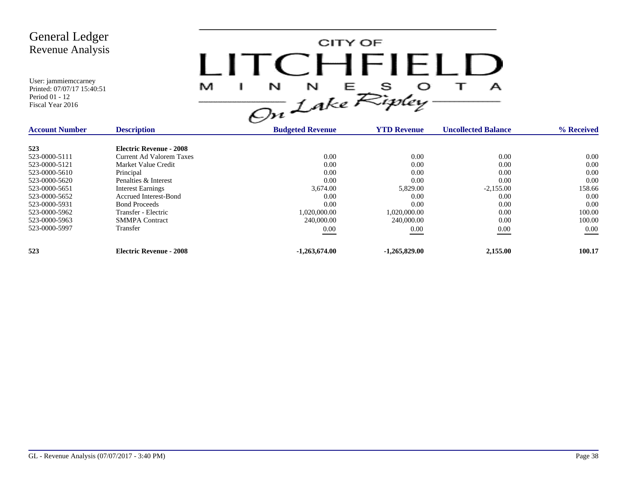| <b>General Ledger</b><br><b>Revenue Analysis</b><br>User: jammiemccarney<br>Printed: 07/07/17 15:40:51<br>Period 01 - 12<br>Fiscal Year 2016 |                                 | LITCEHELLE<br>M<br>$\frac{1}{\sqrt{m}}$ $\frac{N}{L}$ $\frac{E}{N}$ is $\frac{1}{N}$ | CITY OF            | А                          |            |
|----------------------------------------------------------------------------------------------------------------------------------------------|---------------------------------|--------------------------------------------------------------------------------------|--------------------|----------------------------|------------|
| <b>Account Number</b>                                                                                                                        | <b>Description</b>              | <b>Budgeted Revenue</b>                                                              | <b>YTD Revenue</b> | <b>Uncollected Balance</b> | % Received |
| 523                                                                                                                                          | <b>Electric Revenue - 2008</b>  |                                                                                      |                    |                            |            |
| 523-0000-5111                                                                                                                                | <b>Current Ad Valorem Taxes</b> | 0.00                                                                                 | 0.00               | 0.00                       | 0.00       |
| 523-0000-5121                                                                                                                                | Market Value Credit             | 0.00                                                                                 | 0.00               | 0.00                       | 0.00       |
| 523-0000-5610                                                                                                                                | Principal                       | 0.00                                                                                 | 0.00               | 0.00                       | 0.00       |
| 523-0000-5620                                                                                                                                | Penalties & Interest            | 0.00                                                                                 | 0.00               | 0.00                       | 0.00       |
| 523-0000-5651                                                                                                                                | <b>Interest Earnings</b>        | 3,674.00                                                                             | 5,829.00           | $-2,155.00$                | 158.66     |
| 523-0000-5652                                                                                                                                | <b>Accrued Interest-Bond</b>    | 0.00                                                                                 | 0.00               | 0.00                       | 0.00       |
| 523-0000-5931                                                                                                                                | <b>Bond Proceeds</b>            | 0.00                                                                                 | 0.00               | 0.00                       | 0.00       |
| 523-0000-5962                                                                                                                                | Transfer - Electric             | 1,020,000.00                                                                         | 1,020,000.00       | 0.00                       | 100.00     |
| 523-0000-5963                                                                                                                                | <b>SMMPA</b> Contract           | 240,000.00                                                                           | 240,000.00         | 0.00                       | 100.00     |
| 523-0000-5997                                                                                                                                | Transfer                        | $0.00\,$                                                                             | 0.00               | 0.00                       | $0.00\,$   |
| 523                                                                                                                                          | <b>Electric Revenue - 2008</b>  | $-1,263,674.00$                                                                      | $-1,265,829.00$    | 2,155.00                   | 100.17     |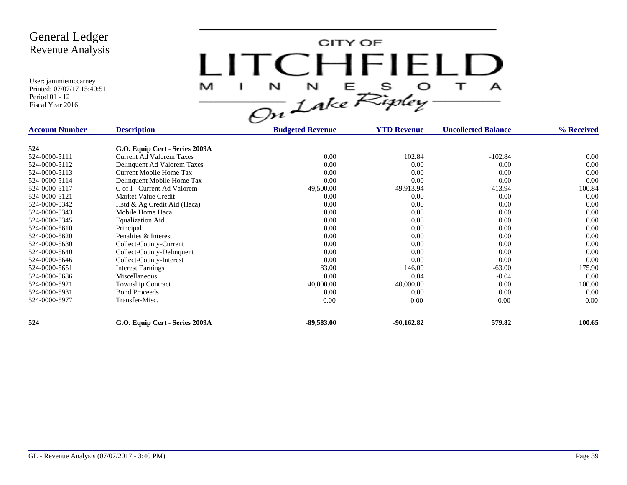CITY OF LITCHFIELD  $\top$ M  $\mathbf{I}$  $\mathbf{A}$ 

| <b>Account Number</b> | <b>Description</b>              | <b>Budgeted Revenue</b> | <b>YTD Revenue</b> | <b>Uncollected Balance</b> | % Received |
|-----------------------|---------------------------------|-------------------------|--------------------|----------------------------|------------|
| 524                   | G.O. Equip Cert - Series 2009A  |                         |                    |                            |            |
| 524-0000-5111         | <b>Current Ad Valorem Taxes</b> | 0.00                    | 102.84             | $-102.84$                  | 0.00       |
| 524-0000-5112         | Delinquent Ad Valorem Taxes     | 0.00                    | 0.00               | 0.00                       | 0.00       |
| 524-0000-5113         | Current Mobile Home Tax         | 0.00                    | 0.00               | 0.00                       | 0.00       |
| 524-0000-5114         | Delinquent Mobile Home Tax      | 0.00                    | 0.00               | 0.00                       | 0.00       |
| 524-0000-5117         | C of I - Current Ad Valorem     | 49,500.00               | 49,913.94          | $-413.94$                  | 100.84     |
| 524-0000-5121         | Market Value Credit             | 0.00                    | 0.00               | 0.00                       | 0.00       |
| 524-0000-5342         | Hstd & Ag Credit Aid (Haca)     | 0.00                    | 0.00               | 0.00                       | 0.00       |
| 524-0000-5343         | Mobile Home Haca                | 0.00                    | 0.00               | 0.00                       | 0.00       |
| 524-0000-5345         | <b>Equalization Aid</b>         | 0.00                    | 0.00               | 0.00                       | 0.00       |
| 524-0000-5610         | Principal                       | 0.00                    | 0.00               | 0.00                       | 0.00       |
| 524-0000-5620         | Penalties & Interest            | 0.00                    | 0.00               | 0.00                       | 0.00       |
| 524-0000-5630         | Collect-County-Current          | 0.00                    | 0.00               | 0.00                       | 0.00       |
| 524-0000-5640         | Collect-County-Delinquent       | 0.00                    | 0.00               | 0.00                       | 0.00       |
| 524-0000-5646         | Collect-County-Interest         | 0.00                    | 0.00               | 0.00                       | 0.00       |
| 524-0000-5651         | <b>Interest Earnings</b>        | 83.00                   | 146.00             | $-63.00$                   | 175.90     |
| 524-0000-5686         | Miscellaneous                   | 0.00                    | 0.04               | $-0.04$                    | 0.00       |
| 524-0000-5921         | <b>Township Contract</b>        | 40,000.00               | 40,000.00          | 0.00                       | 100.00     |
| 524-0000-5931         | <b>Bond Proceeds</b>            | 0.00                    | 0.00               | 0.00                       | 0.00       |
| 524-0000-5977         | Transfer-Misc.                  | 0.00                    | $0.00\,$           | 0.00                       | 0.00       |
| 524                   | G.O. Equip Cert - Series 2009A  | $-89,583.00$            | $-90,162.82$       | 579.82                     | 100.65     |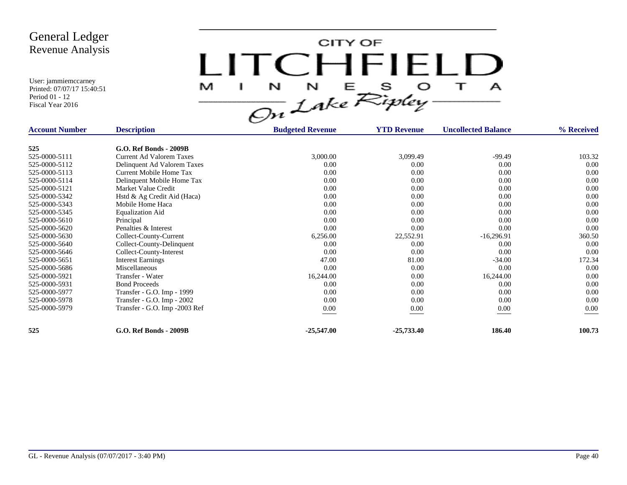CITY OF LITCHFIELD  $\top$ M  $\mathbf{I}$  $\mathbf{A}$ 

| <b>Account Number</b> | <b>Description</b>              | <b>Budgeted Revenue</b> | <b>YTD Revenue</b> | <b>Uncollected Balance</b> | % Received |
|-----------------------|---------------------------------|-------------------------|--------------------|----------------------------|------------|
|                       |                                 |                         |                    |                            |            |
| 525                   | <b>G.O. Ref Bonds - 2009B</b>   |                         |                    |                            |            |
| 525-0000-5111         | <b>Current Ad Valorem Taxes</b> | 3,000.00                | 3,099.49           | $-99.49$                   | 103.32     |
| 525-0000-5112         | Delinquent Ad Valorem Taxes     | 0.00                    | 0.00               | 0.00                       | $0.00\,$   |
| 525-0000-5113         | Current Mobile Home Tax         | 0.00                    | 0.00               | 0.00                       | 0.00       |
| 525-0000-5114         | Delinquent Mobile Home Tax      | 0.00                    | 0.00               | 0.00                       | 0.00       |
| 525-0000-5121         | Market Value Credit             | 0.00                    | 0.00               | 0.00                       | 0.00       |
| 525-0000-5342         | Hstd & Ag Credit Aid (Haca)     | 0.00                    | 0.00               | 0.00                       | 0.00       |
| 525-0000-5343         | Mobile Home Haca                | 0.00                    | 0.00               | 0.00                       | 0.00       |
| 525-0000-5345         | <b>Equalization Aid</b>         | 0.00                    | 0.00               | 0.00                       | 0.00       |
| 525-0000-5610         | Principal                       | 0.00                    | 0.00               | 0.00                       | 0.00       |
| 525-0000-5620         | Penalties & Interest            | 0.00                    | 0.00               | 0.00                       | 0.00       |
| 525-0000-5630         | Collect-County-Current          | 6,256.00                | 22,552.91          | $-16,296.91$               | 360.50     |
| 525-0000-5640         | Collect-County-Delinquent       | 0.00                    | 0.00               | 0.00                       | 0.00       |
| 525-0000-5646         | Collect-County-Interest         | 0.00                    | 0.00               | 0.00                       | 0.00       |
| 525-0000-5651         | <b>Interest Earnings</b>        | 47.00                   | 81.00              | $-34.00$                   | 172.34     |
| 525-0000-5686         | Miscellaneous                   | 0.00                    | 0.00               | 0.00                       | 0.00       |
| 525-0000-5921         | Transfer - Water                | 16,244.00               | 0.00               | 16,244.00                  | 0.00       |
| 525-0000-5931         | <b>Bond Proceeds</b>            | 0.00                    | 0.00               | 0.00                       | 0.00       |
| 525-0000-5977         | Transfer - G.O. Imp - 1999      | 0.00                    | 0.00               | 0.00                       | 0.00       |
| 525-0000-5978         | Transfer - G.O. Imp - 2002      | 0.00                    | 0.00               | 0.00                       | 0.00       |
| 525-0000-5979         | Transfer - G.O. Imp -2003 Ref   | $0.00\,$                | 0.00               | 0.00                       | 0.00       |
|                       |                                 |                         |                    |                            |            |
| 525                   | <b>G.O. Ref Bonds - 2009B</b>   | $-25,547.00$            | $-25,733.40$       | 186.40                     | 100.73     |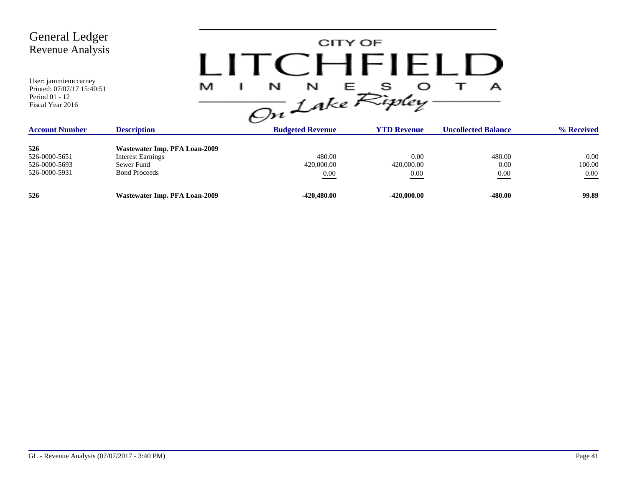| General Ledger<br>Revenue Analysis<br>User: jammiemccarney<br>Printed: 07/07/17 15:40:51<br>Period 01 - 12<br>Fiscal Year 2016 | M                                                                                               | N<br>N<br>On Lake Ripley.    | CITY OF<br>CHFIELD<br>Е    | А                          |                            |
|--------------------------------------------------------------------------------------------------------------------------------|-------------------------------------------------------------------------------------------------|------------------------------|----------------------------|----------------------------|----------------------------|
| <b>Account Number</b>                                                                                                          | <b>Description</b>                                                                              | <b>Budgeted Revenue</b>      | <b>YTD Revenue</b>         | <b>Uncollected Balance</b> | % Received                 |
| 526<br>526-0000-5651<br>526-0000-5693<br>526-0000-5931                                                                         | Wastewater Imp. PFA Loan-2009<br><b>Interest Earnings</b><br>Sewer Fund<br><b>Bond Proceeds</b> | 480.00<br>420,000.00<br>0.00 | 0.00<br>420,000.00<br>0.00 | 480.00<br>0.00<br>0.00     | 0.00<br>100.00<br>$0.00\,$ |
| 526                                                                                                                            | Wastewater Imp. PFA Loan-2009                                                                   | $-420,480.00$                | $-420,000.00$              | $-480.00$                  | 99.89                      |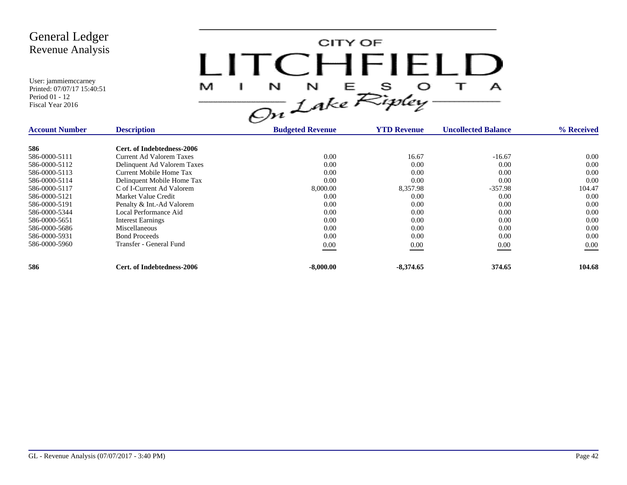

| <b>Account Number</b> | <b>Description</b>              | <b>Budgeted Revenue</b> | <b>YTD Revenue</b> | <b>Uncollected Balance</b> | % Received |
|-----------------------|---------------------------------|-------------------------|--------------------|----------------------------|------------|
| 586                   | Cert. of Indebtedness-2006      |                         |                    |                            |            |
| 586-0000-5111         | <b>Current Ad Valorem Taxes</b> | 0.00                    | 16.67              | $-16.67$                   | 0.00       |
| 586-0000-5112         | Delinquent Ad Valorem Taxes     | 0.00                    | 0.00               | 0.00                       | 0.00       |
| 586-0000-5113         | Current Mobile Home Tax         | 0.00                    | 0.00               | 0.00                       | 0.00       |
| 586-0000-5114         | Delinquent Mobile Home Tax      | 0.00                    | 0.00               | 0.00                       | 0.00       |
| 586-0000-5117         | C of I-Current Ad Valorem       | 8,000.00                | 8,357.98           | $-357.98$                  | 104.47     |
| 586-0000-5121         | Market Value Credit             | 0.00                    | 0.00               | 0.00                       | 0.00       |
| 586-0000-5191         | Penalty & Int.-Ad Valorem       | 0.00                    | 0.00               | 0.00                       | 0.00       |
| 586-0000-5344         | Local Performance Aid           | 0.00                    | 0.00               | 0.00                       | 0.00       |
| 586-0000-5651         | <b>Interest Earnings</b>        | 0.00                    | 0.00               | 0.00                       | 0.00       |
| 586-0000-5686         | Miscellaneous                   | 0.00                    | 0.00               | 0.00                       | 0.00       |
| 586-0000-5931         | <b>Bond Proceeds</b>            | 0.00                    | 0.00               | 0.00                       | 0.00       |
| 586-0000-5960         | Transfer - General Fund         | 0.00                    | 0.00               | 0.00                       | $0.00\,$   |
| 586                   | Cert. of Indebtedness-2006      | $-8,000.00$             | $-8,374.65$        | 374.65                     | 104.68     |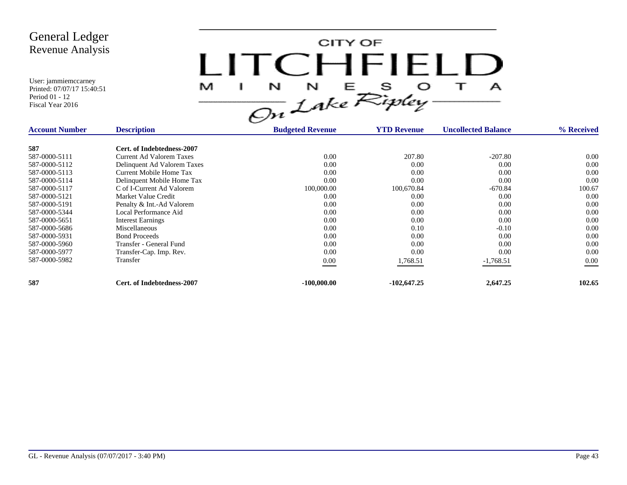CITY OF LITCHFIELD  $M$  I N N E S O T A<br>On Lake Ripley

| <b>Account Number</b> | <b>Description</b>              | <b>Budgeted Revenue</b> | <b>YTD Revenue</b> | <b>Uncollected Balance</b> | % Received |
|-----------------------|---------------------------------|-------------------------|--------------------|----------------------------|------------|
| 587                   | Cert. of Indebtedness-2007      |                         |                    |                            |            |
| 587-0000-5111         | <b>Current Ad Valorem Taxes</b> | 0.00                    | 207.80             | $-207.80$                  | 0.00       |
| 587-0000-5112         | Delinquent Ad Valorem Taxes     | 0.00                    | 0.00               | 0.00                       | 0.00       |
| 587-0000-5113         | Current Mobile Home Tax         | 0.00                    | 0.00               | 0.00                       | 0.00       |
| 587-0000-5114         | Delinquent Mobile Home Tax      | 0.00                    | 0.00               | 0.00                       | 0.00       |
| 587-0000-5117         | C of I-Current Ad Valorem       | 100,000.00              | 100,670.84         | $-670.84$                  | 100.67     |
| 587-0000-5121         | Market Value Credit             | 0.00                    | 0.00               | 0.00                       | 0.00       |
| 587-0000-5191         | Penalty & Int.-Ad Valorem       | 0.00                    | 0.00               | 0.00                       | 0.00       |
| 587-0000-5344         | Local Performance Aid           | 0.00                    | 0.00               | 0.00                       | 0.00       |
| 587-0000-5651         | <b>Interest Earnings</b>        | 0.00                    | 0.00               | 0.00                       | 0.00       |
| 587-0000-5686         | Miscellaneous                   | 0.00                    | 0.10               | $-0.10$                    | 0.00       |
| 587-0000-5931         | <b>Bond Proceeds</b>            | 0.00                    | 0.00               | 0.00                       | 0.00       |
| 587-0000-5960         | Transfer - General Fund         | 0.00                    | 0.00               | 0.00                       | 0.00       |
| 587-0000-5977         | Transfer-Cap. Imp. Rev.         | 0.00                    | 0.00               | 0.00                       | 0.00       |
| 587-0000-5982         | Transfer                        | $0.00\,$                | 1,768.51           | $-1,768.51$                | $0.00\,$   |
| 587                   | Cert. of Indebtedness-2007      | $-100,000,00$           | $-102,647.25$      | 2,647.25                   | 102.65     |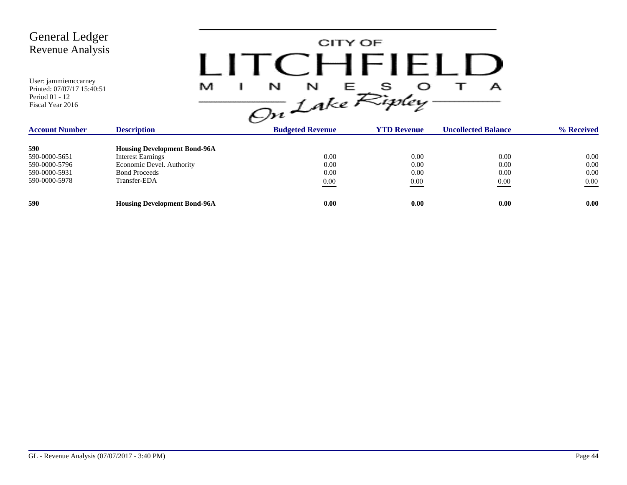| <b>General Ledger</b><br>Revenue Analysis<br>User: jammiemccarney |                                     |                           | CITY OF<br>CHFIELD |                            |            |
|-------------------------------------------------------------------|-------------------------------------|---------------------------|--------------------|----------------------------|------------|
| Printed: 07/07/17 15:40:51<br>Period 01 - 12<br>Fiscal Year 2016  | M                                   | N<br>N<br>On Lake Ripley- | Е                  | А                          |            |
| <b>Account Number</b>                                             | <b>Description</b>                  | <b>Budgeted Revenue</b>   | <b>YTD Revenue</b> | <b>Uncollected Balance</b> | % Received |
| 590<br>--- - --- - - --                                           | <b>Housing Development Bond-96A</b> |                           | .                  |                            |            |

| 590           | <b>Housing Development Bond-96A</b> |      |      |      |          |
|---------------|-------------------------------------|------|------|------|----------|
| 590-0000-5651 | <b>Interest Earnings</b>            | 0.00 | 0.00 | 0.00 | 0.00     |
| 590-0000-5796 | Economic Devel. Authority           | 0.00 | 0.00 | 0.00 | 0.00     |
| 590-0000-5931 | <b>Bond Proceeds</b>                | 0.00 | 0.00 | 0.00 | 0.00     |
| 590-0000-5978 | Transfer-EDA                        | 0.00 | 0.00 | 0.00 | $0.00\,$ |
|               |                                     |      |      |      |          |
| 590           | <b>Housing Development Bond-96A</b> | 0.00 | 0.00 | 0.00 | 0.00     |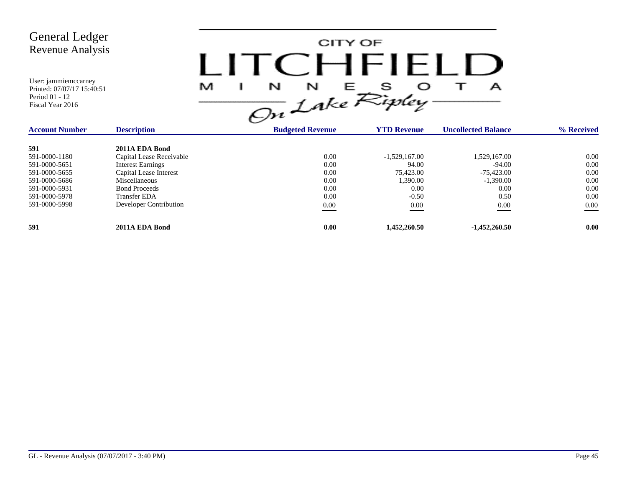| <b>General Ledger</b><br>Revenue Analysis<br>User: jammiemccarney<br>Printed: 07/07/17 15:40:51<br>Period 01 - 12<br>Fiscal Year 2016 |                          | I ITCHFIELL<br>M<br>N<br>N<br>On Lake Ripley | CITY OF<br>S.<br>Е | А                          |            |
|---------------------------------------------------------------------------------------------------------------------------------------|--------------------------|----------------------------------------------|--------------------|----------------------------|------------|
| <b>Account Number</b>                                                                                                                 | <b>Description</b>       | <b>Budgeted Revenue</b>                      | <b>YTD Revenue</b> | <b>Uncollected Balance</b> | % Received |
| 591                                                                                                                                   | 2011A EDA Bond           |                                              |                    |                            |            |
| 591-0000-1180                                                                                                                         | Capital Lease Receivable | 0.00                                         | $-1,529,167.00$    | 1,529,167.00               | 0.00       |
| 591-0000-5651                                                                                                                         | <b>Interest Earnings</b> | 0.00                                         | 94.00              | $-94.00$                   | 0.00       |
| 591-0000-5655                                                                                                                         | Capital Lease Interest   | 0.00                                         | 75,423.00          | $-75,423.00$               | 0.00       |
| 591-0000-5686                                                                                                                         | Miscellaneous            | 0.00                                         | 1,390.00           | $-1,390.00$                | 0.00       |
| 591-0000-5931                                                                                                                         | <b>Bond Proceeds</b>     | 0.00                                         | 0.00               | 0.00                       | 0.00       |
| 591-0000-5978                                                                                                                         | <b>Transfer EDA</b>      | 0.00                                         | $-0.50$            | 0.50                       | 0.00       |
| 591-0000-5998                                                                                                                         | Developer Contribution   | $0.00\,$                                     | $0.00\,$           | $0.00\,$                   | 0.00       |
| 591                                                                                                                                   | 2011A EDA Bond           | 0.00                                         | 1,452,260.50       | $-1,452,260.50$            | 0.00       |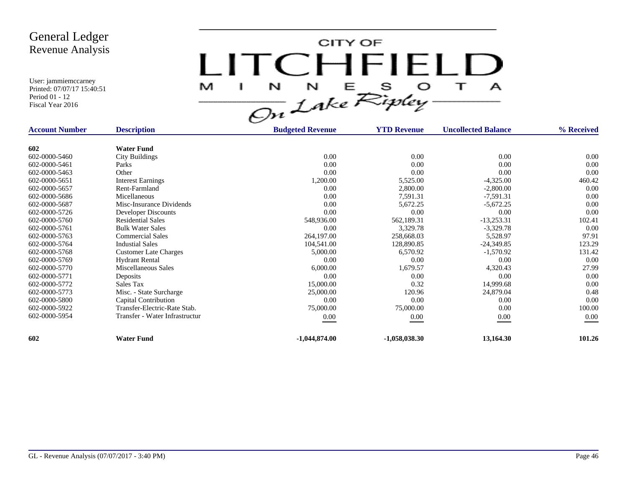

| <b>Account Number</b> | <b>Description</b>             | <b>Budgeted Revenue</b> | <b>YTD Revenue</b> | <b>Uncollected Balance</b> | % Received |
|-----------------------|--------------------------------|-------------------------|--------------------|----------------------------|------------|
|                       |                                |                         |                    |                            |            |
| 602                   | <b>Water Fund</b>              |                         |                    |                            |            |
| 602-0000-5460         | <b>City Buildings</b>          | 0.00                    | 0.00               | 0.00                       | $0.00\,$   |
| 602-0000-5461         | Parks                          | 0.00                    | 0.00               | 0.00                       | 0.00       |
| 602-0000-5463         | Other                          | 0.00                    | 0.00               | 0.00                       | 0.00       |
| 602-0000-5651         | <b>Interest Earnings</b>       | 1,200.00                | 5,525.00           | $-4,325.00$                | 460.42     |
| 602-0000-5657         | Rent-Farmland                  | 0.00                    | 2,800.00           | $-2,800.00$                | 0.00       |
| 602-0000-5686         | Micellaneous                   | 0.00                    | 7,591.31           | $-7,591.31$                | 0.00       |
| 602-0000-5687         | Misc-Insurance Dividends       | 0.00                    | 5,672.25           | $-5,672.25$                | 0.00       |
| 602-0000-5726         | Developer Discounts            | 0.00                    | 0.00               | 0.00                       | 0.00       |
| 602-0000-5760         | <b>Residential Sales</b>       | 548,936.00              | 562,189.31         | $-13,253.31$               | 102.41     |
| 602-0000-5761         | <b>Bulk Water Sales</b>        | 0.00                    | 3,329.78           | $-3,329.78$                | 0.00       |
| 602-0000-5763         | <b>Commercial Sales</b>        | 264,197.00              | 258,668.03         | 5,528.97                   | 97.91      |
| 602-0000-5764         | <b>Industial Sales</b>         | 104,541.00              | 128,890.85         | $-24,349.85$               | 123.29     |
| 602-0000-5768         | <b>Customer Late Charges</b>   | 5,000.00                | 6,570.92           | $-1,570.92$                | 131.42     |
| 602-0000-5769         | <b>Hydrant Rental</b>          | 0.00                    | 0.00               | 0.00                       | 0.00       |
| 602-0000-5770         | Miscellaneous Sales            | 6,000.00                | 1,679.57           | 4,320.43                   | 27.99      |
| 602-0000-5771         | Deposits                       | 0.00                    | 0.00               | 0.00                       | 0.00       |
| 602-0000-5772         | Sales Tax                      | 15,000.00               | 0.32               | 14,999.68                  | 0.00       |
| 602-0000-5773         | Misc. - State Surcharge        | 25,000.00               | 120.96             | 24,879.04                  | 0.48       |
| 602-0000-5800         | Capital Contribution           | 0.00                    | 0.00               | 0.00                       | 0.00       |
| 602-0000-5922         | Transfer-Electric-Rate Stab.   | 75,000.00               | 75,000.00          | 0.00                       | 100.00     |
| 602-0000-5954         | Transfer - Water Infrastructur | $0.00\,$                | 0.00               | 0.00                       | 0.00       |
| 602                   | <b>Water Fund</b>              | $-1,044,874.00$         | $-1,058,038.30$    | 13,164.30                  | 101.26     |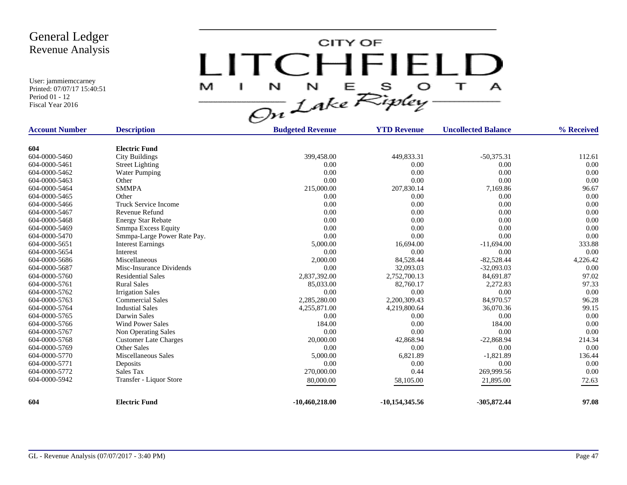CITY OF LITCHFIELD  $M$  I N N E S O T A<br>On Lake Ripley

| <b>Account Number</b> | <b>Description</b>           | <b>Budgeted Revenue</b> | <b>YTD Revenue</b> | <b>Uncollected Balance</b> | % Received |
|-----------------------|------------------------------|-------------------------|--------------------|----------------------------|------------|
|                       |                              |                         |                    |                            |            |
| 604                   | <b>Electric Fund</b>         |                         |                    |                            |            |
| 604-0000-5460         | <b>City Buildings</b>        | 399,458.00              | 449,833.31         | $-50,375.31$               | 112.61     |
| 604-0000-5461         | <b>Street Lighting</b>       | 0.00                    | 0.00               | 0.00                       | 0.00       |
| 604-0000-5462         | <b>Water Pumping</b>         | 0.00                    | 0.00               | 0.00                       | 0.00       |
| 604-0000-5463         | Other                        | 0.00                    | 0.00               | 0.00                       | 0.00       |
| 604-0000-5464         | <b>SMMPA</b>                 | 215,000.00              | 207,830.14         | 7,169.86                   | 96.67      |
| 604-0000-5465         | Other                        | 0.00                    | 0.00               | 0.00                       | 0.00       |
| 604-0000-5466         | <b>Truck Service Income</b>  | 0.00                    | 0.00               | 0.00                       | 0.00       |
| 604-0000-5467         | Revenue Refund               | 0.00                    | 0.00               | 0.00                       | 0.00       |
| 604-0000-5468         | <b>Energy Star Rebate</b>    | 0.00                    | 0.00               | 0.00                       | 0.00       |
| 604-0000-5469         | Smmpa Excess Equity          | 0.00                    | 0.00               | 0.00                       | 0.00       |
| 604-0000-5470         | Smmpa-Large Power Rate Pay.  | 0.00                    | 0.00               | 0.00                       | 0.00       |
| 604-0000-5651         | <b>Interest Earnings</b>     | 5,000.00                | 16,694.00          | $-11,694.00$               | 333.88     |
| 604-0000-5654         | Interest                     | 0.00                    | 0.00               | 0.00                       | 0.00       |
| 604-0000-5686         | Miscellaneous                | 2,000.00                | 84,528.44          | $-82,528.44$               | 4,226.42   |
| 604-0000-5687         | Misc-Insurance Dividends     | 0.00                    | 32,093.03          | $-32,093.03$               | 0.00       |
| 604-0000-5760         | <b>Residential Sales</b>     | 2,837,392.00            | 2,752,700.13       | 84,691.87                  | 97.02      |
| 604-0000-5761         | <b>Rural Sales</b>           | 85,033.00               | 82,760.17          | 2,272.83                   | 97.33      |
| 604-0000-5762         | <b>Irrigation Sales</b>      | 0.00                    | 0.00               | 0.00                       | 0.00       |
| 604-0000-5763         | <b>Commercial Sales</b>      | 2,285,280.00            | 2,200,309.43       | 84,970.57                  | 96.28      |
| 604-0000-5764         | <b>Industial Sales</b>       | 4,255,871.00            | 4,219,800.64       | 36,070.36                  | 99.15      |
| 604-0000-5765         | Darwin Sales                 | 0.00                    | 0.00               | 0.00                       | 0.00       |
| 604-0000-5766         | <b>Wind Power Sales</b>      | 184.00                  | 0.00               | 184.00                     | 0.00       |
| 604-0000-5767         | Non Operating Sales          | 0.00                    | 0.00               | 0.00                       | 0.00       |
| 604-0000-5768         | <b>Customer Late Charges</b> | 20,000.00               | 42,868.94          | $-22,868.94$               | 214.34     |
| 604-0000-5769         | <b>Other Sales</b>           | 0.00                    | 0.00               | 0.00                       | 0.00       |
| 604-0000-5770         | Miscellaneous Sales          | 5,000.00                | 6,821.89           | $-1,821.89$                | 136.44     |
| 604-0000-5771         | Deposits                     | 0.00                    | 0.00               | 0.00                       | 0.00       |
| 604-0000-5772         | Sales Tax                    | 270,000.00              | 0.44               | 269,999.56                 | 0.00       |
| 604-0000-5942         | Transfer - Liquor Store      | 80,000.00               | 58,105.00          | 21,895.00                  | 72.63      |
|                       |                              |                         |                    |                            |            |
| 604                   | <b>Electric Fund</b>         | $-10,460,218.00$        | $-10,154,345.56$   | $-305,872.44$              | 97.08      |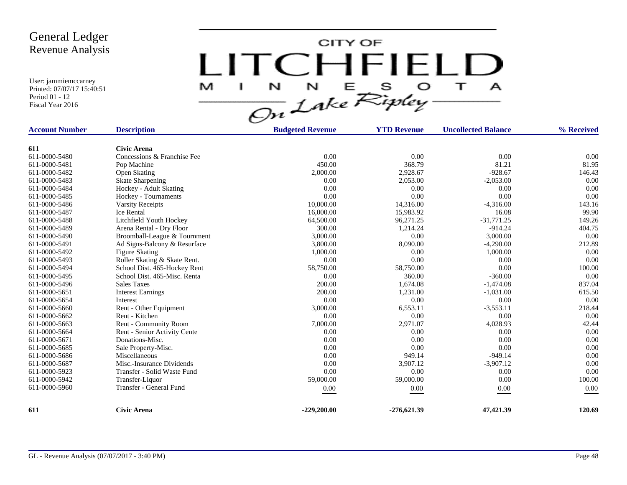CITY OF LITCHFIELD  $\overline{1}$ M J.  $\mathbf{A}$ 

| <b>Account Number</b> | <b>Description</b>           | <b>Budgeted Revenue</b> | <b>YTD Revenue</b> | <b>Uncollected Balance</b> | % Received |
|-----------------------|------------------------------|-------------------------|--------------------|----------------------------|------------|
|                       |                              |                         |                    |                            |            |
| 611                   | <b>Civic Arena</b>           |                         |                    |                            |            |
| 611-0000-5480         | Concessions & Franchise Fee  | 0.00                    | 0.00               | 0.00                       | 0.00       |
| 611-0000-5481         | Pop Machine                  | 450.00                  | 368.79             | 81.21                      | 81.95      |
| 611-0000-5482         | <b>Open Skating</b>          | 2,000.00                | 2,928.67           | $-928.67$                  | 146.43     |
| 611-0000-5483         | <b>Skate Sharpening</b>      | 0.00                    | 2,053.00           | $-2,053.00$                | 0.00       |
| 611-0000-5484         | Hockey - Adult Skating       | 0.00                    | 0.00               | 0.00                       | 0.00       |
| 611-0000-5485         | Hockey - Tournaments         | 0.00                    | 0.00               | 0.00                       | 0.00       |
| 611-0000-5486         | <b>Varsity Receipts</b>      | 10,000.00               | 14,316.00          | $-4,316.00$                | 143.16     |
| 611-0000-5487         | Ice Rental                   | 16,000.00               | 15,983.92          | 16.08                      | 99.90      |
| 611-0000-5488         | Litchfield Youth Hockey      | 64,500.00               | 96,271.25          | $-31,771.25$               | 149.26     |
| 611-0000-5489         | Arena Rental - Dry Floor     | 300.00                  | 1,214.24           | $-914.24$                  | 404.75     |
| 611-0000-5490         | Broomball-League & Tournment | 3,000.00                | 0.00               | 3,000.00                   | 0.00       |
| 611-0000-5491         | Ad Signs-Balcony & Resurface | 3,800.00                | 8,090.00           | $-4,290.00$                | 212.89     |
| 611-0000-5492         | <b>Figure Skating</b>        | 1,000.00                | 0.00               | 1,000.00                   | 0.00       |
| 611-0000-5493         | Roller Skating & Skate Rent. | 0.00                    | 0.00               | 0.00                       | 0.00       |
| 611-0000-5494         | School Dist. 465-Hockey Rent | 58,750.00               | 58,750.00          | 0.00                       | 100.00     |
| 611-0000-5495         | School Dist. 465-Misc. Renta | 0.00                    | 360.00             | $-360.00$                  | 0.00       |
| 611-0000-5496         | <b>Sales Taxes</b>           | 200.00                  | 1,674.08           | $-1,474.08$                | 837.04     |
| 611-0000-5651         | <b>Interest Earnings</b>     | 200.00                  | 1,231.00           | $-1,031.00$                | 615.50     |
| 611-0000-5654         | Interest                     | 0.00                    | 0.00               | 0.00                       | 0.00       |
| 611-0000-5660         | Rent - Other Equipment       | 3,000.00                | 6,553.11           | $-3,553.11$                | 218.44     |
| 611-0000-5662         | Rent - Kitchen               | 0.00                    | 0.00               | 0.00                       | 0.00       |
| 611-0000-5663         | Rent - Community Room        | 7,000.00                | 2,971.07           | 4,028.93                   | 42.44      |
| 611-0000-5664         | Rent - Senior Activity Cente | 0.00                    | 0.00               | 0.00                       | 0.00       |
| 611-0000-5671         | Donations-Misc.              | 0.00                    | 0.00               | 0.00                       | 0.00       |
| 611-0000-5685         | Sale Property-Misc.          | 0.00                    | 0.00               | 0.00                       | 0.00       |
| 611-0000-5686         | Miscellaneous                | 0.00                    | 949.14             | $-949.14$                  | 0.00       |
| 611-0000-5687         | Misc.-Insurance Dividends    | 0.00                    | 3,907.12           | $-3,907.12$                | 0.00       |
| 611-0000-5923         | Transfer - Solid Waste Fund  | 0.00                    | 0.00               | 0.00                       | 0.00       |
| 611-0000-5942         | Transfer-Liquor              | 59,000.00               | 59,000.00          | 0.00                       | 100.00     |
| 611-0000-5960         | Transfer - General Fund      | 0.00                    | 0.00               | 0.00                       | 0.00       |
| 611                   | <b>Civic Arena</b>           | $-229,200.00$           | $-276,621.39$      | 47,421.39                  | 120.69     |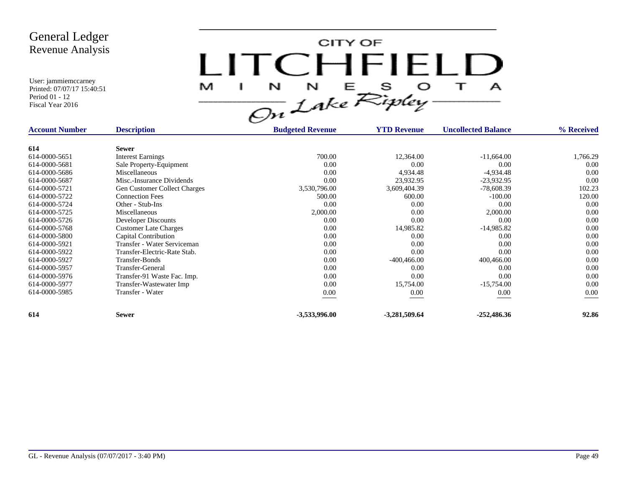CITY OF LITCHFIELD M  $\mathbf{I}$  $\mathbf{A}$ 

| <b>Account Number</b> | <b>Description</b>                  | <b>Budgeted Revenue</b> | <b>YTD Revenue</b> | <b>Uncollected Balance</b> | % Received |
|-----------------------|-------------------------------------|-------------------------|--------------------|----------------------------|------------|
|                       |                                     |                         |                    |                            |            |
| 614                   | <b>Sewer</b>                        |                         |                    |                            |            |
| 614-0000-5651         | <b>Interest Earnings</b>            | 700.00                  | 12,364.00          | $-11,664.00$               | 1,766.29   |
| 614-0000-5681         | Sale Property-Equipment             | 0.00                    | 0.00               | 0.00                       | 0.00       |
| 614-0000-5686         | Miscellaneous                       | 0.00                    | 4,934.48           | $-4,934.48$                | 0.00       |
| 614-0000-5687         | Misc.-Insurance Dividends           | 0.00                    | 23,932.95          | $-23,932.95$               | 0.00       |
| 614-0000-5721         | <b>Gen Customer Collect Charges</b> | 3,530,796.00            | 3,609,404.39       | $-78,608.39$               | 102.23     |
| 614-0000-5722         | <b>Connection Fees</b>              | 500.00                  | 600.00             | $-100.00$                  | 120.00     |
| 614-0000-5724         | Other - Stub-Ins                    | 0.00                    | 0.00               | 0.00                       | 0.00       |
| 614-0000-5725         | Miscellaneous                       | 2,000.00                | 0.00               | 2,000.00                   | 0.00       |
| 614-0000-5726         | Developer Discounts                 | 0.00                    | 0.00               | 0.00                       | 0.00       |
| 614-0000-5768         | <b>Customer Late Charges</b>        | 0.00                    | 14,985.82          | $-14,985.82$               | 0.00       |
| 614-0000-5800         | Capital Contribution                | 0.00                    | 0.00               | 0.00                       | 0.00       |
| 614-0000-5921         | Transfer - Water Serviceman         | 0.00                    | 0.00               | 0.00                       | 0.00       |
| 614-0000-5922         | Transfer-Electric-Rate Stab.        | 0.00                    | 0.00               | 0.00                       | 0.00       |
| 614-0000-5927         | Transfer-Bonds                      | 0.00                    | $-400, 466.00$     | 400,466.00                 | 0.00       |
| 614-0000-5957         | Transfer-General                    | 0.00                    | 0.00               | 0.00                       | 0.00       |
| 614-0000-5976         | Transfer-91 Waste Fac. Imp.         | 0.00                    | 0.00               | 0.00                       | 0.00       |
| 614-0000-5977         | Transfer-Wastewater Imp             | 0.00                    | 15,754.00          | $-15,754.00$               | 0.00       |
| 614-0000-5985         | Transfer - Water                    | $0.00\,$                | $0.00\,$           | 0.00                       | 0.00       |
| 614                   | <b>Sewer</b>                        | -3,533,996.00           | $-3,281,509.64$    | $-252,486.36$              | 92.86      |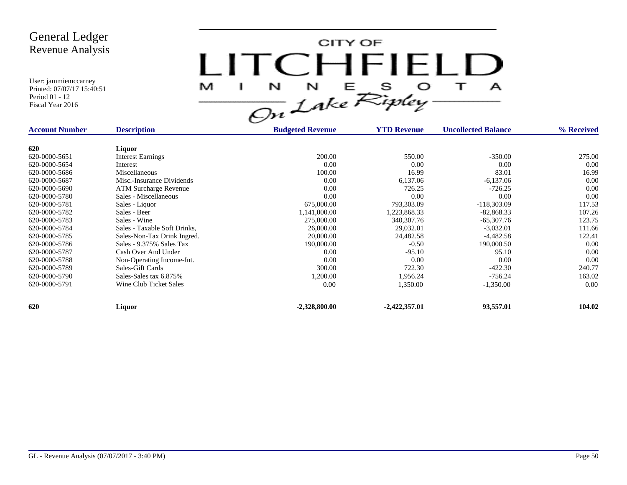

| <b>Account Number</b> | <b>Description</b>           | <b>Budgeted Revenue</b> | <b>YTD Revenue</b> | <b>Uncollected Balance</b> | % Received |
|-----------------------|------------------------------|-------------------------|--------------------|----------------------------|------------|
| 620                   | Liquor                       |                         |                    |                            |            |
| 620-0000-5651         | <b>Interest Earnings</b>     | 200.00                  | 550.00             | $-350.00$                  | 275.00     |
| 620-0000-5654         | Interest                     | 0.00                    | 0.00               | 0.00                       | 0.00       |
| 620-0000-5686         | Miscellaneous                | 100.00                  | 16.99              | 83.01                      | 16.99      |
| 620-0000-5687         | Misc.-Insurance Dividends    | 0.00                    | 6,137.06           | $-6,137.06$                | 0.00       |
| 620-0000-5690         | <b>ATM Surcharge Revenue</b> | 0.00                    | 726.25             | $-726.25$                  | 0.00       |
| 620-0000-5780         | Sales - Miscellaneous        | 0.00                    | 0.00               | 0.00                       | 0.00       |
| 620-0000-5781         | Sales - Liquor               | 675,000.00              | 793,303.09         | $-118,303.09$              | 117.53     |
| 620-0000-5782         | Sales - Beer                 | 1,141,000.00            | 1,223,868.33       | $-82,868.33$               | 107.26     |
| 620-0000-5783         | Sales - Wine                 | 275,000.00              | 340, 307. 76       | $-65,307.76$               | 123.75     |
| 620-0000-5784         | Sales - Taxable Soft Drinks, | 26,000.00               | 29,032.01          | $-3,032.01$                | 111.66     |
| 620-0000-5785         | Sales-Non-Tax Drink Ingred.  | 20,000.00               | 24,482.58          | $-4,482.58$                | 122.41     |
| 620-0000-5786         | Sales - 9.375% Sales Tax     | 190,000.00              | $-0.50$            | 190,000.50                 | 0.00       |
| 620-0000-5787         | Cash Over And Under          | 0.00                    | $-95.10$           | 95.10                      | 0.00       |
| 620-0000-5788         | Non-Operating Income-Int.    | 0.00                    | 0.00               | 0.00                       | 0.00       |
| 620-0000-5789         | Sales-Gift Cards             | 300.00                  | 722.30             | $-422.30$                  | 240.77     |
| 620-0000-5790         | Sales-Sales tax 6.875%       | 1,200.00                | 1,956.24           | $-756.24$                  | 163.02     |
| 620-0000-5791         | Wine Club Ticket Sales       | $0.00\,$                | 1,350.00           | $-1,350.00$                | 0.00       |
|                       |                              |                         |                    |                            |            |
| 620                   | Liquor                       | $-2,328,800.00$         | $-2,422,357.01$    | 93,557.01                  | 104.02     |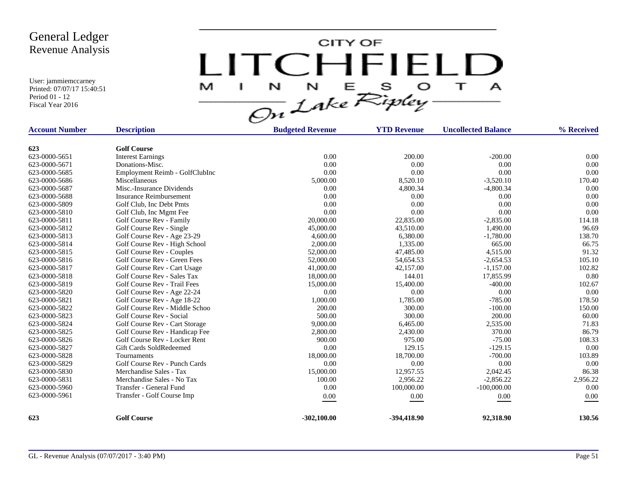CITY OF LITCHFIELD  $\mathbf{T}$ M  $\mathbf{I}$  $\mathbf{A}$ 

| <b>Account Number</b> | <b>Description</b>             | <b>Budgeted Revenue</b> | <b>YTD Revenue</b> | <b>Uncollected Balance</b> | % Received |
|-----------------------|--------------------------------|-------------------------|--------------------|----------------------------|------------|
| 623                   | <b>Golf Course</b>             |                         |                    |                            |            |
| 623-0000-5651         | <b>Interest Earnings</b>       | 0.00                    | 200.00             | $-200.00$                  | 0.00       |
| 623-0000-5671         | Donations-Misc.                | 0.00                    | 0.00               | 0.00                       | 0.00       |
| 623-0000-5685         | Employment Reimb - GolfClubInc | 0.00                    | 0.00               | 0.00                       | 0.00       |
| 623-0000-5686         | Miscellaneous                  | 5,000.00                | 8,520.10           | $-3,520.10$                | 170.40     |
| 623-0000-5687         | Misc.-Insurance Dividends      | 0.00                    | 4,800.34           | $-4,800.34$                | 0.00       |
| 623-0000-5688         | <b>Insurance Reimbursement</b> | 0.00                    | 0.00               | 0.00                       | 0.00       |
| 623-0000-5809         | Golf Club, Inc Debt Pmts       | 0.00                    | 0.00               | 0.00                       | 0.00       |
| 623-0000-5810         | Golf Club, Inc Mgmt Fee        | 0.00                    | 0.00               | 0.00                       | 0.00       |
| 623-0000-5811         | Golf Course Rev - Family       | 20,000.00               | 22,835.00          | $-2,835.00$                | 114.18     |
| 623-0000-5812         | Golf Course Rev - Single       | 45,000.00               | 43,510.00          | 1,490.00                   | 96.69      |
| 623-0000-5813         | Golf Course Rev - Age 23-29    | 4,600.00                | 6,380.00           | $-1,780.00$                | 138.70     |
| 623-0000-5814         | Golf Course Rev - High School  | 2,000.00                | 1,335.00           | 665.00                     | 66.75      |
| 623-0000-5815         | Golf Course Rev - Couples      | 52,000.00               | 47,485.00          | 4,515.00                   | 91.32      |
| 623-0000-5816         | Golf Course Rev - Green Fees   | 52,000.00               | 54,654.53          | $-2,654.53$                | 105.10     |
| 623-0000-5817         | Golf Course Rev - Cart Usage   | 41,000.00               | 42,157.00          | $-1,157.00$                | 102.82     |
| 623-0000-5818         | Golf Course Rev - Sales Tax    | 18,000.00               | 144.01             | 17,855.99                  | 0.80       |
| 623-0000-5819         | Golf Course Rev - Trail Fees   | 15,000.00               | 15,400.00          | $-400.00$                  | 102.67     |
| 623-0000-5820         | Golf Course Rev - Age 22-24    | 0.00                    | 0.00               | 0.00                       | 0.00       |
| 623-0000-5821         | Golf Course Rev - Age 18-22    | 1,000.00                | 1,785.00           | $-785.00$                  | 178.50     |
| 623-0000-5822         | Golf Course Rev - Middle Schoo | 200.00                  | 300.00             | $-100.00$                  | 150.00     |
| 623-0000-5823         | Golf Course Rev - Social       | 500.00                  | 300.00             | 200.00                     | 60.00      |
| 623-0000-5824         | Golf Course Rev - Cart Storage | 9,000.00                | 6,465.00           | 2,535.00                   | 71.83      |
| 623-0000-5825         | Golf Course Rev - Handicap Fee | 2,800.00                | 2,430.00           | 370.00                     | 86.79      |
| 623-0000-5826         | Golf Course Rev - Locker Rent  | 900.00                  | 975.00             | $-75.00$                   | 108.33     |
| 623-0000-5827         | Gift Cards SoldRedeemed        | 0.00                    | 129.15             | $-129.15$                  | 0.00       |
| 623-0000-5828         | Tournaments                    | 18,000.00               | 18,700.00          | $-700.00$                  | 103.89     |
| 623-0000-5829         | Golf Course Rev - Punch Cards  | 0.00                    | 0.00               | 0.00                       | 0.00       |
| 623-0000-5830         | Merchandise Sales - Tax        | 15,000.00               | 12,957.55          | 2,042.45                   | 86.38      |
| 623-0000-5831         | Merchandise Sales - No Tax     | 100.00                  | 2,956.22           | $-2,856.22$                | 2,956.22   |
| 623-0000-5960         | Transfer - General Fund        | 0.00                    | 100,000.00         | $-100,000.00$              | 0.00       |
| 623-0000-5961         | Transfer - Golf Course Imp     | 0.00                    | 0.00               | 0.00                       | 0.00       |
| 623                   | <b>Golf Course</b>             | $-302,100.00$           | -394,418.90        | 92.318.90                  | 130.56     |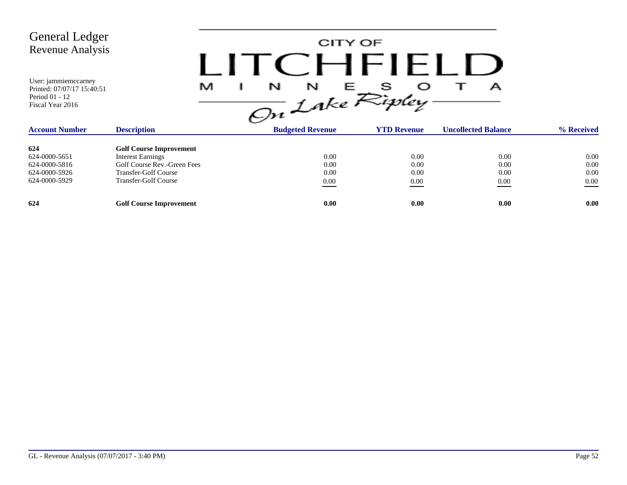| <b>General Ledger</b><br><b>Revenue Analysis</b><br>User: jammiemccarney<br>Printed: 07/07/17 15:40:51<br>Period 01 - 12<br>Fiscal Year 2016 | M                              | CITY OF<br>CHFIFLD<br>N<br>N<br>Е<br>On Lake Ripley |                    | А                          |            |
|----------------------------------------------------------------------------------------------------------------------------------------------|--------------------------------|-----------------------------------------------------|--------------------|----------------------------|------------|
| <b>Account Number</b>                                                                                                                        | <b>Description</b>             | <b>Budgeted Revenue</b>                             | <b>YTD Revenue</b> | <b>Uncollected Balance</b> | % Received |
| 624                                                                                                                                          | <b>Golf Course Improvement</b> |                                                     |                    |                            |            |
| 624-0000-5651                                                                                                                                | <b>Interest Earnings</b>       | 0.00                                                | 0.00               | 0.00                       | 0.00       |
| 624-0000-5816                                                                                                                                | Golf Course Rev.-Green Fees    | 0.00                                                | 0.00               | 0.00                       | 0.00       |
| 624-0000-5926                                                                                                                                | <b>Transfer-Golf Course</b>    | 0.00                                                | 0.00               | 0.00                       | 0.00       |
| 624-0000-5929                                                                                                                                | <b>Transfer-Golf Course</b>    | $0.00\,$                                            | 0.00               | 0.00                       | $0.00\,$   |
| 624                                                                                                                                          | <b>Golf Course Improvement</b> | 0.00                                                | 0.00               | 0.00                       | 0.00       |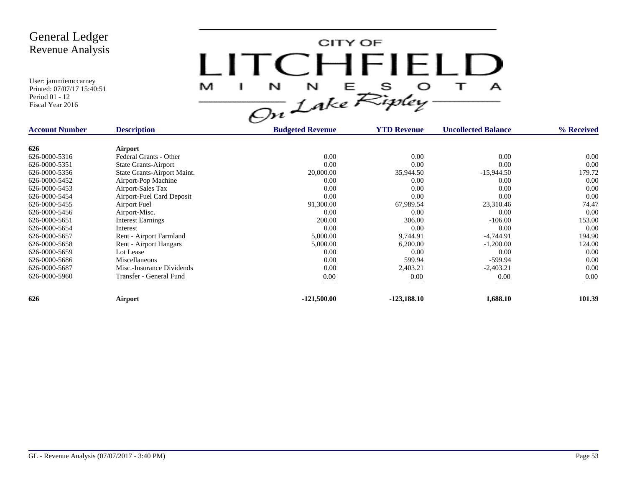

| <b>Account Number</b> | <b>Description</b>          | <b>Budgeted Revenue</b> | <b>YTD Revenue</b> | <b>Uncollected Balance</b> | % Received |
|-----------------------|-----------------------------|-------------------------|--------------------|----------------------------|------------|
| 626                   | Airport                     |                         |                    |                            |            |
| 626-0000-5316         | Federal Grants - Other      | 0.00                    | 0.00               | 0.00                       | 0.00       |
| 626-0000-5351         | <b>State Grants-Airport</b> | 0.00                    | 0.00               | 0.00                       | 0.00       |
| 626-0000-5356         | State Grants-Airport Maint. | 20,000.00               | 35,944.50          | $-15,944.50$               | 179.72     |
| 626-0000-5452         | Airport-Pop Machine         | 0.00                    | 0.00               | 0.00                       | 0.00       |
| 626-0000-5453         | Airport-Sales Tax           | 0.00                    | 0.00               | 0.00                       | 0.00       |
| 626-0000-5454         | Airport-Fuel Card Deposit   | 0.00                    | 0.00               | 0.00                       | 0.00       |
| 626-0000-5455         | Airport Fuel                | 91,300.00               | 67,989.54          | 23,310.46                  | 74.47      |
| 626-0000-5456         | Airport-Misc.               | 0.00                    | 0.00               | 0.00                       | 0.00       |
| 626-0000-5651         | <b>Interest Earnings</b>    | 200.00                  | 306.00             | $-106.00$                  | 153.00     |
| 626-0000-5654         | Interest                    | 0.00                    | 0.00               | 0.00                       | 0.00       |
| 626-0000-5657         | Rent - Airport Farmland     | 5,000.00                | 9,744.91           | $-4,744.91$                | 194.90     |
| 626-0000-5658         | Rent - Airport Hangars      | 5,000.00                | 6,200.00           | $-1,200.00$                | 124.00     |
| 626-0000-5659         | Lot Lease                   | 0.00                    | 0.00               | 0.00                       | 0.00       |
| 626-0000-5686         | Miscellaneous               | 0.00                    | 599.94             | $-599.94$                  | 0.00       |
| 626-0000-5687         | Misc.-Insurance Dividends   | 0.00                    | 2,403.21           | $-2,403.21$                | 0.00       |
| 626-0000-5960         | Transfer - General Fund     | $0.00\,$                | 0.00               | 0.00                       | 0.00       |
| 626                   | Airport                     | $-121,500.00$           | $-123,188.10$      | 1,688.10                   | 101.39     |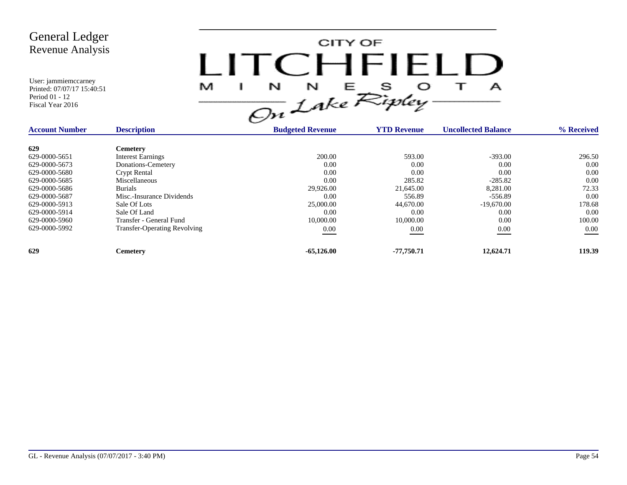

| <b>Account Number</b> | <b>Description</b>                  | <b>Budgeted Revenue</b> | <b>YTD Revenue</b> | <b>Uncollected Balance</b> | % Received |
|-----------------------|-------------------------------------|-------------------------|--------------------|----------------------------|------------|
| 629                   | <b>Cemetery</b>                     |                         |                    |                            |            |
| 629-0000-5651         | <b>Interest Earnings</b>            | 200.00                  | 593.00             | $-393.00$                  | 296.50     |
| 629-0000-5673         | Donations-Cemetery                  | 0.00                    | 0.00               | 0.00                       | 0.00       |
| 629-0000-5680         | <b>Crypt Rental</b>                 | 0.00                    | 0.00               | 0.00                       | 0.00       |
| 629-0000-5685         | Miscellaneous                       | 0.00                    | 285.82             | $-285.82$                  | 0.00       |
| 629-0000-5686         | <b>Burials</b>                      | 29,926.00               | 21,645.00          | 8,281.00                   | 72.33      |
| 629-0000-5687         | Misc.-Insurance Dividends           | 0.00                    | 556.89             | $-556.89$                  | 0.00       |
| 629-0000-5913         | Sale Of Lots                        | 25,000.00               | 44,670.00          | $-19,670,00$               | 178.68     |
| 629-0000-5914         | Sale Of Land                        | 0.00                    | 0.00               | 0.00                       | 0.00       |
| 629-0000-5960         | Transfer - General Fund             | 10,000.00               | 10,000.00          | 0.00                       | 100.00     |
| 629-0000-5992         | <b>Transfer-Operating Revolving</b> | 0.00                    | 0.00               | 0.00                       | $0.00\,$   |
| 629                   | Cemetery                            | $-65,126.00$            | -77.750.71         | 12,624.71                  | 119.39     |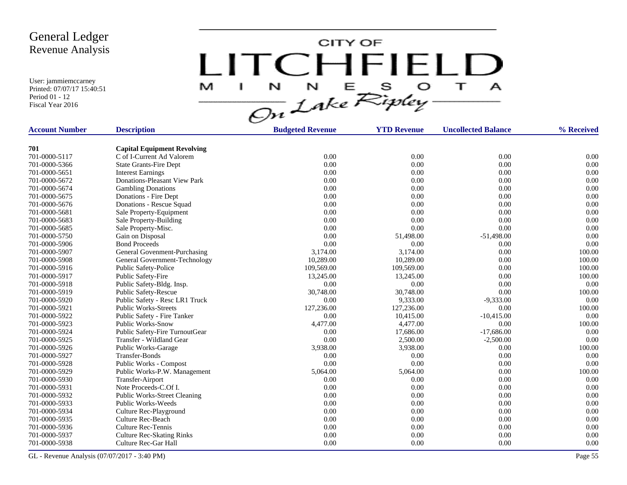User: jammiemccarney Printed: 07/07/17 15:40:51 Period 01 - 12 Fiscal Year 2016

CITY OF LITCHFIELD  $N$   $N$   $E$   $S$   $O$ <br>On Lake Ripley  $\top$ M J.  $\mathbf{A}$ 

| <b>Account Number</b> | <b>Description</b>                  | <b>Budgeted Revenue</b> | <b>YTD Revenue</b> | <b>Uncollected Balance</b> | % Received |
|-----------------------|-------------------------------------|-------------------------|--------------------|----------------------------|------------|
|                       |                                     |                         |                    |                            |            |
| 701                   | <b>Capital Equipment Revolving</b>  |                         |                    |                            |            |
| 701-0000-5117         | C of I-Current Ad Valorem           | 0.00                    | 0.00               | 0.00                       | 0.00       |
| 701-0000-5366         | <b>State Grants-Fire Dept</b>       | 0.00                    | 0.00               | 0.00                       | 0.00       |
| 701-0000-5651         | <b>Interest Earnings</b>            | 0.00                    | 0.00               | 0.00                       | 0.00       |
| 701-0000-5672         | Donations-Pleasant View Park        | 0.00                    | 0.00               | 0.00                       | 0.00       |
| 701-0000-5674         | <b>Gambling Donations</b>           | 0.00                    | 0.00               | 0.00                       | 0.00       |
| 701-0000-5675         | Donations - Fire Dept               | 0.00                    | 0.00               | 0.00                       | 0.00       |
| 701-0000-5676         | Donations - Rescue Squad            | 0.00                    | 0.00               | 0.00                       | 0.00       |
| 701-0000-5681         | Sale Property-Equipment             | 0.00                    | 0.00               | 0.00                       | 0.00       |
| 701-0000-5683         | Sale Property-Building              | 0.00                    | 0.00               | 0.00                       | 0.00       |
| 701-0000-5685         | Sale Property-Misc.                 | 0.00                    | 0.00               | 0.00                       | 0.00       |
| 701-0000-5750         | Gain on Disposal                    | 0.00                    | 51,498.00          | $-51,498.00$               | 0.00       |
| 701-0000-5906         | <b>Bond Proceeds</b>                | 0.00                    | 0.00               | 0.00                       | 0.00       |
| 701-0000-5907         | General Govenment-Purchasing        | 3,174.00                | 3,174.00           | 0.00                       | 100.00     |
| 701-0000-5908         | General Government-Technology       | 10,289.00               | 10,289.00          | 0.00                       | 100.00     |
| 701-0000-5916         | Public Safety-Police                | 109,569.00              | 109,569.00         | 0.00                       | 100.00     |
| 701-0000-5917         | Public Safety-Fire                  | 13,245.00               | 13,245.00          | 0.00                       | 100.00     |
| 701-0000-5918         | Public Safety-Bldg. Insp.           | 0.00                    | 0.00               | 0.00                       | 0.00       |
| 701-0000-5919         | <b>Public Safety-Rescue</b>         | 30,748.00               | 30,748.00          | 0.00                       | 100.00     |
| 701-0000-5920         | Public Safety - Resc LR1 Truck      | 0.00                    | 9,333.00           | $-9,333.00$                | 0.00       |
| 701-0000-5921         | <b>Public Works-Streets</b>         | 127,236.00              | 127,236.00         | 0.00                       | 100.00     |
| 701-0000-5922         | Public Safety - Fire Tanker         | 0.00                    | 10,415.00          | $-10,415.00$               | 0.00       |
| 701-0000-5923         | <b>Public Works-Snow</b>            | 4,477.00                | 4,477.00           | 0.00                       | 100.00     |
| 701-0000-5924         | Public Safety-Fire TurnoutGear      | 0.00                    | 17,686.00          | $-17,686.00$               | 0.00       |
| 701-0000-5925         | Transfer - Wildland Gear            | 0.00                    | 2,500.00           | $-2,500.00$                | 0.00       |
| 701-0000-5926         | Public Works-Garage                 | 3,938.00                | 3,938.00           | 0.00                       | 100.00     |
| 701-0000-5927         | Transfer-Bonds                      | 0.00                    | 0.00               | 0.00                       | 0.00       |
| 701-0000-5928         | Public Works - Compost              | 0.00                    | 0.00               | 0.00                       | 0.00       |
| 701-0000-5929         | Public Works-P.W. Management        | 5,064.00                | 5,064.00           | 0.00                       | 100.00     |
| 701-0000-5930         | Transfer-Airport                    | 0.00                    | 0.00               | 0.00                       | 0.00       |
| 701-0000-5931         | Note Proceeds-C.Of I.               | 0.00                    | 0.00               | 0.00                       | 0.00       |
| 701-0000-5932         | <b>Public Works-Street Cleaning</b> | 0.00                    | 0.00               | 0.00                       | 0.00       |
| 701-0000-5933         | Public Works-Weeds                  | 0.00                    | 0.00               | 0.00                       | 0.00       |
| 701-0000-5934         | Culture Rec-Playground              | 0.00                    | 0.00               | 0.00                       | 0.00       |
| 701-0000-5935         | Culture Rec-Beach                   | 0.00                    | 0.00               | 0.00                       | 0.00       |
| 701-0000-5936         | <b>Culture Rec-Tennis</b>           | 0.00                    | 0.00               | 0.00                       | 0.00       |
| 701-0000-5937         | <b>Culture Rec-Skating Rinks</b>    | 0.00                    | 0.00               | 0.00                       | 0.00       |
| 701-0000-5938         | Culture Rec-Gar Hall                | 0.00                    | 0.00               | 0.00                       | 0.00       |

GL - Revenue Analysis (07/07/2017 - 3:40 PM) Page 55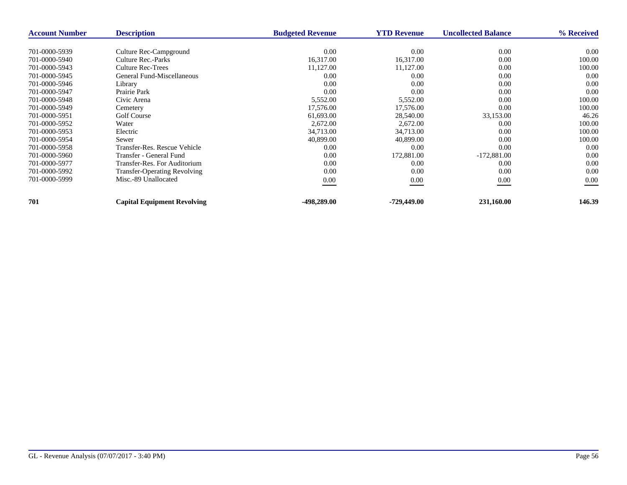| <b>Account Number</b> | <b>Description</b>                  | <b>Budgeted Revenue</b> | <b>YTD Revenue</b> | <b>Uncollected Balance</b> | % Received |
|-----------------------|-------------------------------------|-------------------------|--------------------|----------------------------|------------|
|                       |                                     |                         |                    |                            |            |
| 701-0000-5939         | Culture Rec-Campground              | 0.00                    | 0.00               | 0.00                       | 0.00       |
| 701-0000-5940         | Culture Rec.-Parks                  | 16,317.00               | 16,317.00          | 0.00                       | 100.00     |
| 701-0000-5943         | Culture Rec-Trees                   | 11,127.00               | 11,127.00          | 0.00                       | 100.00     |
| 701-0000-5945         | General Fund-Miscellaneous          | 0.00                    | 0.00               | 0.00                       | 0.00       |
| 701-0000-5946         | Library                             | 0.00                    | 0.00               | 0.00                       | 0.00       |
| 701-0000-5947         | Prairie Park                        | 0.00                    | 0.00               | 0.00                       | 0.00       |
| 701-0000-5948         | Civic Arena                         | 5,552.00                | 5,552.00           | 0.00                       | 100.00     |
| 701-0000-5949         | Cemetery                            | 17,576.00               | 17,576.00          | 0.00                       | 100.00     |
| 701-0000-5951         | <b>Golf Course</b>                  | 61,693.00               | 28,540.00          | 33,153.00                  | 46.26      |
| 701-0000-5952         | Water                               | 2,672.00                | 2,672.00           | 0.00                       | 100.00     |
| 701-0000-5953         | Electric                            | 34,713.00               | 34,713.00          | 0.00                       | 100.00     |
| 701-0000-5954         | Sewer                               | 40,899.00               | 40,899.00          | 0.00                       | 100.00     |
| 701-0000-5958         | Transfer-Res. Rescue Vehicle        | 0.00                    | 0.00               | 0.00                       | 0.00       |
| 701-0000-5960         | Transfer - General Fund             | 0.00                    | 172,881.00         | $-172,881.00$              | 0.00       |
| 701-0000-5977         | Transfer-Res. For Auditorium        | 0.00                    | 0.00               | 0.00                       | 0.00       |
| 701-0000-5992         | <b>Transfer-Operating Revolving</b> | 0.00                    | 0.00               | 0.00                       | 0.00       |
| 701-0000-5999         | Misc.-89 Unallocated                | 0.00                    | 0.00               | 0.00                       | 0.00       |
| 701                   | <b>Capital Equipment Revolving</b>  | -498,289.00             | -729,449.00        | 231,160.00                 | 146.39     |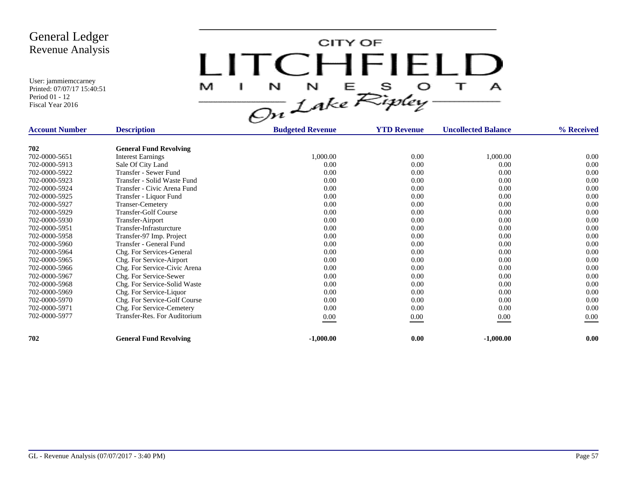CITY OF LITCHFIELD  $\mathbf{T}$ M J.  $\mathbf{A}$ 

| <b>Account Number</b> | <b>Description</b>            | <b>Budgeted Revenue</b> | <b>YTD Revenue</b> | <b>Uncollected Balance</b> | % Received |
|-----------------------|-------------------------------|-------------------------|--------------------|----------------------------|------------|
|                       |                               |                         |                    |                            |            |
| 702                   | <b>General Fund Revolving</b> |                         |                    |                            |            |
| 702-0000-5651         | <b>Interest Earnings</b>      | 1,000.00                | 0.00               | 1,000.00                   | $0.00\,$   |
| 702-0000-5913         | Sale Of City Land             | 0.00                    | 0.00               | 0.00                       | 0.00       |
| 702-0000-5922         | Transfer - Sewer Fund         | 0.00                    | 0.00               | 0.00                       | 0.00       |
| 702-0000-5923         | Transfer - Solid Waste Fund   | 0.00                    | 0.00               | 0.00                       | 0.00       |
| 702-0000-5924         | Transfer - Civic Arena Fund   | 0.00                    | 0.00               | 0.00                       | 0.00       |
| 702-0000-5925         | Transfer - Liquor Fund        | 0.00                    | 0.00               | 0.00                       | 0.00       |
| 702-0000-5927         | <b>Transer-Cemetery</b>       | 0.00                    | 0.00               | 0.00                       | 0.00       |
| 702-0000-5929         | <b>Transfer-Golf Course</b>   | 0.00                    | 0.00               | 0.00                       | 0.00       |
| 702-0000-5930         | Transfer-Airport              | 0.00                    | 0.00               | 0.00                       | 0.00       |
| 702-0000-5951         | Transfer-Infrasturcture       | 0.00                    | 0.00               | 0.00                       | 0.00       |
| 702-0000-5958         | Transfer-97 Imp. Project      | 0.00                    | 0.00               | 0.00                       | 0.00       |
| 702-0000-5960         | Transfer - General Fund       | 0.00                    | 0.00               | 0.00                       | 0.00       |
| 702-0000-5964         | Chg. For Services-General     | 0.00                    | 0.00               | 0.00                       | 0.00       |
| 702-0000-5965         | Chg. For Service-Airport      | 0.00                    | 0.00               | 0.00                       | 0.00       |
| 702-0000-5966         | Chg. For Service-Civic Arena  | 0.00                    | 0.00               | 0.00                       | 0.00       |
| 702-0000-5967         | Chg. For Service-Sewer        | 0.00                    | 0.00               | 0.00                       | 0.00       |
| 702-0000-5968         | Chg. For Service-Solid Waste  | 0.00                    | 0.00               | 0.00                       | 0.00       |
| 702-0000-5969         | Chg. For Service-Liquor       | 0.00                    | 0.00               | 0.00                       | 0.00       |
| 702-0000-5970         | Chg. For Service-Golf Course  | 0.00                    | 0.00               | 0.00                       | 0.00       |
| 702-0000-5971         | Chg. For Service-Cemetery     | 0.00                    | 0.00               | 0.00                       | 0.00       |
| 702-0000-5977         | Transfer-Res. For Auditorium  | 0.00                    | 0.00               | 0.00                       | 0.00       |
|                       |                               |                         |                    |                            |            |
| 702                   | <b>General Fund Revolving</b> | $-1,000.00$             | 0.00               | $-1,000.00$                | 0.00       |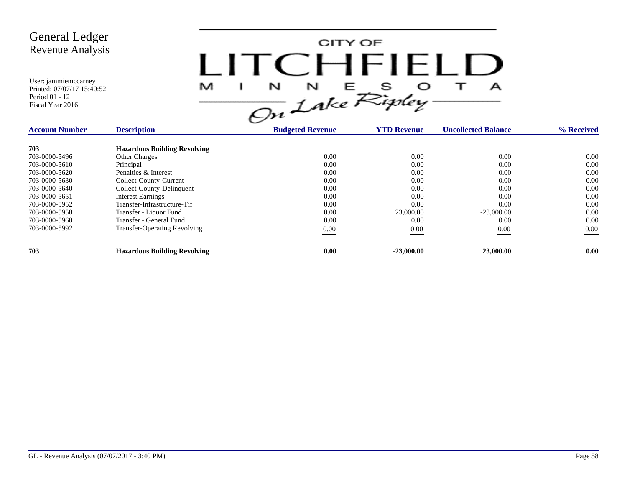

| <b>Account Number</b> | <b>Description</b>                  | <b>Budgeted Revenue</b> | <b>YTD Revenue</b> | <b>Uncollected Balance</b> | % Received |
|-----------------------|-------------------------------------|-------------------------|--------------------|----------------------------|------------|
| 703                   | <b>Hazardous Building Revolving</b> |                         |                    |                            |            |
| 703-0000-5496         | <b>Other Charges</b>                | 0.00                    | 0.00               | 0.00                       | 0.00       |
| 703-0000-5610         | Principal                           | 0.00                    | 0.00               | 0.00                       | 0.00       |
| 703-0000-5620         | Penalties & Interest                | 0.00                    | 0.00               | 0.00                       | 0.00       |
| 703-0000-5630         | Collect-County-Current              | 0.00                    | 0.00               | 0.00                       | 0.00       |
| 703-0000-5640         | Collect-County-Delinquent           | 0.00                    | 0.00               | 0.00                       | 0.00       |
| 703-0000-5651         | <b>Interest Earnings</b>            | 0.00                    | 0.00               | 0.00                       | 0.00       |
| 703-0000-5952         | Transfer-Infrastructure-Tif         | 0.00                    | 0.00               | 0.00                       | 0.00       |
| 703-0000-5958         | Transfer - Liquor Fund              | 0.00                    | 23,000.00          | $-23,000.00$               | 0.00       |
| 703-0000-5960         | Transfer - General Fund             | 0.00                    | 0.00               | 0.00                       | 0.00       |
| 703-0000-5992         | <b>Transfer-Operating Revolving</b> | 0.00                    | 0.00               | 0.00                       | $0.00\,$   |
| 703                   | <b>Hazardous Building Revolving</b> | 0.00                    | $-23,000,00$       | 23,000.00                  | 0.00       |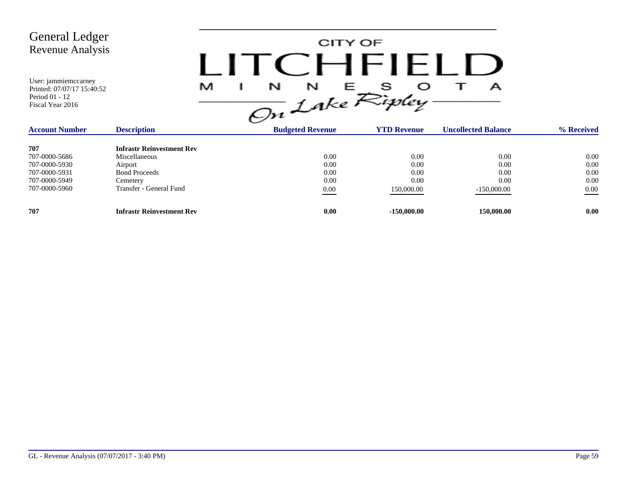

| <b>Account Number</b> | <b>Description</b>               | <b>Budgeted Revenue</b> | <b>YTD Revenue</b> | <b>Uncollected Balance</b> | % Received |
|-----------------------|----------------------------------|-------------------------|--------------------|----------------------------|------------|
| 707                   | <b>Infrastr Reinvestment Rev</b> |                         |                    |                            |            |
| 707-0000-5686         | Miscellaneous                    | 0.00                    | 0.00               | 0.00                       | 0.00       |
| 707-0000-5930         | Airport                          | 0.00                    | 0.00               | 0.00                       | 0.00       |
| 707-0000-5931         | <b>Bond Proceeds</b>             | 0.00                    | 0.00               | 0.00                       | 0.00       |
| 707-0000-5949         | Cemetery                         | 0.00                    | 0.00               | 0.00                       | 0.00       |
| 707-0000-5960         | Transfer - General Fund          | 0.00                    | 150,000.00         | $-150,000.00$              | 0.00       |
| 707                   | <b>Infrastr Reinvestment Rev</b> | 0.00                    | $-150,000,00$      | 150,000.00                 | 0.00       |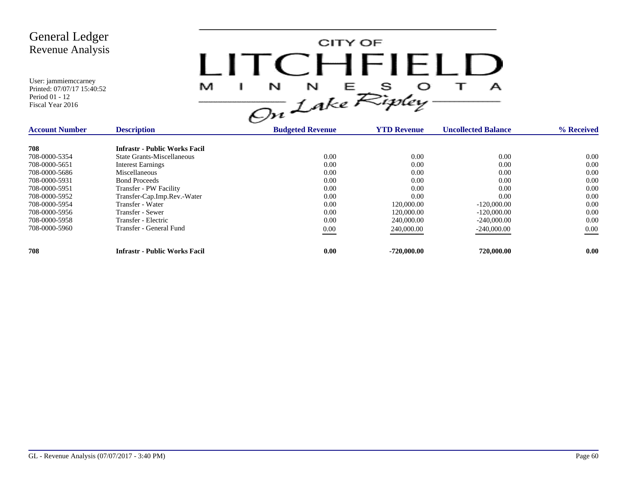

| <b>Account Number</b> | <b>Description</b>                   | <b>Budgeted Revenue</b> | <b>YTD Revenue</b> | <b>Uncollected Balance</b> | % Received |
|-----------------------|--------------------------------------|-------------------------|--------------------|----------------------------|------------|
| 708                   | <b>Infrastr - Public Works Facil</b> |                         |                    |                            |            |
| 708-0000-5354         | State Grants-Miscellaneous           | 0.00                    | 0.00               | 0.00                       | 0.00       |
| 708-0000-5651         | <b>Interest Earnings</b>             | 0.00                    | 0.00               | 0.00                       | 0.00       |
| 708-0000-5686         | Miscellaneous                        | 0.00                    | 0.00               | 0.00                       | 0.00       |
| 708-0000-5931         | <b>Bond Proceeds</b>                 | 0.00                    | 0.00               | 0.00                       | 0.00       |
| 708-0000-5951         | Transfer - PW Facility               | 0.00                    | 0.00               | 0.00                       | 0.00       |
| 708-0000-5952         | Transfer-Cap.Imp.Rev.-Water          | 0.00                    | 0.00               | 0.00                       | 0.00       |
| 708-0000-5954         | Transfer - Water                     | 0.00                    | 120,000.00         | $-120,000,00$              | 0.00       |
| 708-0000-5956         | Transfer - Sewer                     | 0.00                    | 120,000.00         | $-120,000,00$              | 0.00       |
| 708-0000-5958         | Transfer - Electric                  | 0.00                    | 240,000.00         | $-240,000,00$              | 0.00       |
| 708-0000-5960         | Transfer - General Fund              | 0.00                    | 240,000.00         | $-240,000.00$              | $0.00\,$   |
| 708                   | <b>Infrastr - Public Works Facil</b> | 0.00                    | $-720,000,00$      | 720,000.00                 | 0.00       |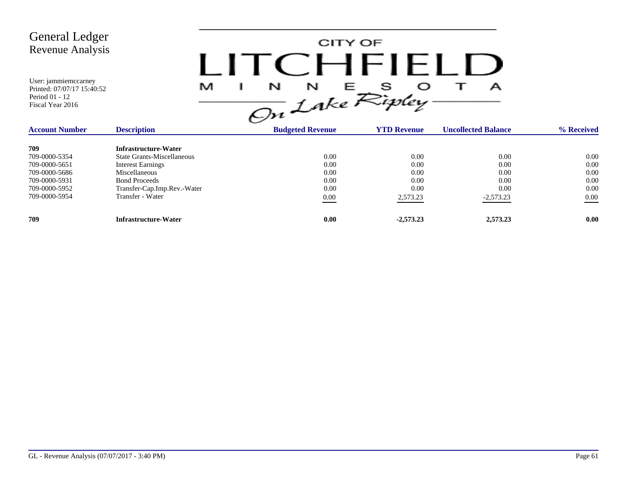CITY OF LITCHFIELD  $M$  I N N E S O T A<br>On Lake Ripley

| <b>Account Number</b> | <b>Description</b>                | <b>Budgeted Revenue</b> | <b>YTD Revenue</b> | <b>Uncollected Balance</b> | % Received        |
|-----------------------|-----------------------------------|-------------------------|--------------------|----------------------------|-------------------|
| 709                   | Infrastructure-Water              |                         |                    |                            |                   |
| 709-0000-5354         | <b>State Grants-Miscellaneous</b> | 0.00                    | 0.00               | 0.00                       | 0.00              |
| 709-0000-5651         | <b>Interest Earnings</b>          | 0.00                    | 0.00               | 0.00                       | 0.00              |
| 709-0000-5686         | Miscellaneous                     | 0.00                    | 0.00               | 0.00                       | 0.00              |
| 709-0000-5931         | <b>Bond Proceeds</b>              | 0.00                    | 0.00               | 0.00                       | 0.00              |
| 709-0000-5952         | Transfer-Cap.Imp.Rev.-Water       | 0.00                    | 0.00               | 0.00                       | 0.00              |
| 709-0000-5954         | Transfer - Water                  | 0.00                    | 2,573.23           | $-2,573.23$                | 0.00              |
| 709                   | Infrastructure-Water              | 0.00                    | $-2,573,23$        | 2,573.23                   | 0.00 <sub>1</sub> |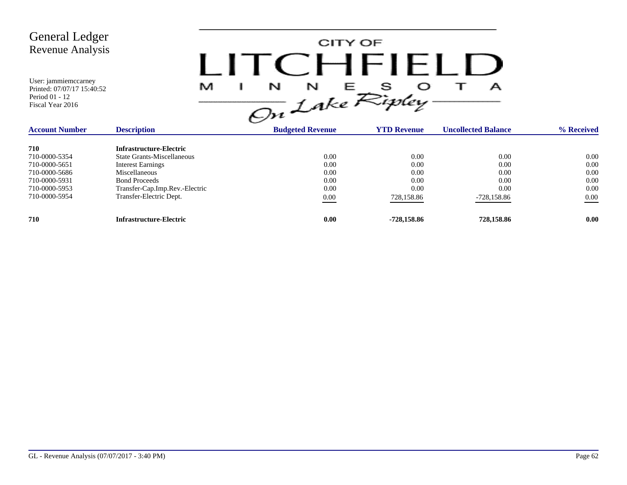CITY OF LITCHFIELD  $M$  I N N E S O T A<br>On Lake Ripley

| <b>Account Number</b> | <b>Description</b>                | <b>Budgeted Revenue</b> | <b>YTD Revenue</b> | <b>Uncollected Balance</b> | % Received        |
|-----------------------|-----------------------------------|-------------------------|--------------------|----------------------------|-------------------|
| 710                   | Infrastructure-Electric           |                         |                    |                            |                   |
| 710-0000-5354         | <b>State Grants-Miscellaneous</b> | 0.00                    | 0.00               | 0.00                       | 0.00              |
| 710-0000-5651         | <b>Interest Earnings</b>          | 0.00                    | 0.00               | 0.00                       | 0.00              |
| 710-0000-5686         | <b>Miscellaneous</b>              | 0.00                    | 0.00               | 0.00                       | 0.00              |
| 710-0000-5931         | <b>Bond Proceeds</b>              | 0.00                    | 0.00               | 0.00                       | 0.00              |
| 710-0000-5953         | Transfer-Cap.Imp.Rev.-Electric    | 0.00                    | 0.00               | 0.00                       | 0.00              |
| 710-0000-5954         | Transfer-Electric Dept.           | 0.00                    | 728,158.86         | -728,158.86                | $0.00\,$          |
| 710                   | Infrastructure-Electric           | 0.00                    | -728.158.86        | 728,158.86                 | 0.00 <sub>1</sub> |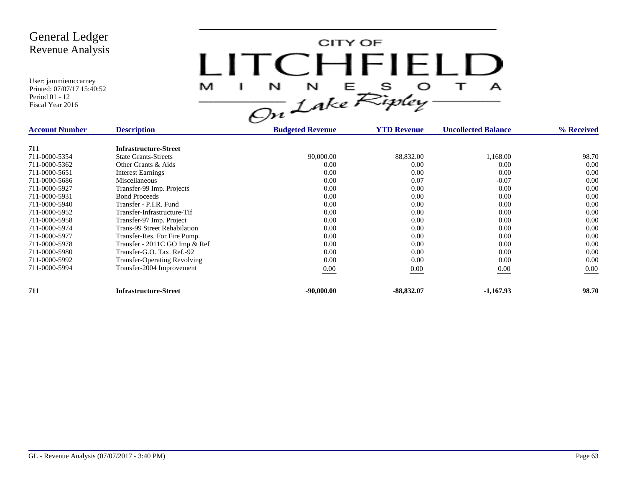CITY OF LITCHFIELD  $\overline{1}$ M  $\mathbf{I}$  $\mathbf{A}$ 

| <b>Account Number</b> | <b>Description</b>                  | <b>Budgeted Revenue</b> | <b>YTD Revenue</b> | <b>Uncollected Balance</b> | % Received |
|-----------------------|-------------------------------------|-------------------------|--------------------|----------------------------|------------|
| 711                   | <b>Infrastructure-Street</b>        |                         |                    |                            |            |
| 711-0000-5354         | <b>State Grants-Streets</b>         | 90,000.00               | 88,832.00          | 1,168.00                   | 98.70      |
| 711-0000-5362         | Other Grants & Aids                 | 0.00                    | 0.00               | 0.00                       | 0.00       |
| 711-0000-5651         | <b>Interest Earnings</b>            | 0.00                    | 0.00               | 0.00                       | 0.00       |
| 711-0000-5686         | Miscellaneous                       | 0.00                    | 0.07               | $-0.07$                    | 0.00       |
| 711-0000-5927         | Transfer-99 Imp. Projects           | 0.00                    | 0.00               | 0.00                       | 0.00       |
| 711-0000-5931         | <b>Bond Proceeds</b>                | 0.00                    | 0.00               | 0.00                       | 0.00       |
| 711-0000-5940         | Transfer - P.I.R. Fund              | 0.00                    | 0.00               | 0.00                       | 0.00       |
| 711-0000-5952         | Transfer-Infrastructure-Tif         | 0.00                    | 0.00               | 0.00                       | 0.00       |
| 711-0000-5958         | Transfer-97 Imp. Project            | 0.00                    | 0.00               | 0.00                       | 0.00       |
| 711-0000-5974         | Trans-99 Street Rehabilation        | 0.00                    | 0.00               | 0.00                       | 0.00       |
| 711-0000-5977         | Transfer-Res. For Fire Pump.        | 0.00                    | 0.00               | 0.00                       | 0.00       |
| 711-0000-5978         | Transfer - 2011C GO Imp & Ref       | 0.00                    | 0.00               | 0.00                       | 0.00       |
| 711-0000-5980         | Transfer-G.O. Tax. Ref.-92          | 0.00                    | 0.00               | 0.00                       | 0.00       |
| 711-0000-5992         | <b>Transfer-Operating Revolving</b> | 0.00                    | 0.00               | 0.00                       | 0.00       |
| 711-0000-5994         | Transfer-2004 Improvement           | 0.00                    | 0.00               | 0.00                       | 0.00       |
| 711                   | <b>Infrastructure-Street</b>        | $-90,000,00$            | $-88,832.07$       | $-1,167.93$                | 98.70      |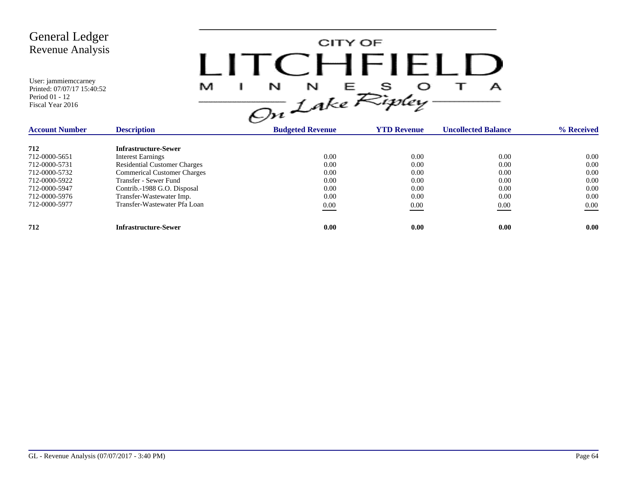

| <b>Account Number</b> | <b>Description</b>                  | <b>Budgeted Revenue</b> | <b>YTD Revenue</b> | <b>Uncollected Balance</b> | % Received |
|-----------------------|-------------------------------------|-------------------------|--------------------|----------------------------|------------|
| 712                   | <b>Infrastructure-Sewer</b>         |                         |                    |                            |            |
| 712-0000-5651         | <b>Interest Earnings</b>            | 0.00                    | 0.00               | 0.00                       | 0.00       |
| 712-0000-5731         | <b>Residential Customer Charges</b> | 0.00                    | 0.00               | 0.00                       | 0.00       |
| 712-0000-5732         | <b>Commerical Customer Charges</b>  | 0.00                    | 0.00               | 0.00                       | 0.00       |
| 712-0000-5922         | Transfer - Sewer Fund               | 0.00                    | 0.00               | 0.00                       | 0.00       |
| 712-0000-5947         | Contrib.-1988 G.O. Disposal         | 0.00                    | 0.00               | 0.00                       | 0.00       |
| 712-0000-5976         | Transfer-Wastewater Imp.            | 0.00                    | 0.00               | 0.00                       | 0.00       |
| 712-0000-5977         | Transfer-Wastewater Pfa Loan        | 0.00                    | 0.00               | 0.00                       | $0.00\,$   |
| 712                   | <b>Infrastructure-Sewer</b>         | 0.00                    | 0.00               | 0.00                       | 0.00       |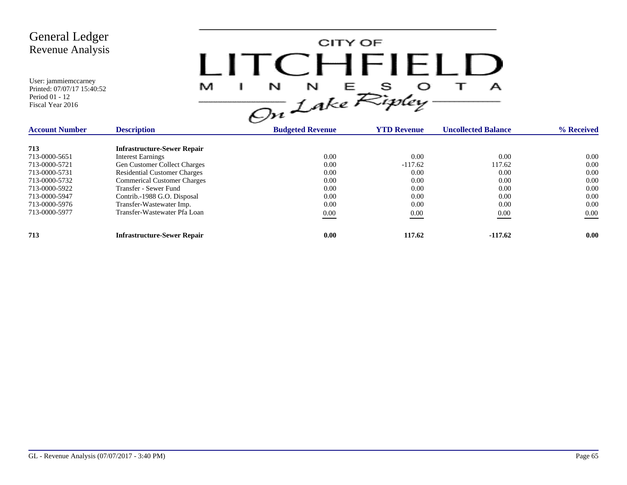

| <b>Account Number</b> | <b>Description</b>                  | <b>Budgeted Revenue</b> | <b>YTD Revenue</b> | <b>Uncollected Balance</b> | % Received |
|-----------------------|-------------------------------------|-------------------------|--------------------|----------------------------|------------|
| 713                   | <b>Infrastructure-Sewer Repair</b>  |                         |                    |                            |            |
| 713-0000-5651         | <b>Interest Earnings</b>            | 0.00                    | 0.00               | 0.00                       | 0.00       |
| 713-0000-5721         | <b>Gen Customer Collect Charges</b> | 0.00                    | $-117.62$          | 117.62                     | 0.00       |
| 713-0000-5731         | <b>Residential Customer Charges</b> | 0.00                    | 0.00               | 0.00                       | 0.00       |
| 713-0000-5732         | <b>Commerical Customer Charges</b>  | 0.00                    | 0.00               | 0.00                       | 0.00       |
| 713-0000-5922         | Transfer - Sewer Fund               | 0.00                    | 0.00               | 0.00                       | 0.00       |
| 713-0000-5947         | Contrib.-1988 G.O. Disposal         | 0.00                    | 0.00               | 0.00                       | 0.00       |
| 713-0000-5976         | Transfer-Wastewater Imp.            | 0.00                    | 0.00               | 0.00                       | 0.00       |
| 713-0000-5977         | Transfer-Wastewater Pfa Loan        | 0.00                    | 0.00               | 0.00                       | $0.00\,$   |
| 713                   | <b>Infrastructure-Sewer Repair</b>  | 0.00                    | 117.62             | $-117.62$                  | 0.00       |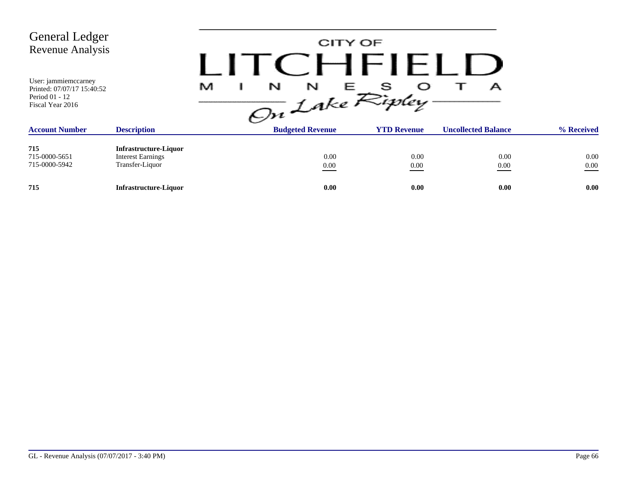| <b>General Ledger</b><br>Revenue Analysis<br>User: jammiemccarney                         |                                                                             |                           | CITY OF                      | CHFIELL                   |                                 |                  |
|-------------------------------------------------------------------------------------------|-----------------------------------------------------------------------------|---------------------------|------------------------------|---------------------------|---------------------------------|------------------|
| Printed: 07/07/17 15:40:52<br>Period 01 - 12<br>Fiscal Year 2016<br><b>Account Number</b> | <b>Description</b>                                                          | M<br>N<br>On Lake Ripley- | N<br><b>Budgeted Revenue</b> | E S<br><b>YTD Revenue</b> | А<br><b>Uncollected Balance</b> | % Received       |
|                                                                                           |                                                                             |                           |                              |                           |                                 |                  |
| 715<br>715-0000-5651<br>715-0000-5942                                                     | <b>Infrastructure-Liquor</b><br><b>Interest Earnings</b><br>Transfer-Liquor |                           | 0.00<br>$0.00\,$             | 0.00<br>0.00              | 0.00<br>0.00                    | 0.00<br>$0.00\,$ |
| 715                                                                                       | <b>Infrastructure-Liquor</b>                                                |                           | 0.00                         | 0.00                      | 0.00                            | 0.00             |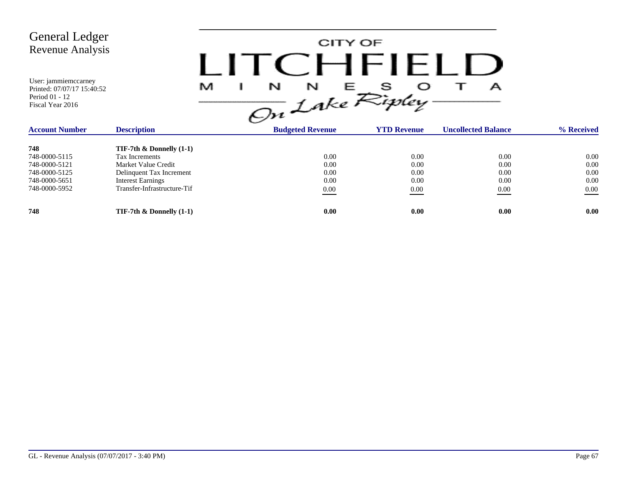| <b>General Ledger</b><br><b>Revenue Analysis</b><br>User: jammiemccarney<br>Printed: 07/07/17 15:40:52<br>Period 01 - 12<br>Fiscal Year 2016 |                                                                                                                                                             | M<br>N<br>On Lake Ripley | N                                        | CITY OF<br>CHEIFI<br>Е |                                          | А                                        |                                      |
|----------------------------------------------------------------------------------------------------------------------------------------------|-------------------------------------------------------------------------------------------------------------------------------------------------------------|--------------------------|------------------------------------------|------------------------|------------------------------------------|------------------------------------------|--------------------------------------|
| <b>Account Number</b>                                                                                                                        | <b>Description</b>                                                                                                                                          |                          | <b>Budgeted Revenue</b>                  | <b>YTD Revenue</b>     |                                          | <b>Uncollected Balance</b>               | % Received                           |
| 748<br>748-0000-5115<br>748-0000-5121<br>748-0000-5125<br>748-0000-5651<br>748-0000-5952                                                     | TIF-7th $\&$ Donnelly (1-1)<br>Tax Increments<br>Market Value Credit<br>Delinquent Tax Increment<br><b>Interest Earnings</b><br>Transfer-Infrastructure-Tif |                          | 0.00<br>0.00<br>0.00<br>0.00<br>$0.00\,$ |                        | 0.00<br>0.00<br>0.00<br>0.00<br>$0.00\,$ | 0.00<br>0.00<br>0.00<br>0.00<br>$0.00\,$ | 0.00<br>0.00<br>0.00<br>0.00<br>0.00 |
| 748                                                                                                                                          | TIF-7th $\&$ Donnelly (1-1)                                                                                                                                 |                          | 0.00                                     |                        | 0.00                                     | 0.00                                     | 0.00                                 |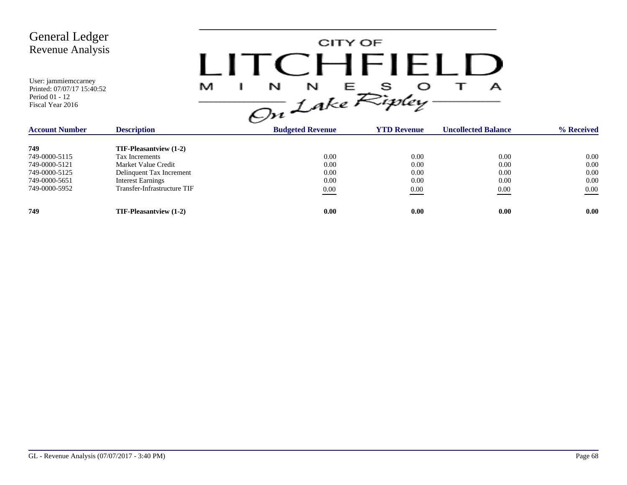| <b>General Ledger</b><br><b>Revenue Analysis</b><br>User: jammiemccarney<br>Printed: 07/07/17 15:40:52<br>Period 01 - 12<br>Fiscal Year 2016 |                               | M | CITY OF<br>$\Box$<br>$\frac{1}{\sqrt{m}}\int_{0}^{N}e^{E}\sum_{i=1}^{S}e^{i\theta}$ |                    | А                          |            |
|----------------------------------------------------------------------------------------------------------------------------------------------|-------------------------------|---|-------------------------------------------------------------------------------------|--------------------|----------------------------|------------|
| <b>Account Number</b>                                                                                                                        | <b>Description</b>            |   | <b>Budgeted Revenue</b>                                                             | <b>YTD Revenue</b> | <b>Uncollected Balance</b> | % Received |
| 749                                                                                                                                          | <b>TIF-Pleasantview</b> (1-2) |   |                                                                                     |                    |                            |            |
| 749-0000-5115                                                                                                                                | Tax Increments                |   | 0.00                                                                                | 0.00               | 0.00                       | $0.00\,$   |
| 749-0000-5121                                                                                                                                | Market Value Credit           |   | 0.00                                                                                | 0.00               | 0.00                       | 0.00       |
| 749-0000-5125                                                                                                                                | Delinquent Tax Increment      |   | 0.00                                                                                | 0.00               | 0.00                       | 0.00       |
| 749-0000-5651                                                                                                                                | <b>Interest Earnings</b>      |   | 0.00                                                                                | 0.00               | 0.00                       | 0.00       |
| 749-0000-5952                                                                                                                                | Transfer-Infrastructure TIF   |   | $0.00\,$                                                                            | 0.00               | 0.00                       | $0.00\,$   |
| 749                                                                                                                                          | TIF-Pleasantview (1-2)        |   | 0.00                                                                                | 0.00               | 0.00                       | 0.00       |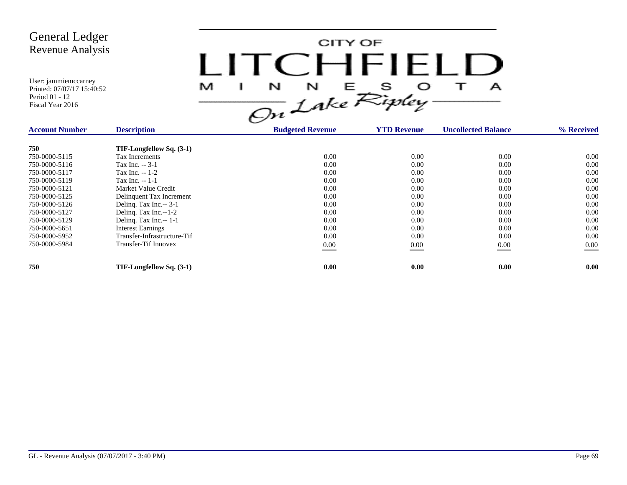

| <b>Account Number</b> | <b>Description</b>          | <b>Budgeted Revenue</b> | <b>YTD Revenue</b> | <b>Uncollected Balance</b> | % Received |
|-----------------------|-----------------------------|-------------------------|--------------------|----------------------------|------------|
| 750                   | TIF-Longfellow Sq. (3-1)    |                         |                    |                            |            |
| 750-0000-5115         | Tax Increments              | 0.00                    | 0.00               | 0.00                       | $0.00\,$   |
| 750-0000-5116         | Tax Inc. -- 3-1             | 0.00                    | 0.00               | 0.00                       | 0.00       |
| 750-0000-5117         | Tax Inc. -- 1-2             | 0.00                    | 0.00               | 0.00                       | 0.00       |
| 750-0000-5119         | Tax Inc. $-1-1$             | 0.00                    | 0.00               | 0.00                       | 0.00       |
| 750-0000-5121         | Market Value Credit         | 0.00                    | 0.00               | 0.00                       | 0.00       |
| 750-0000-5125         | Delinquent Tax Increment    | 0.00                    | 0.00               | 0.00                       | 0.00       |
| 750-0000-5126         | Deling. Tax Inc.-- 3-1      | 0.00                    | 0.00               | 0.00                       | 0.00       |
| 750-0000-5127         | Deling. Tax Inc.--1-2       | 0.00                    | 0.00               | 0.00                       | 0.00       |
| 750-0000-5129         | Deling. Tax Inc.-- 1-1      | 0.00                    | 0.00               | 0.00                       | 0.00       |
| 750-0000-5651         | <b>Interest Earnings</b>    | 0.00                    | 0.00               | 0.00                       | 0.00       |
| 750-0000-5952         | Transfer-Infrastructure-Tif | 0.00                    | 0.00               | 0.00                       | 0.00       |
| 750-0000-5984         | <b>Transfer-Tif Innovex</b> | $0.00\,$                | 0.00               | 0.00                       | $0.00\,$   |
|                       |                             |                         |                    |                            |            |
| 750                   | TIF-Longfellow Sq. (3-1)    | 0.00                    | 0.00               | 0.00                       | 0.00       |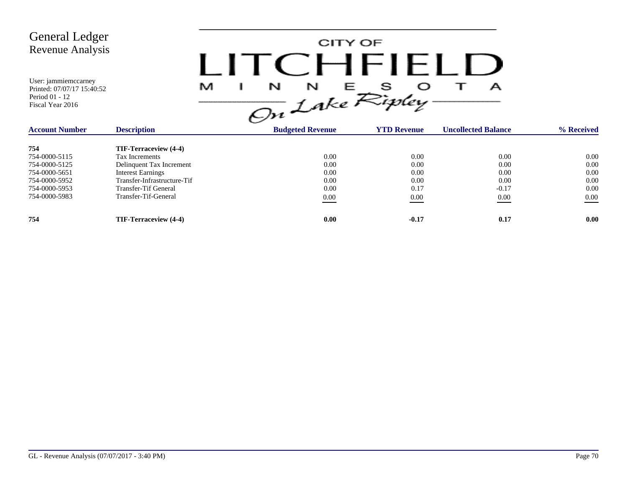

| <b>Account Number</b> | <b>Description</b>          | <b>Budgeted Revenue</b> | <b>YTD Revenue</b> | <b>Uncollected Balance</b> | % Received |
|-----------------------|-----------------------------|-------------------------|--------------------|----------------------------|------------|
| 754                   | TIF-Terraceview (4-4)       |                         |                    |                            |            |
| 754-0000-5115         | Tax Increments              | 0.00                    | 0.00               | 0.00                       | $0.00\,$   |
| 754-0000-5125         | Delinquent Tax Increment    | 0.00                    | 0.00               | 0.00                       | 0.00       |
| 754-0000-5651         | <b>Interest Earnings</b>    | 0.00                    | 0.00               | 0.00                       | 0.00       |
| 754-0000-5952         | Transfer-Infrastructure-Tif | 0.00                    | 0.00               | 0.00                       | 0.00       |
| 754-0000-5953         | Transfer-Tif General        | 0.00                    | 0.17               | $-0.17$                    | 0.00       |
| 754-0000-5983         | Transfer-Tif-General        | 0.00                    | 0.00               | 0.00                       | 0.00       |
| 754                   | TIF-Terraceview (4-4)       | 0.00                    | $-0.17$            | 0.17                       | 0.00       |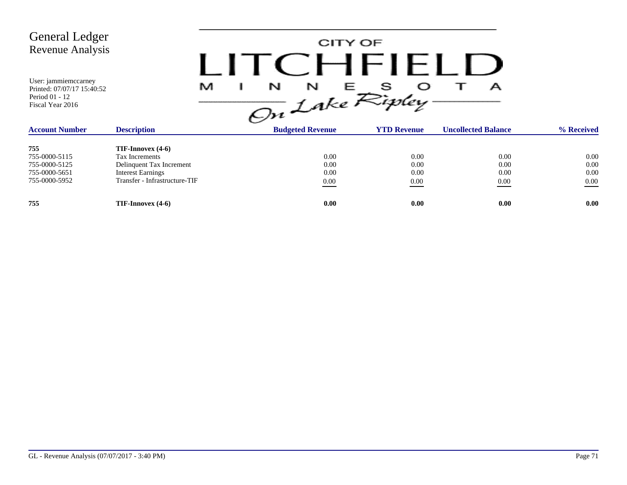

| <b>Account Number</b> | <b>Description</b>            | <br><b>Budgeted Revenue</b> | <b>YTD Revenue</b> | <b>Uncollected Balance</b> | % Received |
|-----------------------|-------------------------------|-----------------------------|--------------------|----------------------------|------------|
| 755                   | $TIF-Imovex(4-6)$             |                             |                    |                            |            |
| 755-0000-5115         | Tax Increments                | 0.00                        | 0.00               | 0.00                       | $0.00\,$   |
| 755-0000-5125         | Delinquent Tax Increment      | 0.00                        | 0.00               | 0.00                       | 0.00       |
| 755-0000-5651         | <b>Interest Earnings</b>      | 0.00                        | 0.00               | 0.00                       | 0.00       |
| 755-0000-5952         | Transfer - Infrastructure-TIF | 0.00                        | 0.00               | 0.00                       | 0.00       |
| 755                   | $TIF-Imovex(4-6)$             | 0.00                        | 0.00               | 0.00                       | 0.00       |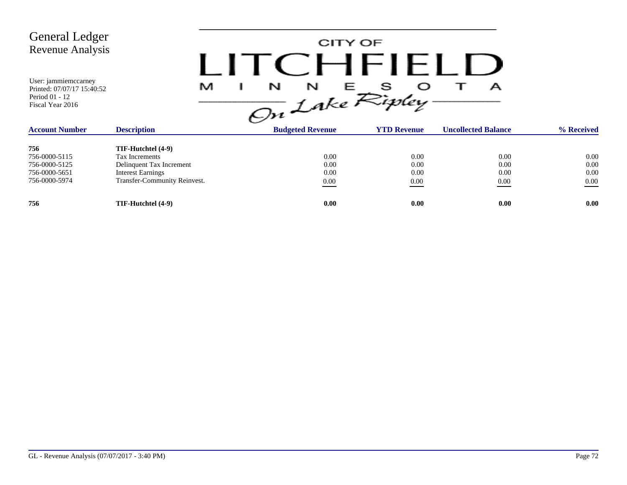

| <b>Account Number</b> | <b>Description</b>           | <b>Budgeted Revenue</b> | <b>YTD Revenue</b> | <b>Uncollected Balance</b> | % Received |
|-----------------------|------------------------------|-------------------------|--------------------|----------------------------|------------|
| 756                   | TIF-Hutchtel (4-9)           |                         |                    |                            |            |
| 756-0000-5115         | Tax Increments               | 0.00                    | 0.00               | 0.00                       | 0.00       |
| 756-0000-5125         | Delinquent Tax Increment     | 0.00                    | 0.00               | 0.00                       | 0.00       |
| 756-0000-5651         | <b>Interest Earnings</b>     | 0.00                    | 0.00               | 0.00                       | 0.00       |
| 756-0000-5974         | Transfer-Community Reinvest. | 0.00                    | 0.00               | 0.00<br>____               | 0.00       |
| 756                   | TIF-Hutchtel (4-9)           | 0.00                    | 0.00               | 0.00                       | 0.00       |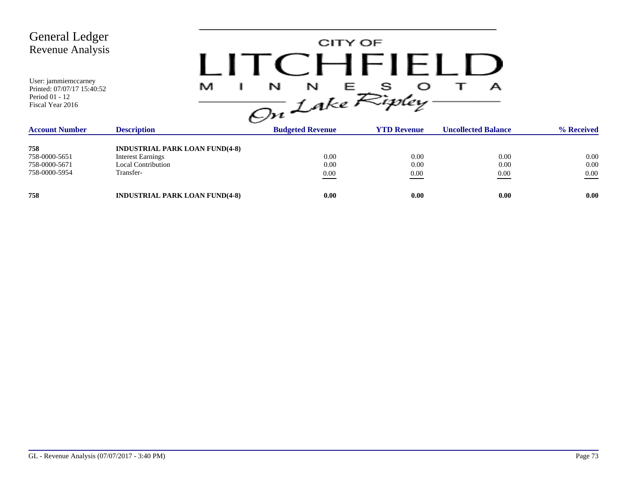| <b>General Ledger</b><br>Revenue Analysis                                                |                                                                                                             | CITY OF<br>CHFIF              |                      |                            |                          |
|------------------------------------------------------------------------------------------|-------------------------------------------------------------------------------------------------------------|-------------------------------|----------------------|----------------------------|--------------------------|
| User: jammiemccarney<br>Printed: 07/07/17 15:40:52<br>Period 01 - 12<br>Fiscal Year 2016 | M                                                                                                           | N<br>N<br>ᄂ<br>On Lake Ripley |                      | А                          |                          |
| <b>Account Number</b>                                                                    | <b>Description</b>                                                                                          | <b>Budgeted Revenue</b>       | <b>YTD Revenue</b>   | <b>Uncollected Balance</b> | % Received               |
| 758<br>758-0000-5651<br>758-0000-5671<br>758-0000-5954                                   | <b>INDUSTRIAL PARK LOAN FUND(4-8)</b><br><b>Interest Earnings</b><br><b>Local Contribution</b><br>Transfer- | 0.00<br>0.00<br>0.00          | 0.00<br>0.00<br>0.00 | 0.00<br>0.00<br>0.00       | 0.00<br>0.00<br>$0.00\,$ |
| 758                                                                                      | <b>INDUSTRIAL PARK LOAN FUND(4-8)</b>                                                                       | 0.00                          | 0.00                 | 0.00                       | 0.00                     |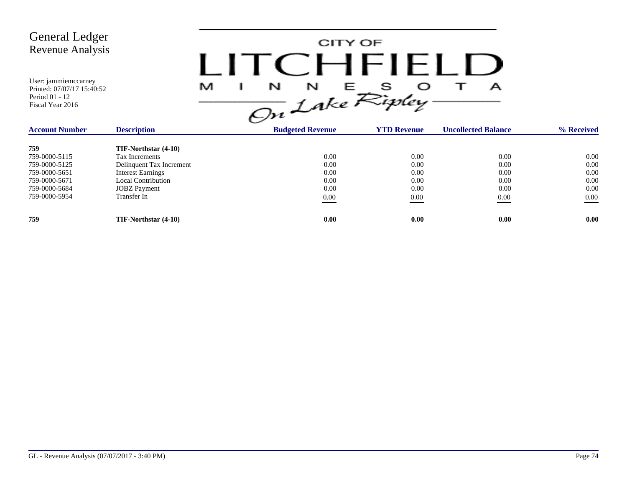

| <b>Description</b><br><b>Account Number</b> |                          | <b>Budgeted Revenue</b> | <b>YTD Revenue</b> | <b>Uncollected Balance</b> | % Received |
|---------------------------------------------|--------------------------|-------------------------|--------------------|----------------------------|------------|
| 759                                         | TIF-Northstar (4-10)     |                         |                    |                            |            |
| 759-0000-5115                               | Tax Increments           | 0.00                    | 0.00               | 0.00                       | 0.00       |
| 759-0000-5125                               | Delinquent Tax Increment | 0.00                    | 0.00               | 0.00                       | 0.00       |
| 759-0000-5651                               | <b>Interest Earnings</b> | 0.00                    | 0.00               | 0.00                       | 0.00       |
| 759-0000-5671                               | Local Contribution       | 0.00                    | 0.00               | 0.00                       | 0.00       |
| 759-0000-5684                               | <b>JOBZ</b> Payment      | 0.00                    | 0.00               | 0.00                       | 0.00       |
| 759-0000-5954                               | Transfer In              | 0.00                    | 0.00               | 0.00<br>___                | $0.00\,$   |
| 759                                         | TIF-Northstar (4-10)     | 0.00                    | 0.00               | 0.00                       | 0.00       |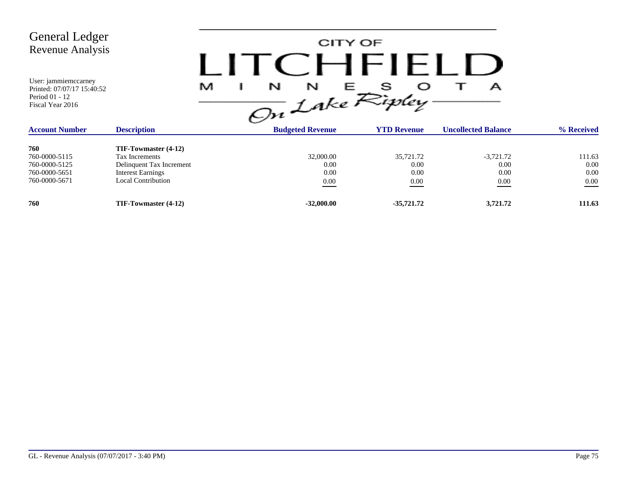| <b>General Ledger</b><br><b>Revenue Analysis</b><br>User: jammiemccarney<br>Printed: 07/07/17 15:40:52<br>Period 01 - 12<br>Fiscal Year 2016 |                                                                                                                                    | M<br>N<br>On Lake Ripley | CITY OF<br>N<br>Е.                    | CHHHL<br>s                        | А                                   |                                    |
|----------------------------------------------------------------------------------------------------------------------------------------------|------------------------------------------------------------------------------------------------------------------------------------|--------------------------|---------------------------------------|-----------------------------------|-------------------------------------|------------------------------------|
| <b>Account Number</b>                                                                                                                        | <b>Description</b>                                                                                                                 |                          | <b>Budgeted Revenue</b>               | <b>YTD Revenue</b>                | <b>Uncollected Balance</b>          | % Received                         |
| 760<br>760-0000-5115<br>760-0000-5125<br>760-0000-5651<br>760-0000-5671                                                                      | TIF-Towmaster (4-12)<br><b>Tax Increments</b><br>Delinquent Tax Increment<br><b>Interest Earnings</b><br><b>Local Contribution</b> |                          | 32,000.00<br>0.00<br>0.00<br>$0.00\,$ | 35,721.72<br>0.00<br>0.00<br>0.00 | $-3,721.72$<br>0.00<br>0.00<br>0.00 | 111.63<br>0.00<br>0.00<br>$0.00\,$ |
| 760                                                                                                                                          | TIF-Towmaster (4-12)                                                                                                               |                          | $-32,000.00$                          | $-35,721.72$                      | 3,721.72                            | 111.63                             |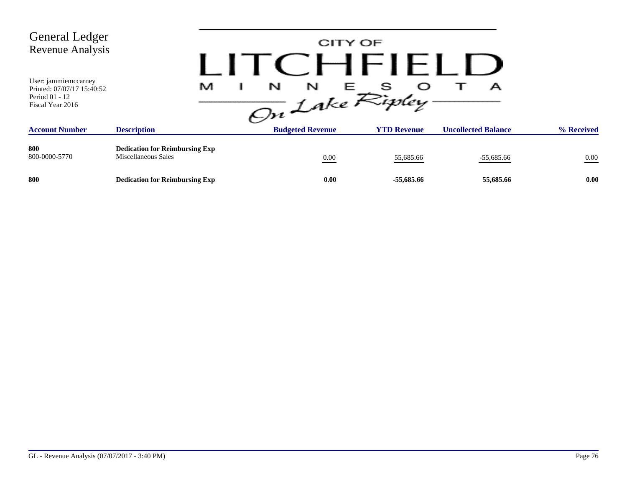| <b>General Ledger</b><br>Revenue Analysis<br>User: jammiemccarney<br>Printed: 07/07/17 15:40:52<br>Period 01 - 12<br>Fiscal Year 2016 | M                                                            | N<br>N<br>On Lake Ripley. | CITY OF<br>CHFIELL<br>s<br>E 11 | А                          |            |
|---------------------------------------------------------------------------------------------------------------------------------------|--------------------------------------------------------------|---------------------------|---------------------------------|----------------------------|------------|
| <b>Account Number</b>                                                                                                                 | <b>Description</b>                                           | <b>Budgeted Revenue</b>   | <b>YTD Revenue</b>              | <b>Uncollected Balance</b> | % Received |
| 800<br>800-0000-5770                                                                                                                  | <b>Dedication for Reimbursing Exp</b><br>Miscellaneous Sales | $0.00\,$                  | 55,685.66                       | $-55,685.66$               | $0.00\,$   |
| 800                                                                                                                                   | <b>Dedication for Reimbursing Exp</b>                        | 0.00                      | -55,685.66                      | 55,685.66                  | 0.00       |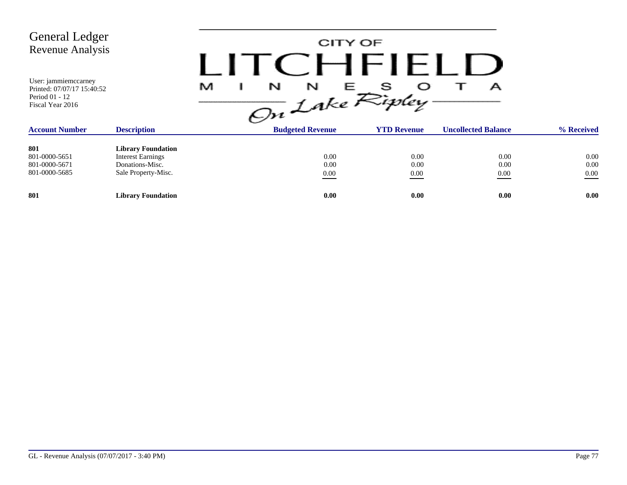| <b>General Ledger</b><br>Revenue Analysis                                                |                                                                                                 |   | CITY OF                 | <b>TCHFIELD</b>                                           |                            |                          |
|------------------------------------------------------------------------------------------|-------------------------------------------------------------------------------------------------|---|-------------------------|-----------------------------------------------------------|----------------------------|--------------------------|
| User: jammiemccarney<br>Printed: 07/07/17 15:40:52<br>Period 01 - 12<br>Fiscal Year 2016 |                                                                                                 | M |                         | $\frac{1}{\sqrt{2n}}\int_{0}^{N}e^{E}\sum_{y}^{S}y\log y$ | А                          |                          |
| <b>Account Number</b>                                                                    | <b>Description</b>                                                                              |   | <b>Budgeted Revenue</b> | <b>YTD Revenue</b>                                        | <b>Uncollected Balance</b> | % Received               |
| 801<br>801-0000-5651<br>801-0000-5671<br>801-0000-5685                                   | <b>Library Foundation</b><br><b>Interest Earnings</b><br>Donations-Misc.<br>Sale Property-Misc. |   | 0.00<br>0.00<br>0.00    | 0.00<br>0.00<br>0.00                                      | 0.00<br>0.00<br>0.00       | 0.00<br>0.00<br>$0.00\,$ |
| 801                                                                                      | <b>Library Foundation</b>                                                                       |   | 0.00                    | 0.00                                                      | 0.00                       | 0.00                     |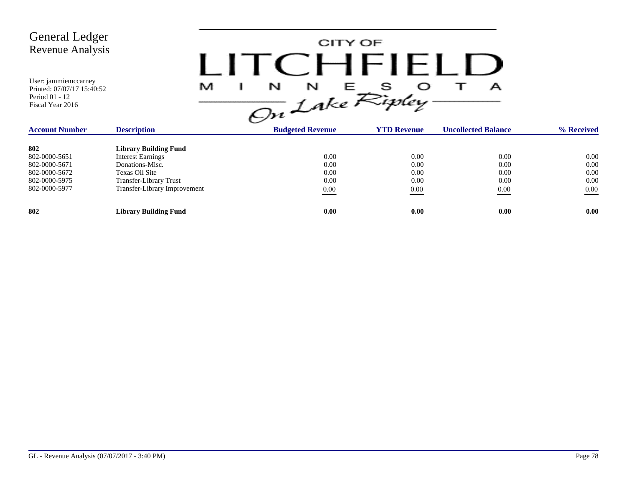

| <b>Description</b><br><b>Account Number</b> |                              | <b>Budgeted Revenue</b> | <b>YTD Revenue</b> | <b>Uncollected Balance</b> | % Received |
|---------------------------------------------|------------------------------|-------------------------|--------------------|----------------------------|------------|
| 802                                         | <b>Library Building Fund</b> |                         |                    |                            |            |
| 802-0000-5651                               | <b>Interest Earnings</b>     | 0.00                    | 0.00               | 0.00                       | 0.00       |
| 802-0000-5671                               | Donations-Misc.              | 0.00                    | 0.00               | 0.00                       | 0.00       |
| 802-0000-5672                               | Texas Oil Site               | 0.00                    | 0.00               | 0.00                       | 0.00       |
| 802-0000-5975                               | Transfer-Library Trust       | 0.00                    | 0.00               | 0.00                       | 0.00       |
| 802-0000-5977                               | Transfer-Library Improvement | 0.00                    | 0.00               | 0.00                       | 0.00       |
| 802                                         | <b>Library Building Fund</b> | 0.00                    | 0.00               | 0.00                       | 0.00       |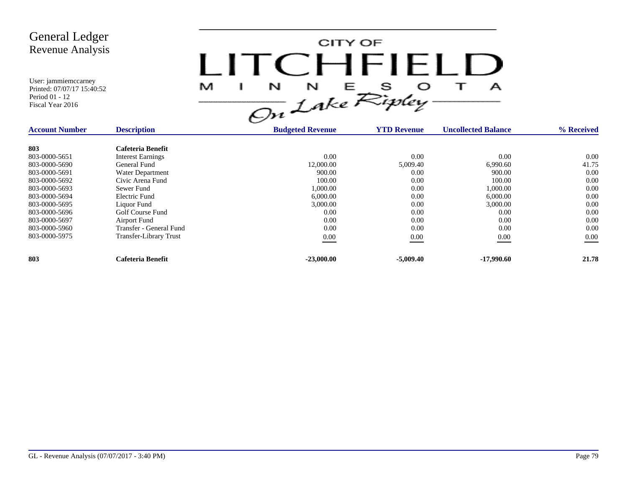

| <b>Description</b><br><b>Account Number</b> |                               | <b>Budgeted Revenue</b> | <b>YTD Revenue</b> | <b>Uncollected Balance</b> | % Received |
|---------------------------------------------|-------------------------------|-------------------------|--------------------|----------------------------|------------|
| 803                                         | Cafeteria Benefit             |                         |                    |                            |            |
| 803-0000-5651                               | <b>Interest Earnings</b>      | 0.00                    | 0.00               | 0.00                       | 0.00       |
| 803-0000-5690                               | General Fund                  | 12,000.00               | 5,009.40           | 6,990.60                   | 41.75      |
| 803-0000-5691                               | Water Department              | 900.00                  | 0.00               | 900.00                     | 0.00       |
| 803-0000-5692                               | Civic Arena Fund              | 100.00                  | 0.00               | 100.00                     | 0.00       |
| 803-0000-5693                               | Sewer Fund                    | 1,000.00                | 0.00               | 1,000.00                   | 0.00       |
| 803-0000-5694                               | Electric Fund                 | 6,000.00                | 0.00               | 6,000.00                   | 0.00       |
| 803-0000-5695                               | Liquor Fund                   | 3,000.00                | 0.00               | 3,000.00                   | 0.00       |
| 803-0000-5696                               | Golf Course Fund              | 0.00                    | 0.00               | 0.00                       | 0.00       |
| 803-0000-5697                               | Airport Fund                  | 0.00                    | 0.00               | 0.00                       | 0.00       |
| 803-0000-5960                               | Transfer - General Fund       | 0.00                    | 0.00               | 0.00                       | 0.00       |
| 803-0000-5975                               | <b>Transfer-Library Trust</b> | 0.00                    | 0.00               | 0.00                       | 0.00       |
| 803                                         | Cafeteria Benefit             | $-23,000.00$            | $-5,009.40$        | $-17,990.60$               | 21.78      |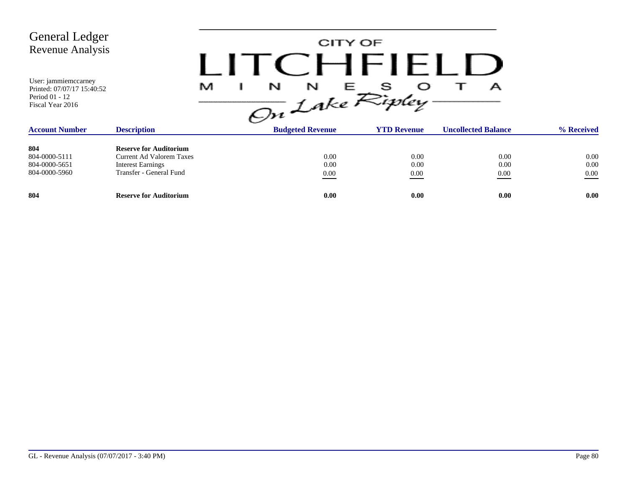| <b>General Ledger</b><br>Revenue Analysis<br>User: jammiemccarney<br>Printed: 07/07/17 15:40:52 |                                                                                                                         | N<br>N<br>M              | CITY OF<br>CHFIFI D<br>s<br>Е | А                          |                          |
|-------------------------------------------------------------------------------------------------|-------------------------------------------------------------------------------------------------------------------------|--------------------------|-------------------------------|----------------------------|--------------------------|
| Period 01 - 12<br>Fiscal Year 2016                                                              |                                                                                                                         | On Lake Ripley           |                               |                            |                          |
| <b>Account Number</b>                                                                           | <b>Description</b>                                                                                                      | <b>Budgeted Revenue</b>  | <b>YTD Revenue</b>            | <b>Uncollected Balance</b> | % Received               |
| 804<br>804-0000-5111<br>804-0000-5651<br>804-0000-5960                                          | <b>Reserve for Auditorium</b><br><b>Current Ad Valorem Taxes</b><br><b>Interest Earnings</b><br>Transfer - General Fund | 0.00<br>0.00<br>$0.00\,$ | 0.00<br>0.00<br>0.00          | 0.00<br>0.00<br>0.00       | 0.00<br>0.00<br>$0.00\,$ |
| 804                                                                                             | <b>Reserve for Auditorium</b>                                                                                           | 0.00                     | 0.00                          | 0.00                       | 0.00                     |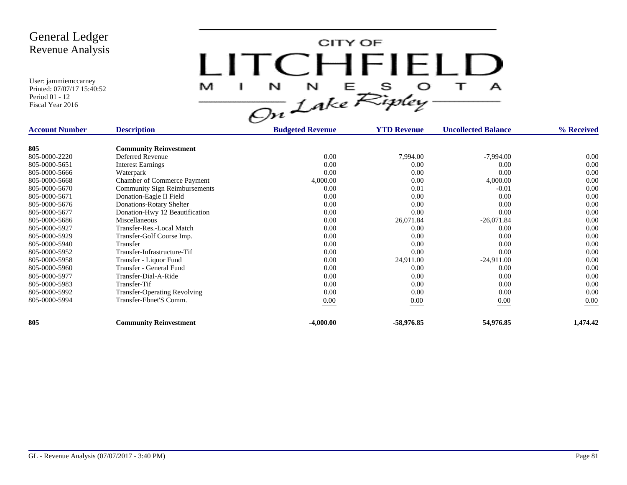CITY OF LITCHFIELD  $N$   $N$   $E$   $S$   $O$ <br>On Lake Ripley  $\top$ M J.  $\mathbf{A}$ 

| <b>Account Number</b><br><b>Description</b> |                                      | <b>Budgeted Revenue</b> | <b>YTD Revenue</b> | <b>Uncollected Balance</b> | % Received |
|---------------------------------------------|--------------------------------------|-------------------------|--------------------|----------------------------|------------|
| 805                                         | <b>Community Reinvestment</b>        |                         |                    |                            |            |
| 805-0000-2220                               | Deferred Revenue                     | 0.00                    | 7,994.00           | $-7,994.00$                | 0.00       |
| 805-0000-5651                               | <b>Interest Earnings</b>             | 0.00                    | 0.00               | 0.00                       | 0.00       |
| 805-0000-5666                               | Waterpark                            | 0.00                    | 0.00               | 0.00                       | 0.00       |
| 805-0000-5668                               | <b>Chamber of Commerce Payment</b>   | 4,000.00                | 0.00               | 4,000.00                   | 0.00       |
| 805-0000-5670                               | <b>Community Sign Reimbursements</b> | 0.00                    | 0.01               | $-0.01$                    | 0.00       |
| 805-0000-5671                               | Donation-Eagle II Field              | 0.00                    | 0.00               | 0.00                       | 0.00       |
| 805-0000-5676                               | Donations-Rotary Shelter             | 0.00                    | 0.00               | 0.00                       | 0.00       |
| 805-0000-5677                               | Donation-Hwy 12 Beautification       | 0.00                    | 0.00               | 0.00                       | 0.00       |
| 805-0000-5686                               | Miscellaneous                        | 0.00                    | 26,071.84          | $-26,071.84$               | 0.00       |
| 805-0000-5927                               | Transfer-Res.-Local Match            | 0.00                    | 0.00               | 0.00                       | 0.00       |
| 805-0000-5929                               | Transfer-Golf Course Imp.            | 0.00                    | 0.00               | 0.00                       | 0.00       |
| 805-0000-5940                               | Transfer                             | 0.00                    | 0.00               | 0.00                       | 0.00       |
| 805-0000-5952                               | Transfer-Infrastructure-Tif          | 0.00                    | 0.00               | 0.00                       | 0.00       |
| 805-0000-5958                               | Transfer - Liquor Fund               | 0.00                    | 24,911.00          | $-24,911.00$               | 0.00       |
| 805-0000-5960                               | Transfer - General Fund              | 0.00                    | 0.00               | 0.00                       | 0.00       |
| 805-0000-5977                               | Transfer-Dial-A-Ride                 | 0.00                    | 0.00               | 0.00                       | 0.00       |
| 805-0000-5983                               | Transfer-Tif                         | 0.00                    | 0.00               | 0.00                       | 0.00       |
| 805-0000-5992                               | <b>Transfer-Operating Revolving</b>  | 0.00                    | 0.00               | 0.00                       | 0.00       |
| 805-0000-5994                               | Transfer-Ebnet'S Comm.               | $0.00\,$                | 0.00               | 0.00                       | $0.00\,$   |
| 805                                         | <b>Community Reinvestment</b>        | $-4,000.00$             | -58,976.85         | 54,976.85                  | 1,474.42   |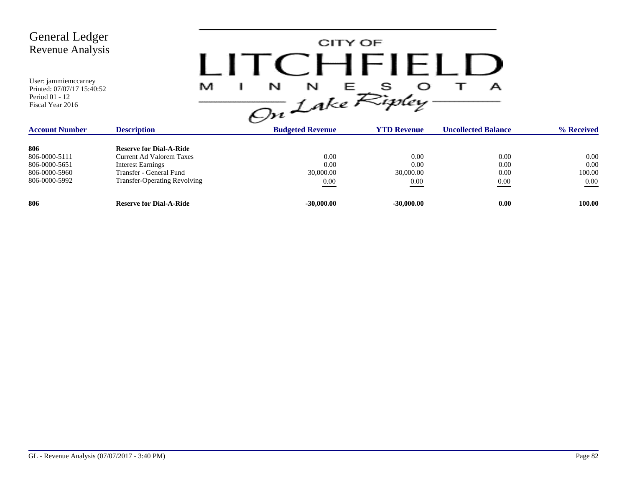| <b>General Ledger</b><br><b>Revenue Analysis</b><br>User: jammiemccarney<br>Printed: 07/07/17 15:40:52<br>Period 01 - 12<br>Fiscal Year 2016 | L<br>M                                                                                                                                                   | CITY OF<br>CHF1<br>N<br>N<br>On Lake Ripley | S<br>E                            | А                            |                                    |
|----------------------------------------------------------------------------------------------------------------------------------------------|----------------------------------------------------------------------------------------------------------------------------------------------------------|---------------------------------------------|-----------------------------------|------------------------------|------------------------------------|
| <b>Account Number</b>                                                                                                                        | <b>Description</b>                                                                                                                                       | <b>Budgeted Revenue</b>                     | <b>YTD Revenue</b>                | <b>Uncollected Balance</b>   | % Received                         |
| 806<br>806-0000-5111<br>806-0000-5651<br>806-0000-5960<br>806-0000-5992                                                                      | <b>Reserve for Dial-A-Ride</b><br><b>Current Ad Valorem Taxes</b><br><b>Interest Earnings</b><br>Transfer - General Fund<br>Transfer-Operating Revolving | 0.00<br>0.00<br>30,000.00<br>0.00           | 0.00<br>0.00<br>30,000.00<br>0.00 | 0.00<br>0.00<br>0.00<br>0.00 | 0.00<br>0.00<br>100.00<br>$0.00\,$ |
| 806                                                                                                                                          | <b>Reserve for Dial-A-Ride</b>                                                                                                                           | $-30,000.00$                                | $-30,000.00$                      | 0.00                         | 100.00                             |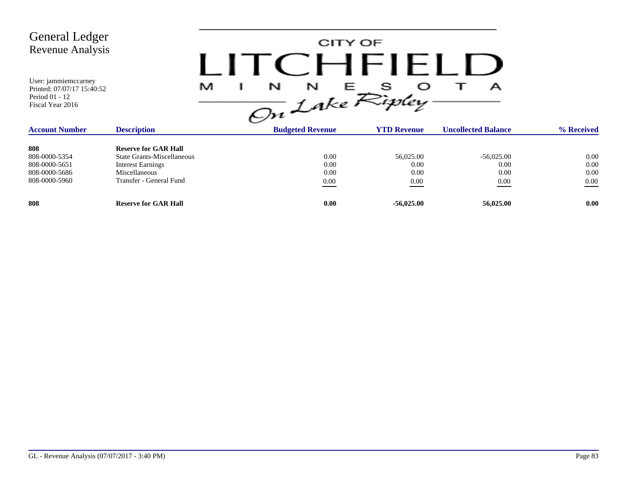| <b>General Ledger</b><br><b>Revenue Analysis</b><br>User: jammiemccarney<br>Printed: 07/07/17 15:40:52<br>Period 01 - 12<br>Fiscal Year 2016 |                                                                                                                                                 | N<br>M | CITY OF<br>N                     | HHH<br>s<br>Е.<br>On Lake Ripley  | А                                    |                                  |
|----------------------------------------------------------------------------------------------------------------------------------------------|-------------------------------------------------------------------------------------------------------------------------------------------------|--------|----------------------------------|-----------------------------------|--------------------------------------|----------------------------------|
| <b>Account Number</b>                                                                                                                        | <b>Description</b>                                                                                                                              |        | <b>Budgeted Revenue</b>          | <b>YTD Revenue</b>                | <b>Uncollected Balance</b>           | % Received                       |
| 808<br>808-0000-5354<br>808-0000-5651<br>808-0000-5686<br>808-0000-5960                                                                      | <b>Reserve for GAR Hall</b><br><b>State Grants-Miscellaneous</b><br><b>Interest Earnings</b><br><b>Miscellaneous</b><br>Transfer - General Fund |        | 0.00<br>0.00<br>0.00<br>$0.00\,$ | 56,025.00<br>0.00<br>0.00<br>0.00 | $-56,025.00$<br>0.00<br>0.00<br>0.00 | 0.00<br>0.00<br>0.00<br>$0.00\,$ |
| 808                                                                                                                                          | <b>Reserve for GAR Hall</b>                                                                                                                     |        | 0.00                             | $-56,025.00$                      | 56,025.00                            | 0.00                             |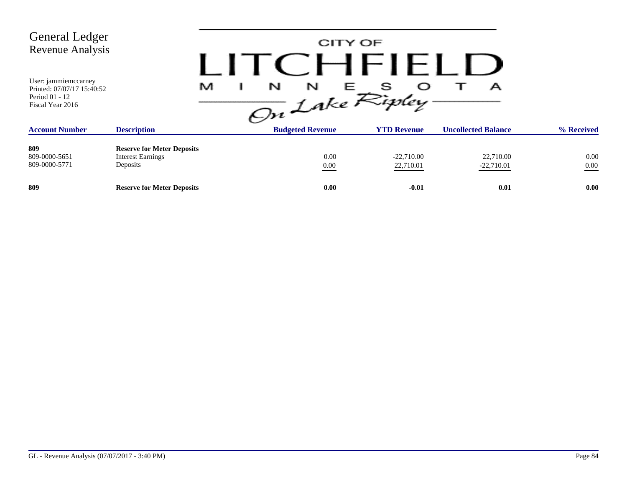| <b>General Ledger</b><br><b>Revenue Analysis</b><br>User: jammiemccarney<br>Printed: 07/07/17 15:40:52<br>Period 01 - 12<br>Fiscal Year 2016 | M                                                                         | TCHFIFL<br>$\frac{1}{\sqrt{2n}}\int_{0}^{N}dke \mathcal{R}_{i}^{S}$ | CITY OF                   | А                          |                  |
|----------------------------------------------------------------------------------------------------------------------------------------------|---------------------------------------------------------------------------|---------------------------------------------------------------------|---------------------------|----------------------------|------------------|
| <b>Account Number</b>                                                                                                                        | <b>Description</b>                                                        | <b>Budgeted Revenue</b>                                             | <b>YTD Revenue</b>        | <b>Uncollected Balance</b> | % Received       |
| 809<br>809-0000-5651<br>809-0000-5771                                                                                                        | <b>Reserve for Meter Deposits</b><br><b>Interest Earnings</b><br>Deposits | 0.00<br>$0.00\,$                                                    | $-22,710.00$<br>22,710.01 | 22,710.00<br>$-22,710.01$  | 0.00<br>$0.00\,$ |
| 809                                                                                                                                          | <b>Reserve for Meter Deposits</b>                                         | 0.00                                                                | $-0.01$                   | 0.01                       | 0.00             |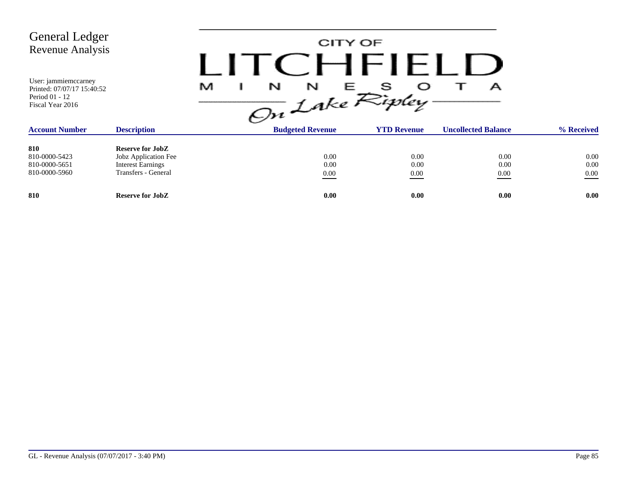| <b>General Ledger</b><br>Revenue Analysis<br>User: jammiemccarney<br>Printed: 07/07/17 15:40:52<br>Period 01 - 12<br>Fiscal Year 2016 |                                                                                                    | N<br>N<br>M<br>On Lake Ripley | CITY OF<br>CHFIELD<br>E - | А                          |                                  |
|---------------------------------------------------------------------------------------------------------------------------------------|----------------------------------------------------------------------------------------------------|-------------------------------|---------------------------|----------------------------|----------------------------------|
| <b>Account Number</b>                                                                                                                 | <b>Description</b>                                                                                 | <b>Budgeted Revenue</b>       | <b>YTD Revenue</b>        | <b>Uncollected Balance</b> | % Received                       |
| 810<br>810-0000-5423<br>810-0000-5651<br>810-0000-5960                                                                                | <b>Reserve for JobZ</b><br>Jobz Application Fee<br><b>Interest Earnings</b><br>Transfers - General | 0.00<br>0.00<br>0.00          | 0.00<br>0.00<br>0.00      | 0.00<br>0.00<br>0.00       | $0.00\,$<br>$0.00\,$<br>$0.00\,$ |
| 810                                                                                                                                   | <b>Reserve for JobZ</b>                                                                            | 0.00                          | 0.00                      | 0.00                       | 0.00                             |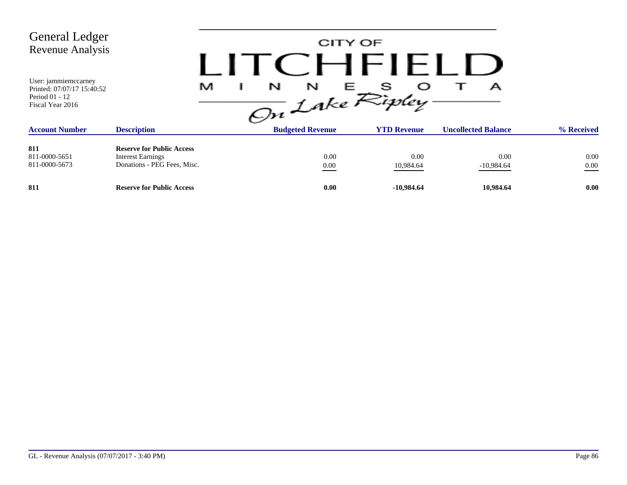| <b>General Ledger</b><br><b>Revenue Analysis</b><br>User: jammiemccarney<br>Printed: 07/07/17 15:40:52<br>Period 01 - 12<br>Fiscal Year 2016 |                                                                                             | M<br>N<br>N<br>On Lake Ripley. | CITY OF<br>CHFIELD<br>S<br>三 一 | А                          |              |
|----------------------------------------------------------------------------------------------------------------------------------------------|---------------------------------------------------------------------------------------------|--------------------------------|--------------------------------|----------------------------|--------------|
| <b>Account Number</b>                                                                                                                        | <b>Description</b>                                                                          | <b>Budgeted Revenue</b>        | <b>YTD Revenue</b>             | <b>Uncollected Balance</b> | % Received   |
| 811<br>811-0000-5651<br>811-0000-5673                                                                                                        | <b>Reserve for Public Access</b><br><b>Interest Earnings</b><br>Donations - PEG Fees, Misc. | 0.00<br>$0.00\,$               | 0.00<br>10,984.64              | 0.00<br>$-10,984.64$       | 0.00<br>0.00 |
| 811                                                                                                                                          | <b>Reserve for Public Access</b>                                                            | 0.00                           | $-10,984.64$                   | 10,984.64                  | 0.00         |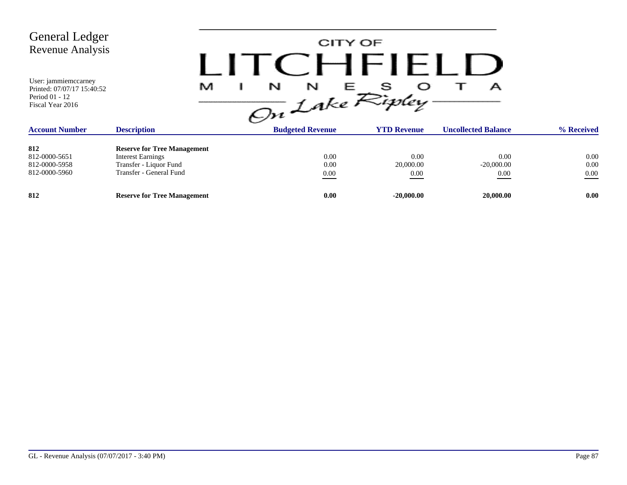| <b>General Ledger</b><br>Revenue Analysis<br>User: jammiemccarney                         | M                                  | CITY OF                                                                    | CHFIELD            | А                          |            |
|-------------------------------------------------------------------------------------------|------------------------------------|----------------------------------------------------------------------------|--------------------|----------------------------|------------|
| Printed: 07/07/17 15:40:52<br>Period 01 - 12<br>Fiscal Year 2016<br><b>Account Number</b> | <b>Description</b>                 | $\frac{1}{\sqrt{2n}}\int_{0}^{N}e^{E}E_{i}^{s}$<br><b>Budgeted Revenue</b> | <b>YTD Revenue</b> | <b>Uncollected Balance</b> | % Received |
|                                                                                           |                                    |                                                                            |                    |                            |            |
| 812                                                                                       | <b>Reserve for Tree Management</b> |                                                                            |                    |                            |            |
| 812-0000-5651                                                                             | <b>Interest Earnings</b>           | 0.00                                                                       | 0.00               | 0.00                       | 0.00       |
| 812-0000-5958                                                                             | Transfer - Liquor Fund             | 0.00                                                                       | 20,000.00          | $-20,000.00$               | $0.00\,$   |
| 812-0000-5960                                                                             | Transfer - General Fund            | $0.00\,$                                                                   | 0.00               | 0.00                       | $0.00\,$   |
| 812                                                                                       | <b>Reserve for Tree Management</b> | 0.00                                                                       | $-20,000.00$       | 20,000.00                  | 0.00       |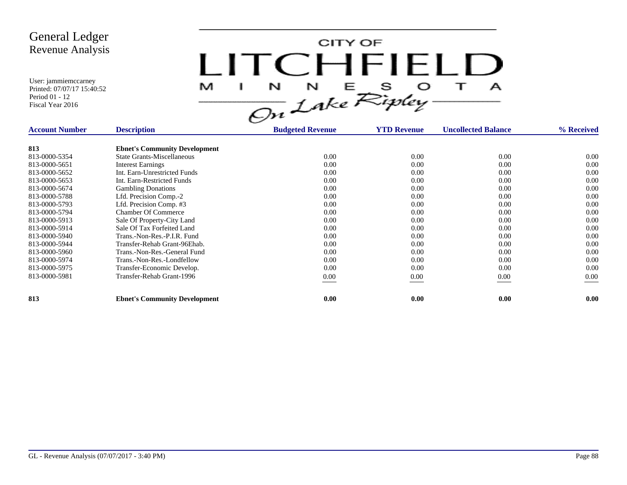CITY OF LITCHFIELD  $N$   $N$   $E$   $S$   $O$ <br>On Lake Ripley  $\top$ M J.  $\mathbf{A}$ 

| <b>Account Number</b> | <b>Description</b>                   | <b>Budgeted Revenue</b> | <b>YTD Revenue</b> | <b>Uncollected Balance</b> | % Received |
|-----------------------|--------------------------------------|-------------------------|--------------------|----------------------------|------------|
| 813                   | <b>Ebnet's Community Development</b> |                         |                    |                            |            |
| 813-0000-5354         | <b>State Grants-Miscellaneous</b>    | 0.00                    | 0.00               | 0.00                       | 0.00       |
| 813-0000-5651         | <b>Interest Earnings</b>             | 0.00                    | 0.00               | 0.00                       | 0.00       |
| 813-0000-5652         | Int. Earn-Unrestricted Funds         | 0.00                    | 0.00               | 0.00                       | 0.00       |
| 813-0000-5653         | Int. Earn-Restricted Funds           | 0.00                    | 0.00               | 0.00                       | 0.00       |
| 813-0000-5674         | <b>Gambling Donations</b>            | 0.00                    | 0.00               | 0.00                       | 0.00       |
| 813-0000-5788         | Lfd. Precision Comp.-2               | 0.00                    | 0.00               | 0.00                       | 0.00       |
| 813-0000-5793         | Lfd. Precision Comp. #3              | 0.00                    | 0.00               | 0.00                       | 0.00       |
| 813-0000-5794         | <b>Chamber Of Commerce</b>           | 0.00                    | 0.00               | 0.00                       | 0.00       |
| 813-0000-5913         | Sale Of Property-City Land           | 0.00                    | 0.00               | 0.00                       | 0.00       |
| 813-0000-5914         | Sale Of Tax Forfeited Land           | 0.00                    | 0.00               | 0.00                       | 0.00       |
| 813-0000-5940         | Trans.-Non-Res.-P.I.R. Fund          | 0.00                    | 0.00               | 0.00                       | 0.00       |
| 813-0000-5944         | Transfer-Rehab Grant-96Ehab.         | 0.00                    | 0.00               | 0.00                       | 0.00       |
| 813-0000-5960         | Trans.-Non-Res.-General Fund         | 0.00                    | 0.00               | 0.00                       | 0.00       |
| 813-0000-5974         | Trans.-Non-Res.-Londfellow           | 0.00                    | 0.00               | 0.00                       | 0.00       |
| 813-0000-5975         | Transfer-Economic Develop.           | 0.00                    | 0.00               | 0.00                       | 0.00       |
| 813-0000-5981         | Transfer-Rehab Grant-1996            | 0.00                    | 0.00               | 0.00                       | 0.00       |
| 813                   | <b>Ebnet's Community Development</b> | 0.00                    | 0.00               | 0.00                       | 0.00       |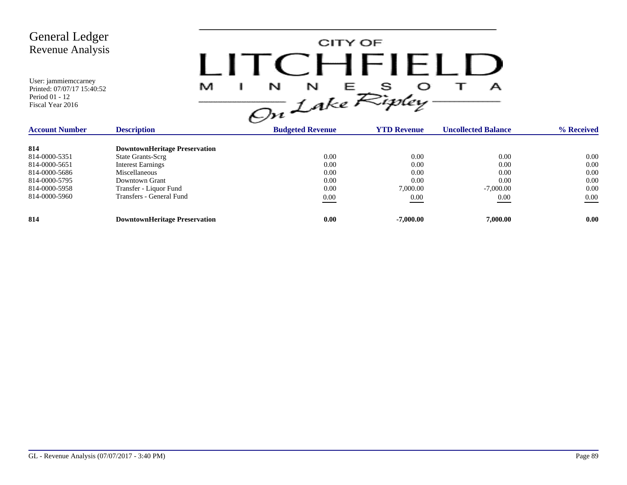CITY OF LITCHFIELD  $M$  I N N E S O T A<br>On Lake Ripley

| <b>Account Number</b> | <b>Description</b>                   | <b>Budgeted Revenue</b> | <b>YTD Revenue</b> | <b>Uncollected Balance</b> | % Received |  |
|-----------------------|--------------------------------------|-------------------------|--------------------|----------------------------|------------|--|
| 814                   | <b>DowntownHeritage Preservation</b> |                         |                    |                            |            |  |
| 814-0000-5351         | State Grants-Scrg                    | 0.00                    | 0.00               | 0.00                       | 0.00       |  |
| 814-0000-5651         | <b>Interest Earnings</b>             | 0.00                    | 0.00               | 0.00                       | 0.00       |  |
| 814-0000-5686         | Miscellaneous                        | 0.00                    | 0.00               | 0.00                       | 0.00       |  |
| 814-0000-5795         | Downtown Grant                       | 0.00                    | 0.00               | 0.00                       | 0.00       |  |
| 814-0000-5958         | Transfer - Liquor Fund               | 0.00                    | 7,000.00           | $-7,000.00$                | 0.00       |  |
| 814-0000-5960         | Transfers - General Fund             | 0.00                    | 0.00               | 0.00                       | 0.00       |  |
| 814                   | <b>DowntownHeritage Preservation</b> | 0.00                    | $-7.000.00$        | 7,000.00                   | 0.00       |  |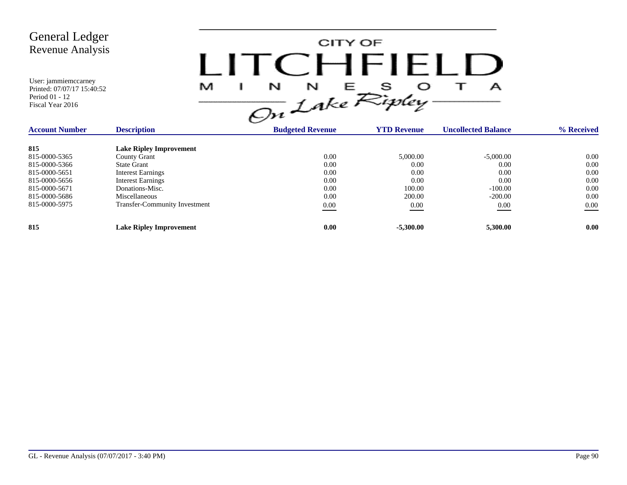CITY OF LITCHFIELD  $M$  I N N E S O T A<br>On Lake Ripley

| <b>Account Number</b> | <b>Description</b>                   | <b>Budgeted Revenue</b> | <b>YTD Revenue</b> | <b>Uncollected Balance</b> | % Received |
|-----------------------|--------------------------------------|-------------------------|--------------------|----------------------------|------------|
| 815                   | <b>Lake Ripley Improvement</b>       |                         |                    |                            |            |
| 815-0000-5365         | County Grant                         | 0.00                    | 5,000.00           | $-5,000.00$                | 0.00       |
| 815-0000-5366         | <b>State Grant</b>                   | 0.00                    | 0.00               | 0.00                       | 0.00       |
| 815-0000-5651         | <b>Interest Earnings</b>             | 0.00                    | 0.00               | 0.00                       | 0.00       |
| 815-0000-5656         | <b>Interest Earnings</b>             | 0.00                    | 0.00               | 0.00                       | 0.00       |
| 815-0000-5671         | Donations-Misc.                      | 0.00                    | 100.00             | $-100.00$                  | 0.00       |
| 815-0000-5686         | Miscellaneous                        | 0.00                    | 200.00             | $-200.00$                  | 0.00       |
| 815-0000-5975         | <b>Transfer-Community Investment</b> | 0.00                    | 0.00               | 0.00                       | 0.00       |
| 815                   | <b>Lake Ripley Improvement</b>       | 0.00                    | $-5,300.00$        | 5,300.00                   | 0.00       |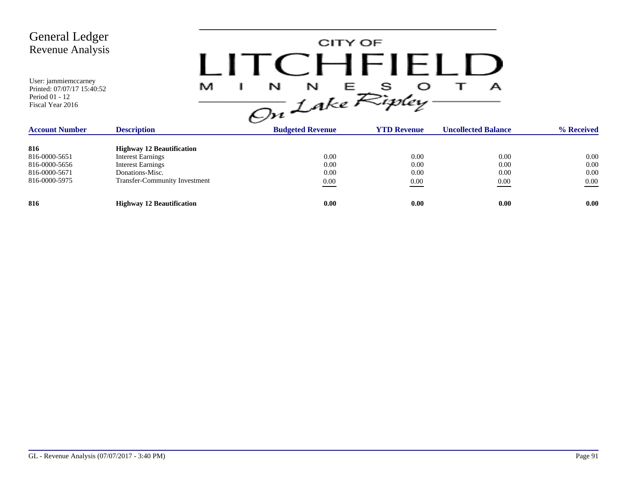CITY OF LITCHFIELD  $M$  I N N E S O T A<br>On Lake Ripley

| <b>Account Number</b> | <b>Description</b>                   | <b>Budgeted Revenue</b> | <b>YTD Revenue</b> | <b>Uncollected Balance</b> | % Received |
|-----------------------|--------------------------------------|-------------------------|--------------------|----------------------------|------------|
| 816                   | <b>Highway 12 Beautification</b>     |                         |                    |                            |            |
| 816-0000-5651         | Interest Earnings                    | 0.00                    | 0.00               | 0.00                       | 0.00       |
| 816-0000-5656         | <b>Interest Earnings</b>             | 0.00                    | 0.00               | 0.00                       | 0.00       |
| 816-0000-5671         | Donations-Misc.                      | 0.00                    | 0.00               | 0.00                       | 0.00       |
| 816-0000-5975         | <b>Transfer-Community Investment</b> | 0.00                    | 0.00               | 0.00                       | 0.00       |
| 816                   | <b>Highway 12 Beautification</b>     | 0.00                    | 0.00               | 0.00                       | 0.00       |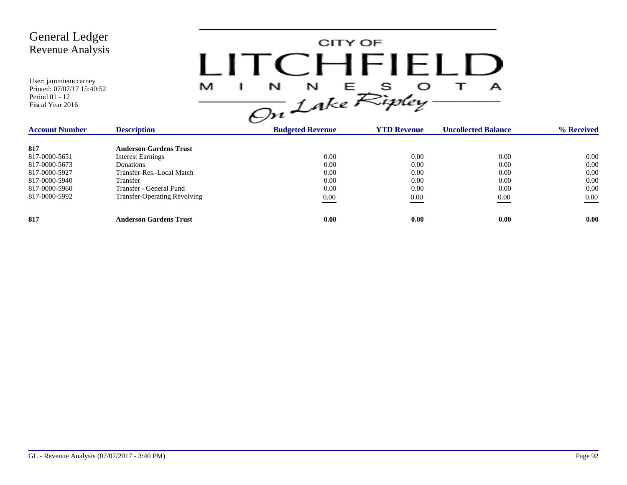

| <b>Account Number</b> | <b>Description</b>                  | <b>Budgeted Revenue</b> | <b>YTD Revenue</b> | <b>Uncollected Balance</b> | % Received |  |
|-----------------------|-------------------------------------|-------------------------|--------------------|----------------------------|------------|--|
| 817                   | <b>Anderson Gardens Trust</b>       |                         |                    |                            |            |  |
| 817-0000-5651         | <b>Interest Earnings</b>            | 0.00                    | 0.00               | 0.00                       | $0.00\,$   |  |
| 817-0000-5673         | Donations                           | 0.00                    | 0.00               | 0.00                       | 0.00       |  |
| 817-0000-5927         | Transfer-Res.-Local Match           | 0.00                    | 0.00               | 0.00                       | 0.00       |  |
| 817-0000-5940         | Transfer                            | 0.00                    | 0.00               | 0.00                       | 0.00       |  |
| 817-0000-5960         | Transfer - General Fund             | 0.00                    | 0.00               | 0.00                       | 0.00       |  |
| 817-0000-5992         | <b>Transfer-Operating Revolving</b> | 0.00                    | 0.00               | 0.00                       | 0.00       |  |
| 817                   | <b>Anderson Gardens Trust</b>       | 0.00                    | 0.00               | 0.00                       | 0.00       |  |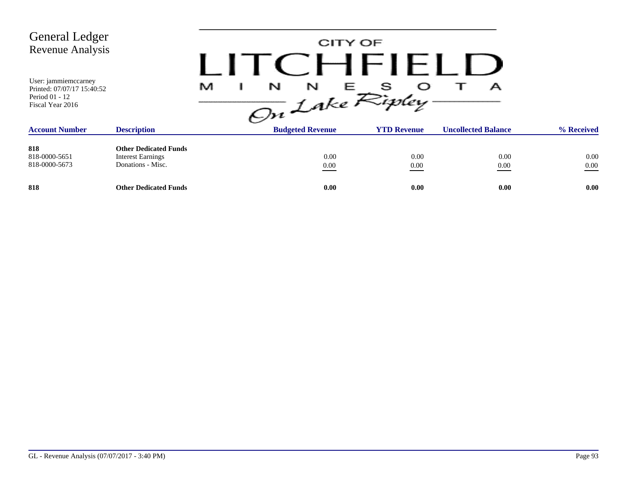| <b>General Ledger</b><br><b>Revenue Analysis</b>                                         |                                                                               |                                                       | CITY OF<br>CHFIFLI |                            |                  |
|------------------------------------------------------------------------------------------|-------------------------------------------------------------------------------|-------------------------------------------------------|--------------------|----------------------------|------------------|
| User: jammiemccarney<br>Printed: 07/07/17 15:40:52<br>Period 01 - 12<br>Fiscal Year 2016 |                                                                               | $\frac{1}{\sqrt{2n}}\int_{0}^{N}e^{E}E_{ij}^{s}$<br>M |                    | А                          |                  |
| <b>Account Number</b>                                                                    | <b>Description</b>                                                            | <b>Budgeted Revenue</b>                               | <b>YTD Revenue</b> | <b>Uncollected Balance</b> | % Received       |
| 818<br>818-0000-5651<br>818-0000-5673                                                    | <b>Other Dedicated Funds</b><br><b>Interest Earnings</b><br>Donations - Misc. | 0.00<br>$0.00\,$                                      | 0.00<br>0.00       | 0.00<br>0.00               | 0.00<br>$0.00\,$ |
| 818                                                                                      | <b>Other Dedicated Funds</b>                                                  | 0.00                                                  | 0.00               | 0.00                       | 0.00             |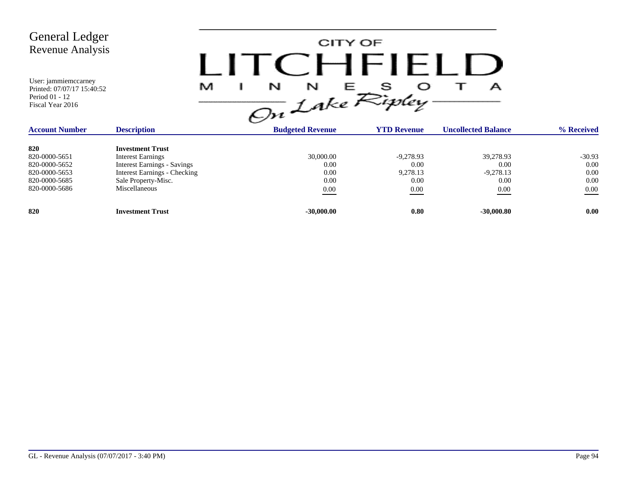| <b>General Ledger</b><br><b>Revenue Analysis</b><br>User: jammiemccarney<br>Printed: 07/07/17 15:40:52<br>Period 01 - 12<br>Fiscal Year 2016 |                                                                                                                                                                          | .<br>M<br>N | CITY OF<br>CHFIFLI<br>N<br>S<br>Е<br>Α<br>On Lake Ripley |                                                 |                                                  |                                              |
|----------------------------------------------------------------------------------------------------------------------------------------------|--------------------------------------------------------------------------------------------------------------------------------------------------------------------------|-------------|----------------------------------------------------------|-------------------------------------------------|--------------------------------------------------|----------------------------------------------|
| <b>Account Number</b>                                                                                                                        | <b>Description</b>                                                                                                                                                       |             | <b>Budgeted Revenue</b>                                  | <b>YTD Revenue</b>                              | <b>Uncollected Balance</b>                       | % Received                                   |
| 820<br>820-0000-5651<br>820-0000-5652<br>820-0000-5653<br>820-0000-5685<br>820-0000-5686                                                     | <b>Investment Trust</b><br><b>Interest Earnings</b><br><b>Interest Earnings - Savings</b><br><b>Interest Earnings - Checking</b><br>Sale Property-Misc.<br>Miscellaneous |             | 30,000.00<br>0.00<br>0.00<br>0.00<br>$0.00\,$            | $-9,278.93$<br>0.00<br>9,278.13<br>0.00<br>0.00 | 39,278.93<br>0.00<br>$-9,278.13$<br>0.00<br>0.00 | $-30.93$<br>0.00<br>0.00<br>0.00<br>$0.00\,$ |
| 820                                                                                                                                          | <b>Investment Trust</b>                                                                                                                                                  |             | $-30,000.00$                                             | 0.80                                            | $-30,000.80$                                     | 0.00                                         |